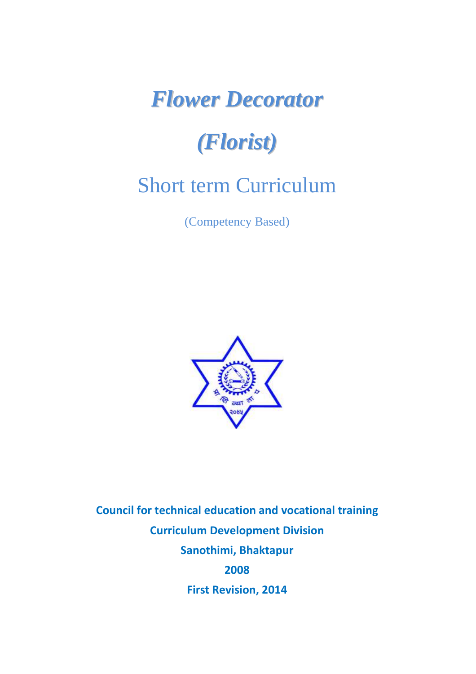# *Flower Decorator*

# *(Florist)*

# Short term Curriculum

(Competency Based)



**Council for technical education and vocational training Curriculum Development Division Sanothimi, Bhaktapur 2008 First Revision, 2014**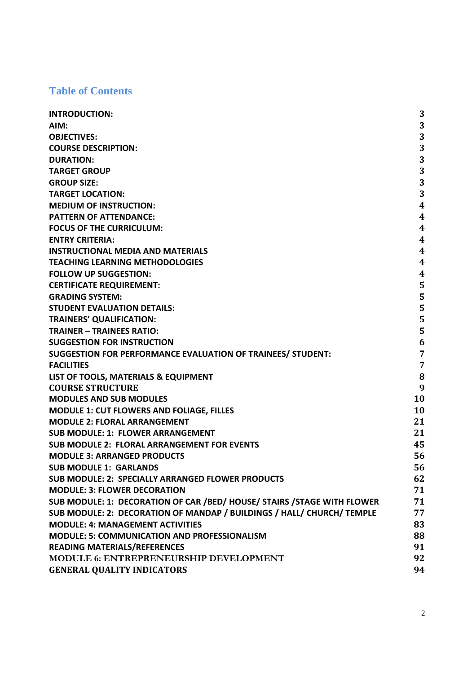# **Table of Contents**

| <b>INTRODUCTION:</b>                                                      | 3                       |
|---------------------------------------------------------------------------|-------------------------|
| AIM:                                                                      | 3                       |
| <b>OBJECTIVES:</b>                                                        | 3                       |
| <b>COURSE DESCRIPTION:</b>                                                | 3                       |
| <b>DURATION:</b>                                                          | 3                       |
| <b>TARGET GROUP</b>                                                       | 3                       |
| <b>GROUP SIZE:</b>                                                        | 3                       |
| <b>TARGET LOCATION:</b>                                                   | 3                       |
| <b>MEDIUM OF INSTRUCTION:</b>                                             | $\overline{\mathbf{4}}$ |
| <b>PATTERN OF ATTENDANCE:</b>                                             | $\overline{\mathbf{4}}$ |
| <b>FOCUS OF THE CURRICULUM:</b>                                           | $\overline{4}$          |
| <b>ENTRY CRITERIA:</b>                                                    | $\overline{\mathbf{4}}$ |
| <b>INSTRUCTIONAL MEDIA AND MATERIALS</b>                                  | $\overline{\mathbf{4}}$ |
| <b>TEACHING LEARNING METHODOLOGIES</b>                                    | $\overline{\mathbf{4}}$ |
| <b>FOLLOW UP SUGGESTION:</b>                                              | 4                       |
| <b>CERTIFICATE REQUIREMENT:</b>                                           | 5                       |
| <b>GRADING SYSTEM:</b>                                                    | 5                       |
| <b>STUDENT EVALUATION DETAILS:</b>                                        | 5                       |
| <b>TRAINERS' QUALIFICATION:</b>                                           | 5                       |
| <b>TRAINER - TRAINEES RATIO:</b>                                          | 5                       |
| <b>SUGGESTION FOR INSTRUCTION</b>                                         | 6                       |
| SUGGESTION FOR PERFORMANCE EVALUATION OF TRAINEES/ STUDENT:               | 7                       |
| <b>FACILITIES</b>                                                         | 7                       |
| LIST OF TOOLS, MATERIALS & EQUIPMENT                                      | 8                       |
| <b>COURSE STRUCTURE</b>                                                   | 9                       |
| <b>MODULES AND SUB MODULES</b>                                            | 10                      |
| <b>MODULE 1: CUT FLOWERS AND FOLIAGE, FILLES</b>                          | 10                      |
| <b>MODULE 2: FLORAL ARRANGEMENT</b>                                       | 21                      |
| <b>SUB MODULE: 1: FLOWER ARRANGEMENT</b>                                  | 21                      |
| <b>SUB MODULE 2: FLORAL ARRANGEMENT FOR EVENTS</b>                        | 45                      |
| <b>MODULE 3: ARRANGED PRODUCTS</b>                                        | 56                      |
| <b>SUB MODULE 1: GARLANDS</b>                                             | 56                      |
| <b>SUB MODULE: 2: SPECIALLY ARRANGED FLOWER PRODUCTS</b>                  | 62                      |
| <b>MODULE: 3: FLOWER DECORATION</b>                                       | 71                      |
| SUB MODULE: 1: DECORATION OF CAR / BED/ HOUSE/ STAIRS / STAGE WITH FLOWER | 71                      |
| SUB MODULE: 2: DECORATION OF MANDAP / BUILDINGS / HALL/ CHURCH/ TEMPLE    | 77                      |
| <b>MODULE: 4: MANAGEMENT ACTIVITIES</b>                                   | 83                      |
| <b>MODULE: 5: COMMUNICATION AND PROFESSIONALISM</b>                       | 88                      |
| <b>READING MATERIALS/REFERENCES</b>                                       | 91                      |
| MODULE 6: ENTREPRENEURSHIP DEVELOPMENT                                    | 92                      |
| <b>GENERAL QUALITY INDICATORS</b>                                         | 94                      |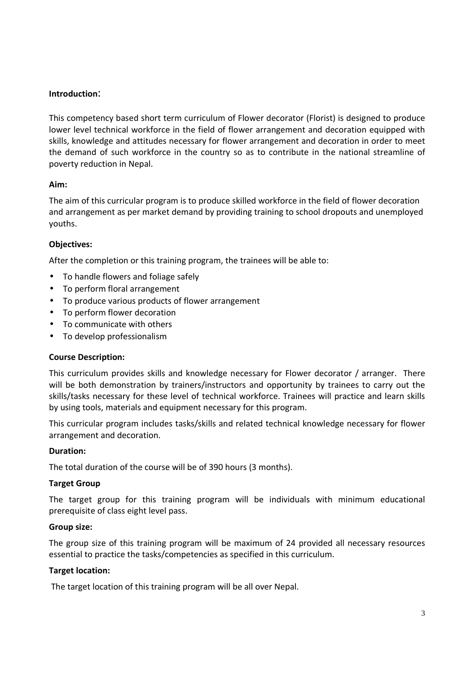#### **Introduction**:

This competency based short term curriculum of Flower decorator (Florist) is designed to produce lower level technical workforce in the field of flower arrangement and decoration equipped with skills, knowledge and attitudes necessary for flower arrangement and decoration in order to meet the demand of such workforce in the country so as to contribute in the national streamline of poverty reduction in Nepal.

# **Aim:**

The aim of this curricular program is to produce skilled workforce in the field of flower decoration and arrangement as per market demand by providing training to school dropouts and unemployed youths.

# **Objectives:**

After the completion or this training program, the trainees will be able to:

- To handle flowers and foliage safely
- To perform floral arrangement
- To produce various products of flower arrangement
- To perform flower decoration
- To communicate with others
- To develop professionalism

#### **Course Description:**

This curriculum provides skills and knowledge necessary for Flower decorator / arranger. There will be both demonstration by trainers/instructors and opportunity by trainees to carry out the skills/tasks necessary for these level of technical workforce. Trainees will practice and learn skills by using tools, materials and equipment necessary for this program.

This curricular program includes tasks/skills and related technical knowledge necessary for flower arrangement and decoration.

#### **Duration:**

The total duration of the course will be of 390 hours (3 months).

#### **Target Group**

The target group for this training program will be individuals with minimum educational prerequisite of class eight level pass.

#### **Group size:**

The group size of this training program will be maximum of 24 provided all necessary resources essential to practice the tasks/competencies as specified in this curriculum.

#### **Target location:**

The target location of this training program will be all over Nepal.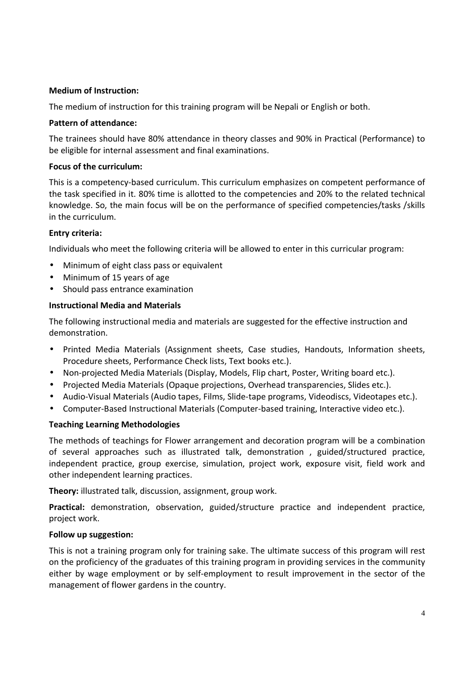#### **Medium of Instruction:**

The medium of instruction for this training program will be Nepali or English or both.

#### **Pattern of attendance:**

The trainees should have 80% attendance in theory classes and 90% in Practical (Performance) to be eligible for internal assessment and final examinations.

# **Focus of the curriculum:**

This is a competency-based curriculum. This curriculum emphasizes on competent performance of the task specified in it. 80% time is allotted to the competencies and 20% to the related technical knowledge. So, the main focus will be on the performance of specified competencies/tasks /skills in the curriculum.

# **Entry criteria:**

Individuals who meet the following criteria will be allowed to enter in this curricular program:

- Minimum of eight class pass or equivalent
- Minimum of 15 years of age
- Should pass entrance examination

# **Instructional Media and Materials**

The following instructional media and materials are suggested for the effective instruction and demonstration.

- Printed Media Materials (Assignment sheets, Case studies, Handouts, Information sheets, Procedure sheets, Performance Check lists, Text books etc.).
- Non-projected Media Materials (Display, Models, Flip chart, Poster, Writing board etc.).
- Projected Media Materials (Opaque projections, Overhead transparencies, Slides etc.).
- Audio-Visual Materials (Audio tapes, Films, Slide-tape programs, Videodiscs, Videotapes etc.).
- Computer-Based Instructional Materials (Computer-based training, Interactive video etc.).

# **Teaching Learning Methodologies**

The methods of teachings for Flower arrangement and decoration program will be a combination of several approaches such as illustrated talk, demonstration , guided/structured practice, independent practice, group exercise, simulation, project work, exposure visit, field work and other independent learning practices.

**Theory:** illustrated talk, discussion, assignment, group work.

**Practical:** demonstration, observation, guided/structure practice and independent practice, project work.

#### **Follow up suggestion:**

This is not a training program only for training sake. The ultimate success of this program will rest on the proficiency of the graduates of this training program in providing services in the community either by wage employment or by self-employment to result improvement in the sector of the management of flower gardens in the country.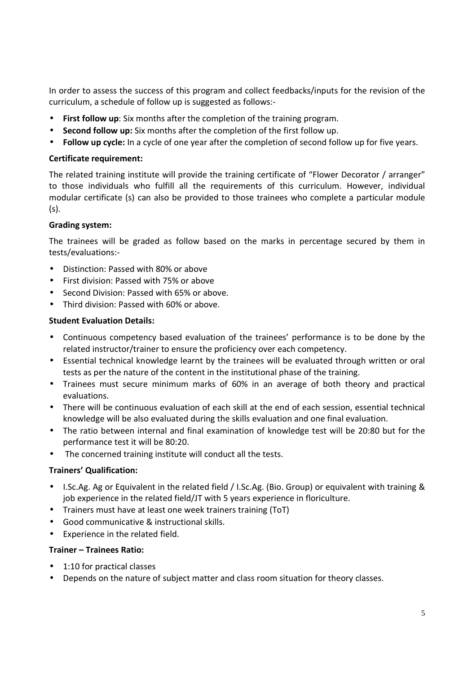In order to assess the success of this program and collect feedbacks/inputs for the revision of the curriculum, a schedule of follow up is suggested as follows:-

- **First follow up**: Six months after the completion of the training program.
- **Second follow up:** Six months after the completion of the first follow up.
- **Follow up cycle:** In a cycle of one year after the completion of second follow up for five years.

#### **Certificate requirement:**

The related training institute will provide the training certificate of "Flower Decorator / arranger" to those individuals who fulfill all the requirements of this curriculum. However, individual modular certificate (s) can also be provided to those trainees who complete a particular module (s).

#### **Grading system:**

The trainees will be graded as follow based on the marks in percentage secured by them in tests/evaluations:-

- Distinction: Passed with 80% or above
- First division: Passed with 75% or above
- Second Division: Passed with 65% or above.
- Third division: Passed with 60% or above.

#### **Student Evaluation Details:**

- Continuous competency based evaluation of the trainees' performance is to be done by the related instructor/trainer to ensure the proficiency over each competency.
- Essential technical knowledge learnt by the trainees will be evaluated through written or oral tests as per the nature of the content in the institutional phase of the training.
- Trainees must secure minimum marks of 60% in an average of both theory and practical evaluations.
- There will be continuous evaluation of each skill at the end of each session, essential technical knowledge will be also evaluated during the skills evaluation and one final evaluation.
- The ratio between internal and final examination of knowledge test will be 20:80 but for the performance test it will be 80:20.
- The concerned training institute will conduct all the tests.

#### **Trainers' Qualification:**

- I.Sc.Ag. Ag or Equivalent in the related field / I.Sc.Ag. (Bio. Group) or equivalent with training & job experience in the related field/JT with 5 years experience in floriculture.
- Trainers must have at least one week trainers training (ToT)
- Good communicative & instructional skills.
- Experience in the related field.

#### **Trainer – Trainees Ratio:**

- 1:10 for practical classes
- Depends on the nature of subject matter and class room situation for theory classes.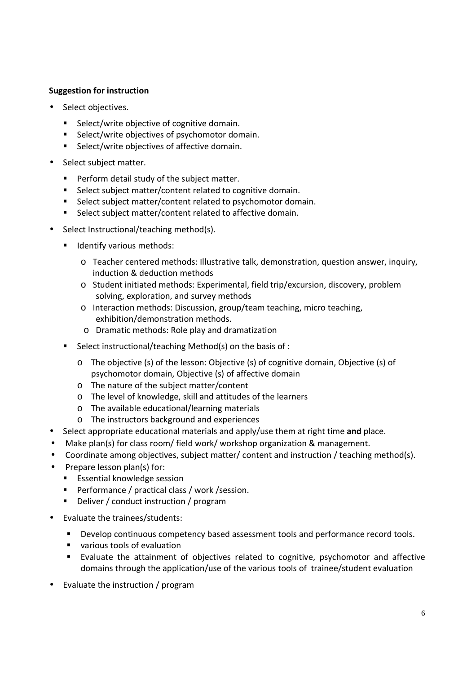# **Suggestion for instruction**

- Select objectives.
	- Select/write objective of cognitive domain.
	- Select/write objectives of psychomotor domain.
	- Select/write objectives of affective domain.
- Select subject matter.
	- **Perform detail study of the subject matter.**
	- Select subject matter/content related to cognitive domain.
	- Select subject matter/content related to psychomotor domain.
	- Select subject matter/content related to affective domain.
- Select Instructional/teaching method(s).
	- **IDENTIFY VALUATE:** Identify various methods:
		- o Teacher centered methods: Illustrative talk, demonstration, question answer, inquiry, induction & deduction methods
		- o Student initiated methods: Experimental, field trip/excursion, discovery, problem solving, exploration, and survey methods
		- o Interaction methods: Discussion, group/team teaching, micro teaching, exhibition/demonstration methods.
		- o Dramatic methods: Role play and dramatization
	- Select instructional/teaching Method(s) on the basis of :
		- o The objective (s) of the lesson: Objective (s) of cognitive domain, Objective (s) of psychomotor domain, Objective (s) of affective domain
		- o The nature of the subject matter/content
		- o The level of knowledge, skill and attitudes of the learners
		- o The available educational/learning materials
		- o The instructors background and experiences
- Select appropriate educational materials and apply/use them at right time **and** place.
- Make plan(s) for class room/ field work/ workshop organization & management.
- Coordinate among objectives, subject matter/ content and instruction / teaching method(s).
- Prepare lesson plan(s) for:
	- **E** Essential knowledge session
	- Performance / practical class / work / session.
	- **Deliver / conduct instruction / program**
- Evaluate the trainees/students:
	- Develop continuous competency based assessment tools and performance record tools.
	- various tools of evaluation
	- Evaluate the attainment of objectives related to cognitive, psychomotor and affective domains through the application/use of the various tools of trainee/student evaluation
- Evaluate the instruction / program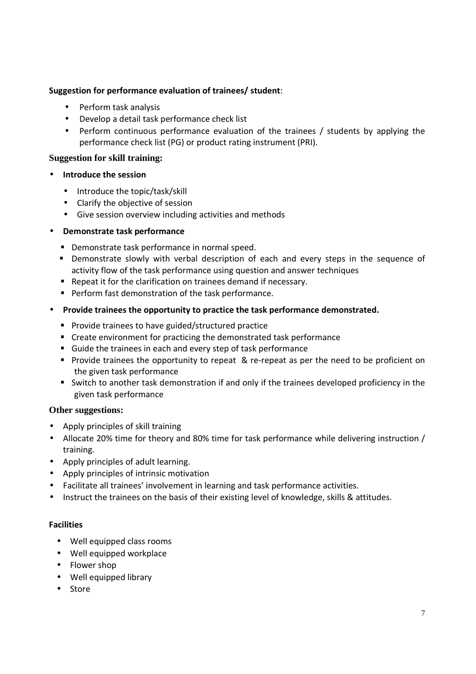# **Suggestion for performance evaluation of trainees/ student**:

- Perform task analysis
- Develop a detail task performance check list
- Perform continuous performance evaluation of the trainees / students by applying the performance check list (PG) or product rating instrument (PRI).

#### **Suggestion for skill training:**

- **Introduce the session** 
	- Introduce the topic/task/skill
	- Clarify the objective of session
	- Give session overview including activities and methods

# • **Demonstrate task performance**

- **•** Demonstrate task performance in normal speed.
- **•** Demonstrate slowly with verbal description of each and every steps in the sequence of activity flow of the task performance using question and answer techniques
- Repeat it for the clarification on trainees demand if necessary.
- **Perform fast demonstration of the task performance.**
- **Provide trainees the opportunity to practice the task performance demonstrated.** 
	- **Provide trainees to have guided/structured practice**
	- Create environment for practicing the demonstrated task performance
	- Guide the trainees in each and every step of task performance
	- **Provide trainees the opportunity to repeat & re-repeat as per the need to be proficient on** the given task performance
	- Switch to another task demonstration if and only if the trainees developed proficiency in the given task performance

#### **Other suggestions:**

- Apply principles of skill training
- Allocate 20% time for theory and 80% time for task performance while delivering instruction / training.
- Apply principles of adult learning.
- Apply principles of intrinsic motivation
- Facilitate all trainees' involvement in learning and task performance activities.
- Instruct the trainees on the basis of their existing level of knowledge, skills & attitudes.

#### **Facilities**

- Well equipped class rooms
- Well equipped workplace
- Flower shop
- Well equipped library
- Store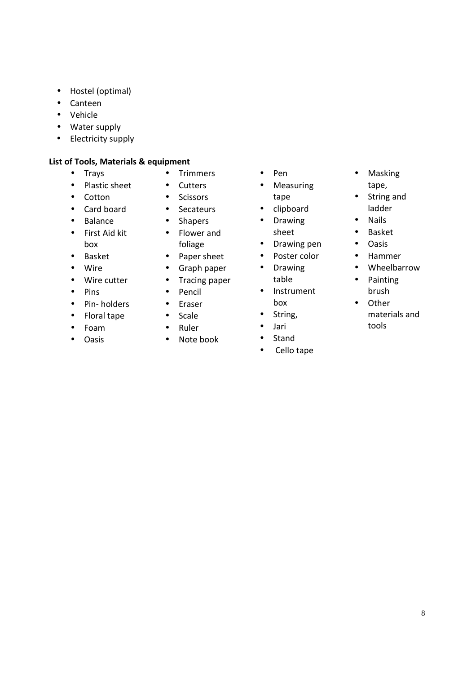- Hostel (optimal)
- Canteen
- Vehicle
- Water supply
- Electricity supply

#### **List of Tools, Materials & equipment**

- Trays
- Plastic sheet
- Cotton
- Card board
- Balance
- First Aid kit box
- Basket
- Wire
- Wire cutter
- Pins
- Pin- holders
- Floral tape
- Foam
- Oasis
- Trimmers
- Cutters
- Scissors
- Secateurs
- Shapers • Flower and
- foliage
- Paper sheet
- 
- 
- 
- 
- 
- Ruler
- Note book
- Pen
- Measuring tape
- clipboard
- Drawing sheet
- Drawing pen
- Poster color
- Drawing table
- Instrument box
- String,
- Jari
- Stand
- Cello tape
- Masking tape,
- String and ladder
- Nails
- Basket
- Oasis
- Hammer
- Wheelbarrow
- Painting brush
- Other materials and tools
- 
- 
- 
- Graph paper
- Tracing paper
- Pencil
- Eraser
- Scale
- 
-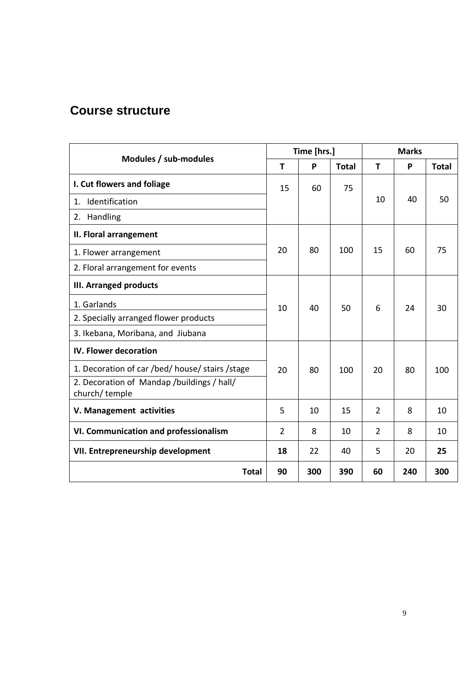# **Course structure**

| Modules / sub-modules                                       |                | Time [hrs.] |              | <b>Marks</b>   |     |              |
|-------------------------------------------------------------|----------------|-------------|--------------|----------------|-----|--------------|
|                                                             |                | P           | <b>Total</b> | T              | P   | <b>Total</b> |
| I. Cut flowers and foliage                                  | 15             | 60          | 75           |                |     |              |
| 1. Identification                                           |                |             |              | 10             | 40  | 50           |
| 2. Handling                                                 |                |             |              |                |     |              |
| II. Floral arrangement                                      |                |             |              |                |     |              |
| 1. Flower arrangement                                       | 20             | 80          | 100          | 15             | 60  | 75           |
| 2. Floral arrangement for events                            |                |             |              |                |     |              |
| <b>III. Arranged products</b>                               |                |             |              |                |     |              |
| 1. Garlands                                                 | 10             | 40          | 50           | 6              | 24  | 30           |
| 2. Specially arranged flower products                       |                |             |              |                |     |              |
| 3. Ikebana, Moribana, and Jiubana                           |                |             |              |                |     |              |
| IV. Flower decoration                                       |                |             |              |                |     |              |
| 1. Decoration of car /bed/ house/ stairs /stage             | 20             | 80          | 100          | 20             | 80  | 100          |
| 2. Decoration of Mandap /buildings / hall/<br>church/temple |                |             |              |                |     |              |
| V. Management activities                                    | 5              | 10          | 15           | $\overline{2}$ | 8   | 10           |
| VI. Communication and professionalism                       | $\overline{2}$ | 8           | 10           | $\overline{2}$ | 8   | 10           |
| VII. Entrepreneurship development                           | 18             | 22          | 40           | 5              | 20  | 25           |
| <b>Total</b>                                                | 90             | 300         | 390          | 60             | 240 | 300          |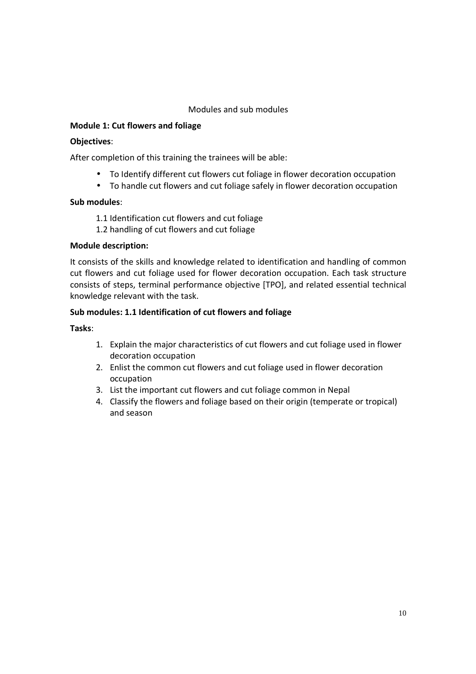# Modules and sub modules

# **Module 1: Cut flowers and foliage**

#### **Objectives**:

After completion of this training the trainees will be able:

- To Identify different cut flowers cut foliage in flower decoration occupation
- To handle cut flowers and cut foliage safely in flower decoration occupation

#### **Sub modules**:

- 1.1 Identification cut flowers and cut foliage
- 1.2 handling of cut flowers and cut foliage

# **Module description:**

It consists of the skills and knowledge related to identification and handling of common cut flowers and cut foliage used for flower decoration occupation. Each task structure consists of steps, terminal performance objective [TPO], and related essential technical knowledge relevant with the task.

#### **Sub modules: 1.1 Identification of cut flowers and foliage**

**Tasks**:

- 1. Explain the major characteristics of cut flowers and cut foliage used in flower decoration occupation
- 2. Enlist the common cut flowers and cut foliage used in flower decoration occupation
- 3. List the important cut flowers and cut foliage common in Nepal
- 4. Classify the flowers and foliage based on their origin (temperate or tropical) and season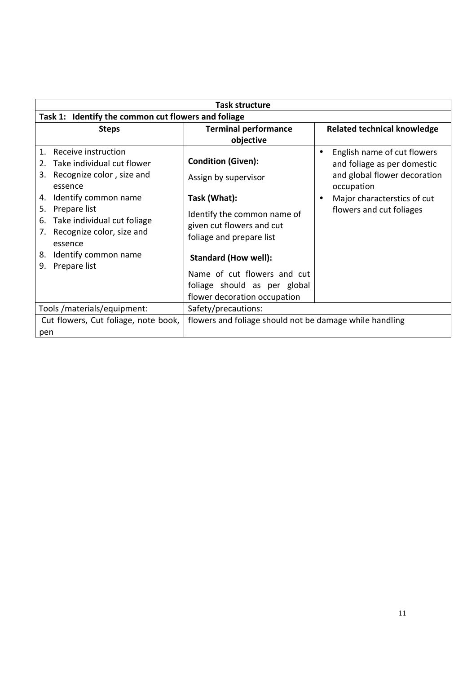| Task structure                                      |                                                         |                                    |  |  |
|-----------------------------------------------------|---------------------------------------------------------|------------------------------------|--|--|
| Task 1: Identify the common cut flowers and foliage |                                                         |                                    |  |  |
| <b>Steps</b>                                        | <b>Terminal performance</b>                             | <b>Related technical knowledge</b> |  |  |
|                                                     | objective                                               |                                    |  |  |
| Receive instruction<br>$\mathbf{1}$ .               |                                                         | English name of cut flowers        |  |  |
| Take individual cut flower<br>2.                    | <b>Condition (Given):</b>                               | and foliage as per domestic        |  |  |
| Recognize color, size and<br>3.                     | Assign by supervisor                                    | and global flower decoration       |  |  |
| essence                                             |                                                         | occupation                         |  |  |
| Identify common name<br>4.                          | Task (What):                                            | Major characterstics of cut        |  |  |
| Prepare list<br>5.                                  | Identify the common name of                             | flowers and cut foliages           |  |  |
| Take individual cut foliage<br>6.                   | given cut flowers and cut                               |                                    |  |  |
| Recognize color, size and<br>7.                     | foliage and prepare list                                |                                    |  |  |
| essence                                             |                                                         |                                    |  |  |
| Identify common name<br>8.                          | <b>Standard (How well):</b>                             |                                    |  |  |
| Prepare list<br>9.                                  | Name of cut flowers and cut                             |                                    |  |  |
|                                                     |                                                         |                                    |  |  |
|                                                     | foliage should as per global                            |                                    |  |  |
|                                                     | flower decoration occupation                            |                                    |  |  |
| Tools/materials/equipment:                          | Safety/precautions:                                     |                                    |  |  |
| Cut flowers, Cut foliage, note book,                | flowers and foliage should not be damage while handling |                                    |  |  |
| pen                                                 |                                                         |                                    |  |  |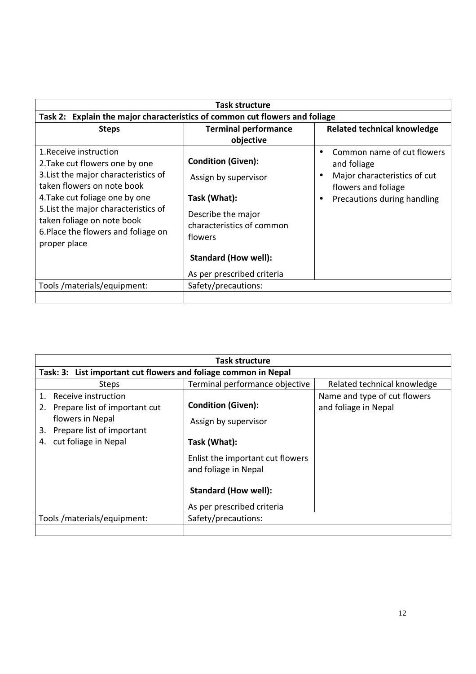| <b>Task structure</b>                                                                                                                                                                                                                                                                         |                                                                                                                                                                                              |                                                                                                                                              |
|-----------------------------------------------------------------------------------------------------------------------------------------------------------------------------------------------------------------------------------------------------------------------------------------------|----------------------------------------------------------------------------------------------------------------------------------------------------------------------------------------------|----------------------------------------------------------------------------------------------------------------------------------------------|
| Task 2: Explain the major characteristics of common cut flowers and foliage                                                                                                                                                                                                                   |                                                                                                                                                                                              |                                                                                                                                              |
| <b>Steps</b>                                                                                                                                                                                                                                                                                  | <b>Terminal performance</b><br>objective                                                                                                                                                     | <b>Related technical knowledge</b>                                                                                                           |
| 1. Receive instruction<br>2. Take cut flowers one by one<br>3. List the major characteristics of<br>taken flowers on note book<br>4. Take cut foliage one by one<br>5. List the major characteristics of<br>taken foliage on note book<br>6. Place the flowers and foliage on<br>proper place | <b>Condition (Given):</b><br>Assign by supervisor<br>Task (What):<br>Describe the major<br>characteristics of common<br>flowers<br><b>Standard (How well):</b><br>As per prescribed criteria | Common name of cut flowers<br>$\bullet$<br>and foliage<br>Major characteristics of cut<br>flowers and foliage<br>Precautions during handling |
| Tools /materials/equipment:                                                                                                                                                                                                                                                                   | Safety/precautions:                                                                                                                                                                          |                                                                                                                                              |
|                                                                                                                                                                                                                                                                                               |                                                                                                                                                                                              |                                                                                                                                              |

| <b>Task structure</b>                                                                                                                                       |                                                                                                                                                                                            |                                                      |  |
|-------------------------------------------------------------------------------------------------------------------------------------------------------------|--------------------------------------------------------------------------------------------------------------------------------------------------------------------------------------------|------------------------------------------------------|--|
| Task: 3: List important cut flowers and foliage common in Nepal                                                                                             |                                                                                                                                                                                            |                                                      |  |
| <b>Steps</b>                                                                                                                                                | Terminal performance objective                                                                                                                                                             | Related technical knowledge                          |  |
| Receive instruction<br>$\mathbf{1}$ .<br>Prepare list of important cut<br>flowers in Nepal<br>Prepare list of important<br>3.<br>cut foliage in Nepal<br>4. | <b>Condition (Given):</b><br>Assign by supervisor<br>Task (What):<br>Enlist the important cut flowers<br>and foliage in Nepal<br><b>Standard (How well):</b><br>As per prescribed criteria | Name and type of cut flowers<br>and foliage in Nepal |  |
| Tools/materials/equipment:                                                                                                                                  | Safety/precautions:                                                                                                                                                                        |                                                      |  |
|                                                                                                                                                             |                                                                                                                                                                                            |                                                      |  |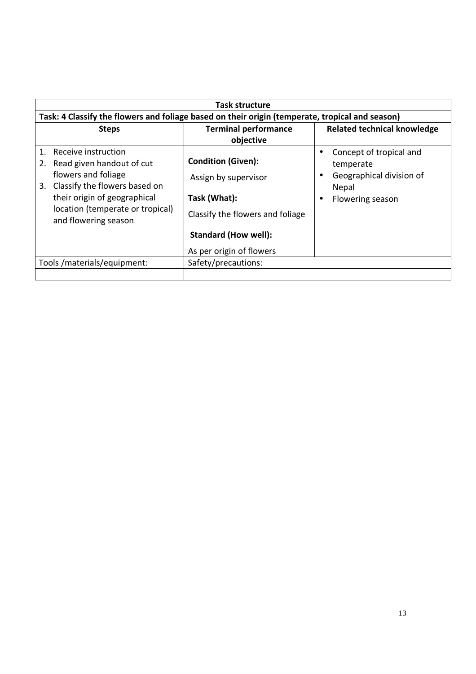|                                                                                                                                                                                                                           | Task structure                                                                                                                                                   |                                                                                               |  |
|---------------------------------------------------------------------------------------------------------------------------------------------------------------------------------------------------------------------------|------------------------------------------------------------------------------------------------------------------------------------------------------------------|-----------------------------------------------------------------------------------------------|--|
| Task: 4 Classify the flowers and foliage based on their origin (temperate, tropical and season)                                                                                                                           |                                                                                                                                                                  |                                                                                               |  |
| <b>Steps</b>                                                                                                                                                                                                              | <b>Terminal performance</b><br>objective                                                                                                                         | <b>Related technical knowledge</b>                                                            |  |
| Receive instruction<br>$\mathbf 1$<br>Read given handout of cut<br>flowers and foliage<br>Classify the flowers based on<br>3.<br>their origin of geographical<br>location (temperate or tropical)<br>and flowering season | <b>Condition (Given):</b><br>Assign by supervisor<br>Task (What):<br>Classify the flowers and foliage<br><b>Standard (How well):</b><br>As per origin of flowers | Concept of tropical and<br>temperate<br>Geographical division of<br>Nepal<br>Flowering season |  |
| Tools/materials/equipment:                                                                                                                                                                                                | Safety/precautions:                                                                                                                                              |                                                                                               |  |
|                                                                                                                                                                                                                           |                                                                                                                                                                  |                                                                                               |  |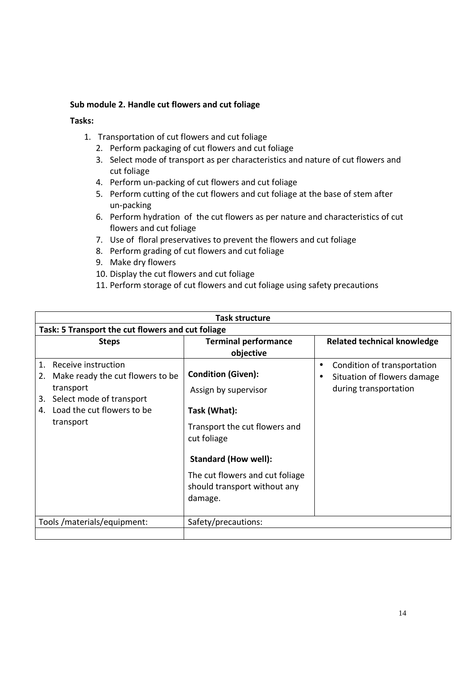#### **Sub module 2. Handle cut flowers and cut foliage**

#### **Tasks:**

- 1. Transportation of cut flowers and cut foliage
	- 2. Perform packaging of cut flowers and cut foliage
	- 3. Select mode of transport as per characteristics and nature of cut flowers and cut foliage
	- 4. Perform un-packing of cut flowers and cut foliage
	- 5. Perform cutting of the cut flowers and cut foliage at the base of stem after un-packing
	- 6. Perform hydration of the cut flowers as per nature and characteristics of cut flowers and cut foliage
	- 7. Use of floral preservatives to prevent the flowers and cut foliage
	- 8. Perform grading of cut flowers and cut foliage
	- 9. Make dry flowers
	- 10. Display the cut flowers and cut foliage
	- 11. Perform storage of cut flowers and cut foliage using safety precautions

| Task structure                                                                                                                 |                                                                            |                                                                                          |  |  |  |
|--------------------------------------------------------------------------------------------------------------------------------|----------------------------------------------------------------------------|------------------------------------------------------------------------------------------|--|--|--|
|                                                                                                                                | Task: 5 Transport the cut flowers and cut foliage                          |                                                                                          |  |  |  |
| <b>Steps</b>                                                                                                                   | <b>Terminal performance</b>                                                | <b>Related technical knowledge</b>                                                       |  |  |  |
|                                                                                                                                | objective                                                                  |                                                                                          |  |  |  |
| Receive instruction<br>$\mathbf{1}$ .<br>Make ready the cut flowers to be<br>2.<br>transport<br>Select mode of transport<br>3. | <b>Condition (Given):</b><br>Assign by supervisor                          | Condition of transportation<br>٠<br>Situation of flowers damage<br>during transportation |  |  |  |
| Load the cut flowers to be<br>4.<br>transport                                                                                  | Task (What):<br>Transport the cut flowers and                              |                                                                                          |  |  |  |
|                                                                                                                                | cut foliage<br><b>Standard (How well):</b>                                 |                                                                                          |  |  |  |
|                                                                                                                                | The cut flowers and cut foliage<br>should transport without any<br>damage. |                                                                                          |  |  |  |
| Tools/materials/equipment:                                                                                                     | Safety/precautions:                                                        |                                                                                          |  |  |  |
|                                                                                                                                |                                                                            |                                                                                          |  |  |  |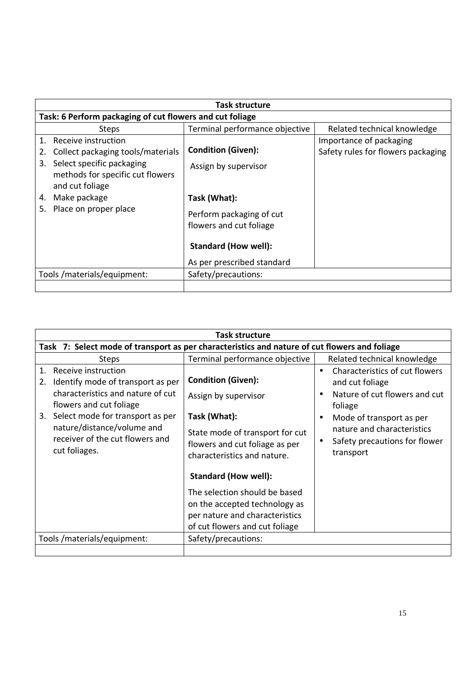|                                                                                        | <b>Task structure</b>                               |                                    |
|----------------------------------------------------------------------------------------|-----------------------------------------------------|------------------------------------|
| Task: 6 Perform packaging of cut flowers and cut foliage                               |                                                     |                                    |
| <b>Steps</b>                                                                           | Terminal performance objective                      | Related technical knowledge        |
| Receive instruction<br>$\mathbf 1$                                                     |                                                     | Importance of packaging            |
| Collect packaging tools/materials                                                      | <b>Condition (Given):</b>                           | Safety rules for flowers packaging |
| Select specific packaging<br>3.<br>methods for specific cut flowers<br>and cut foliage | Assign by supervisor                                |                                    |
| Make package<br>4.                                                                     | Task (What):                                        |                                    |
| Place on proper place<br>5.                                                            | Perform packaging of cut<br>flowers and cut foliage |                                    |
|                                                                                        | <b>Standard (How well):</b>                         |                                    |
|                                                                                        | As per prescribed standard                          |                                    |
| Tools/materials/equipment:                                                             | Safety/precautions:                                 |                                    |
|                                                                                        |                                                     |                                    |

| Task structure                                                                                                                                                                                                                                                         |                                                                                                                                                                                                                                                                                                   |                                                                                                                                                                                                                         |  |  |
|------------------------------------------------------------------------------------------------------------------------------------------------------------------------------------------------------------------------------------------------------------------------|---------------------------------------------------------------------------------------------------------------------------------------------------------------------------------------------------------------------------------------------------------------------------------------------------|-------------------------------------------------------------------------------------------------------------------------------------------------------------------------------------------------------------------------|--|--|
| Task 7: Select mode of transport as per characteristics and nature of cut flowers and foliage                                                                                                                                                                          |                                                                                                                                                                                                                                                                                                   |                                                                                                                                                                                                                         |  |  |
| <b>Steps</b>                                                                                                                                                                                                                                                           | Terminal performance objective                                                                                                                                                                                                                                                                    | Related technical knowledge                                                                                                                                                                                             |  |  |
| Receive instruction<br>$1_{\cdot}$<br>Identify mode of transport as per<br>2.<br>characteristics and nature of cut<br>flowers and cut foliage<br>3. Select mode for transport as per<br>nature/distance/volume and<br>receiver of the cut flowers and<br>cut foliages. | <b>Condition (Given):</b><br>Assign by supervisor<br>Task (What):<br>State mode of transport for cut<br>flowers and cut foliage as per<br>characteristics and nature.<br>Standard (How well):<br>The selection should be based<br>on the accepted technology as<br>per nature and characteristics | Characteristics of cut flowers<br>$\bullet$<br>and cut foliage<br>Nature of cut flowers and cut<br>foliage<br>Mode of transport as per<br>٠<br>nature and characteristics<br>Safety precautions for flower<br>transport |  |  |
|                                                                                                                                                                                                                                                                        | of cut flowers and cut foliage                                                                                                                                                                                                                                                                    |                                                                                                                                                                                                                         |  |  |
| Tools/materials/equipment:                                                                                                                                                                                                                                             | Safety/precautions:                                                                                                                                                                                                                                                                               |                                                                                                                                                                                                                         |  |  |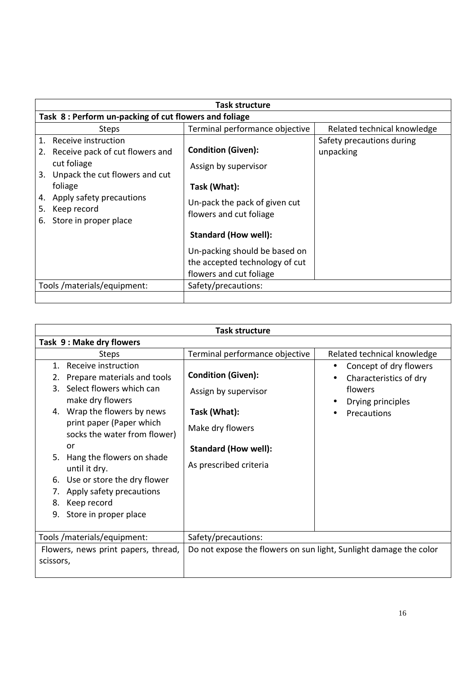| Task structure                                                                                                                                   |                                                                                            |                                        |  |
|--------------------------------------------------------------------------------------------------------------------------------------------------|--------------------------------------------------------------------------------------------|----------------------------------------|--|
|                                                                                                                                                  |                                                                                            |                                        |  |
| Task 8: Perform un-packing of cut flowers and foliage                                                                                            |                                                                                            |                                        |  |
| <b>Steps</b>                                                                                                                                     | Terminal performance objective                                                             | Related technical knowledge            |  |
| Receive instruction<br>$\mathbf{1}$ .<br>Receive pack of cut flowers and<br>2.<br>cut foliage<br>Unpack the cut flowers and cut<br>3.<br>foliage | <b>Condition (Given):</b><br>Assign by supervisor<br>Task (What):                          | Safety precautions during<br>unpacking |  |
| Apply safety precautions<br>4.<br>Keep record<br>5.<br>Store in proper place<br>6.                                                               | Un-pack the pack of given cut<br>flowers and cut foliage<br><b>Standard (How well):</b>    |                                        |  |
|                                                                                                                                                  | Un-packing should be based on<br>the accepted technology of cut<br>flowers and cut foliage |                                        |  |
| Tools/materials/equipment:                                                                                                                       | Safety/precautions:                                                                        |                                        |  |
|                                                                                                                                                  |                                                                                            |                                        |  |

| <b>Task structure</b>                                                                                                                                                       |                                                                   |                                                                                               |  |
|-----------------------------------------------------------------------------------------------------------------------------------------------------------------------------|-------------------------------------------------------------------|-----------------------------------------------------------------------------------------------|--|
| Task 9: Make dry flowers                                                                                                                                                    |                                                                   |                                                                                               |  |
| <b>Steps</b>                                                                                                                                                                | Terminal performance objective                                    | Related technical knowledge                                                                   |  |
| Receive instruction<br>1.<br>Prepare materials and tools<br>2.<br>Select flowers which can<br>3.<br>make dry flowers                                                        | <b>Condition (Given):</b><br>Assign by supervisor                 | Concept of dry flowers<br>$\bullet$<br>Characteristics of dry<br>flowers<br>Drying principles |  |
| 4. Wrap the flowers by news<br>print paper (Paper which<br>socks the water from flower)<br>or                                                                               | Task (What):<br>Make dry flowers<br><b>Standard (How well):</b>   | Precautions                                                                                   |  |
| Hang the flowers on shade<br>5.<br>until it dry.<br>Use or store the dry flower<br>6.<br>Apply safety precautions<br>7.<br>Keep record<br>8.<br>Store in proper place<br>9. | As prescribed criteria                                            |                                                                                               |  |
| Tools /materials/equipment:                                                                                                                                                 | Safety/precautions:                                               |                                                                                               |  |
| Flowers, news print papers, thread,<br>scissors,                                                                                                                            | Do not expose the flowers on sun light, Sunlight damage the color |                                                                                               |  |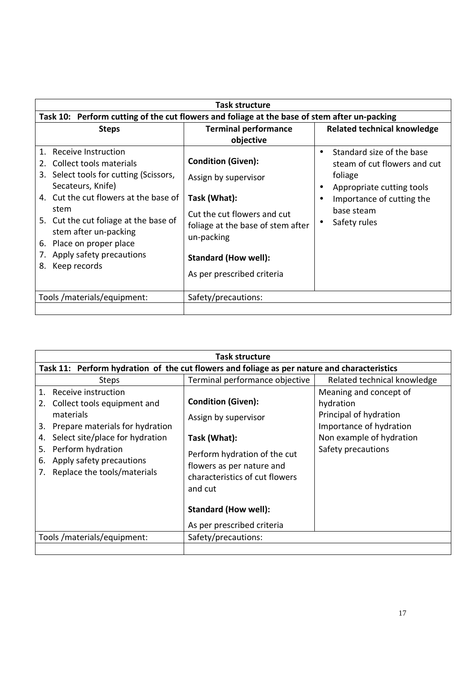| <b>Task structure</b>                                                                                                                                                                                                                                                                                                                  |                                                                                                                                                                                                           |                                                                                                                                                              |  |
|----------------------------------------------------------------------------------------------------------------------------------------------------------------------------------------------------------------------------------------------------------------------------------------------------------------------------------------|-----------------------------------------------------------------------------------------------------------------------------------------------------------------------------------------------------------|--------------------------------------------------------------------------------------------------------------------------------------------------------------|--|
| Task 10: Perform cutting of the cut flowers and foliage at the base of stem after un-packing                                                                                                                                                                                                                                           |                                                                                                                                                                                                           |                                                                                                                                                              |  |
| <b>Steps</b>                                                                                                                                                                                                                                                                                                                           | <b>Terminal performance</b><br>objective                                                                                                                                                                  | <b>Related technical knowledge</b>                                                                                                                           |  |
| Receive Instruction<br>$1_{\cdot}$<br>Collect tools materials<br>Select tools for cutting (Scissors,<br>3.<br>Secateurs, Knife)<br>4. Cut the cut flowers at the base of<br>stem<br>5. Cut the cut foliage at the base of<br>stem after un-packing<br>6. Place on proper place<br>Apply safety precautions<br>7.<br>Keep records<br>8. | <b>Condition (Given):</b><br>Assign by supervisor<br>Task (What):<br>Cut the cut flowers and cut<br>foliage at the base of stem after<br>un-packing<br>Standard (How well):<br>As per prescribed criteria | Standard size of the base<br>steam of cut flowers and cut<br>foliage<br>Appropriate cutting tools<br>Importance of cutting the<br>base steam<br>Safety rules |  |
| Tools /materials/equipment:                                                                                                                                                                                                                                                                                                            | Safety/precautions:                                                                                                                                                                                       |                                                                                                                                                              |  |
|                                                                                                                                                                                                                                                                                                                                        |                                                                                                                                                                                                           |                                                                                                                                                              |  |

| Task structure                                                                                                                                                                                                                                                        |                                                                                                                                                                                                                                          |                                                                                                                                            |  |
|-----------------------------------------------------------------------------------------------------------------------------------------------------------------------------------------------------------------------------------------------------------------------|------------------------------------------------------------------------------------------------------------------------------------------------------------------------------------------------------------------------------------------|--------------------------------------------------------------------------------------------------------------------------------------------|--|
| Task 11: Perform hydration of the cut flowers and foliage as per nature and characteristics                                                                                                                                                                           |                                                                                                                                                                                                                                          |                                                                                                                                            |  |
| <b>Steps</b>                                                                                                                                                                                                                                                          | Terminal performance objective                                                                                                                                                                                                           | Related technical knowledge                                                                                                                |  |
| Receive instruction<br>$\mathbf{1}$ .<br>Collect tools equipment and<br>2.<br>materials<br>Prepare materials for hydration<br>3.<br>Select site/place for hydration<br>4.<br>Perform hydration<br>5.<br>Apply safety precautions<br>6.<br>Replace the tools/materials | <b>Condition (Given):</b><br>Assign by supervisor<br>Task (What):<br>Perform hydration of the cut<br>flowers as per nature and<br>characteristics of cut flowers<br>and cut<br><b>Standard (How well):</b><br>As per prescribed criteria | Meaning and concept of<br>hydration<br>Principal of hydration<br>Importance of hydration<br>Non example of hydration<br>Safety precautions |  |
| Tools /materials/equipment:                                                                                                                                                                                                                                           | Safety/precautions:                                                                                                                                                                                                                      |                                                                                                                                            |  |
|                                                                                                                                                                                                                                                                       |                                                                                                                                                                                                                                          |                                                                                                                                            |  |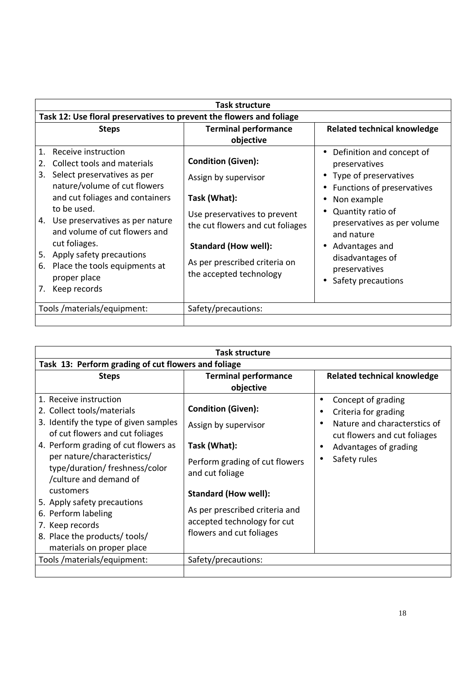| Task 12: Use floral preservatives to prevent the flowers and foliage                                                                                                                                                                                                                                                                                                 |
|----------------------------------------------------------------------------------------------------------------------------------------------------------------------------------------------------------------------------------------------------------------------------------------------------------------------------------------------------------------------|
| <b>Terminal performance</b><br><b>Related technical knowledge</b>                                                                                                                                                                                                                                                                                                    |
| Definition and concept of<br>preservatives<br>Type of preservatives<br>Functions of preservatives<br>Non example<br>Quantity ratio of<br>Use preservatives to prevent<br>preservatives as per volume<br>the cut flowers and cut foliages<br>and nature<br>Advantages and<br>disadvantages of<br>As per prescribed criteria on<br>preservatives<br>Safety precautions |
|                                                                                                                                                                                                                                                                                                                                                                      |
|                                                                                                                                                                                                                                                                                                                                                                      |

| Task structure                                                                                                                      |                                                                                           |                                                                                                                   |  |
|-------------------------------------------------------------------------------------------------------------------------------------|-------------------------------------------------------------------------------------------|-------------------------------------------------------------------------------------------------------------------|--|
| Task 13: Perform grading of cut flowers and foliage                                                                                 |                                                                                           |                                                                                                                   |  |
| <b>Steps</b>                                                                                                                        | <b>Terminal performance</b>                                                               | <b>Related technical knowledge</b>                                                                                |  |
|                                                                                                                                     | objective                                                                                 |                                                                                                                   |  |
| 1. Receive instruction<br>2. Collect tools/materials<br>3. Identify the type of given samples                                       | <b>Condition (Given):</b><br>Assign by supervisor                                         | Concept of grading<br>$\bullet$<br>Criteria for grading<br>$\bullet$<br>Nature and characterstics of<br>$\bullet$ |  |
| of cut flowers and cut foliages<br>4. Perform grading of cut flowers as<br>per nature/characteristics/                              | Task (What):<br>Perform grading of cut flowers                                            | cut flowers and cut foliages<br>Advantages of grading<br>٠<br>Safety rules<br>٠                                   |  |
| type/duration/ freshness/color<br>/culture and demand of<br>customers                                                               | and cut foliage<br><b>Standard (How well):</b>                                            |                                                                                                                   |  |
| 5. Apply safety precautions<br>6. Perform labeling<br>7. Keep records<br>8. Place the products/ tools/<br>materials on proper place | As per prescribed criteria and<br>accepted technology for cut<br>flowers and cut foliages |                                                                                                                   |  |
| Tools /materials/equipment:                                                                                                         | Safety/precautions:                                                                       |                                                                                                                   |  |
|                                                                                                                                     |                                                                                           |                                                                                                                   |  |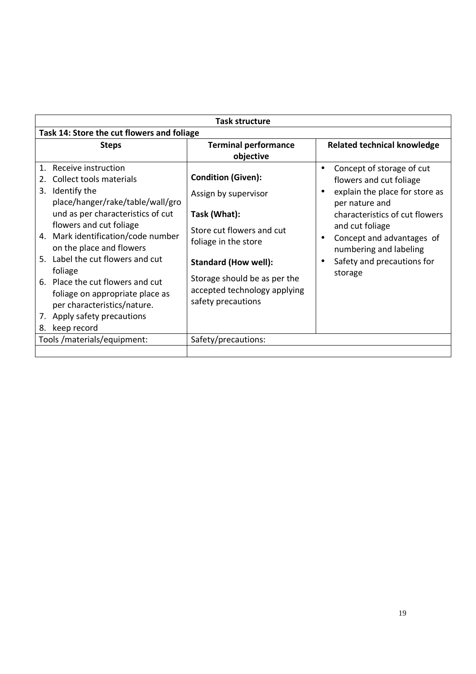|                | <b>Task structure</b>                      |                              |                                             |  |
|----------------|--------------------------------------------|------------------------------|---------------------------------------------|--|
|                | Task 14: Store the cut flowers and foliage |                              |                                             |  |
|                | <b>Steps</b>                               | <b>Terminal performance</b>  | <b>Related technical knowledge</b>          |  |
|                |                                            | objective                    |                                             |  |
| $\mathbf{1}$ . | Receive instruction                        |                              | Concept of storage of cut<br>$\bullet$      |  |
|                | Collect tools materials                    | <b>Condition (Given):</b>    | flowers and cut foliage                     |  |
| 3.             | Identify the                               | Assign by supervisor         | explain the place for store as<br>$\bullet$ |  |
|                | place/hanger/rake/table/wall/gro           |                              | per nature and                              |  |
|                | und as per characteristics of cut          | Task (What):                 | characteristics of cut flowers              |  |
|                | flowers and cut foliage                    | Store cut flowers and cut    | and cut foliage                             |  |
|                | 4. Mark identification/code number         | foliage in the store         | Concept and advantages of<br>$\bullet$      |  |
|                | on the place and flowers                   |                              | numbering and labeling                      |  |
|                | 5. Label the cut flowers and cut           | <b>Standard (How well):</b>  | Safety and precautions for<br>$\bullet$     |  |
|                | foliage                                    | Storage should be as per the | storage                                     |  |
|                | 6. Place the cut flowers and cut           | accepted technology applying |                                             |  |
|                | foliage on appropriate place as            | safety precautions           |                                             |  |
|                | per characteristics/nature.                |                              |                                             |  |
|                | 7. Apply safety precautions                |                              |                                             |  |
| 8.             | keep record                                |                              |                                             |  |
|                | Tools /materials/equipment:                | Safety/precautions:          |                                             |  |
|                |                                            |                              |                                             |  |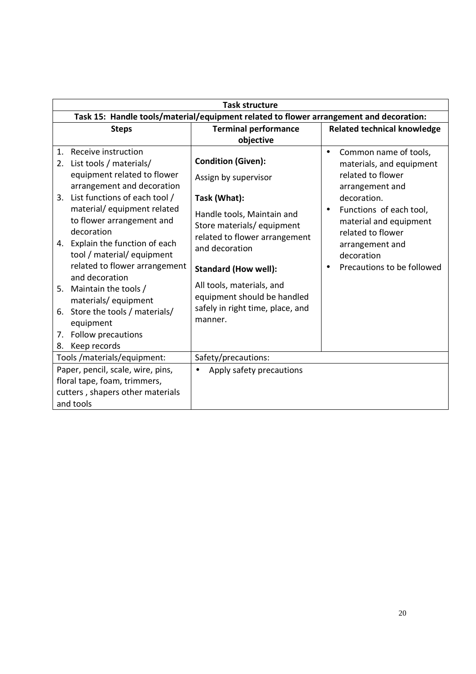|                                                                                        | <b>Task structure</b>                                                                                                                                                                                                                       |                                                                                                                                                                                                       |                                                                                                                                       |
|----------------------------------------------------------------------------------------|---------------------------------------------------------------------------------------------------------------------------------------------------------------------------------------------------------------------------------------------|-------------------------------------------------------------------------------------------------------------------------------------------------------------------------------------------------------|---------------------------------------------------------------------------------------------------------------------------------------|
| Task 15: Handle tools/material/equipment related to flower arrangement and decoration: |                                                                                                                                                                                                                                             |                                                                                                                                                                                                       |                                                                                                                                       |
|                                                                                        | <b>Steps</b>                                                                                                                                                                                                                                | <b>Terminal performance</b>                                                                                                                                                                           | <b>Related technical knowledge</b>                                                                                                    |
|                                                                                        |                                                                                                                                                                                                                                             | objective                                                                                                                                                                                             |                                                                                                                                       |
| 2.                                                                                     | 1. Receive instruction<br>List tools / materials/<br>equipment related to flower<br>arrangement and decoration                                                                                                                              | <b>Condition (Given):</b><br>Assign by supervisor                                                                                                                                                     | Common name of tools,<br>$\bullet$<br>materials, and equipment<br>related to flower<br>arrangement and                                |
|                                                                                        | 3. List functions of each tool /                                                                                                                                                                                                            | Task (What):                                                                                                                                                                                          | decoration.                                                                                                                           |
|                                                                                        | material/equipment related<br>to flower arrangement and<br>decoration<br>4. Explain the function of each<br>tool / material/ equipment<br>related to flower arrangement<br>and decoration<br>5. Maintain the tools /<br>materials/equipment | Handle tools, Maintain and<br>Store materials/equipment<br>related to flower arrangement<br>and decoration<br><b>Standard (How well):</b><br>All tools, materials, and<br>equipment should be handled | Functions of each tool,<br>material and equipment<br>related to flower<br>arrangement and<br>decoration<br>Precautions to be followed |
|                                                                                        | 6. Store the tools / materials/<br>equipment                                                                                                                                                                                                | safely in right time, place, and<br>manner.                                                                                                                                                           |                                                                                                                                       |
|                                                                                        | 7. Follow precautions                                                                                                                                                                                                                       |                                                                                                                                                                                                       |                                                                                                                                       |
| 8.                                                                                     | Keep records                                                                                                                                                                                                                                |                                                                                                                                                                                                       |                                                                                                                                       |
|                                                                                        | Tools/materials/equipment:                                                                                                                                                                                                                  | Safety/precautions:                                                                                                                                                                                   |                                                                                                                                       |
|                                                                                        | Paper, pencil, scale, wire, pins,<br>floral tape, foam, trimmers,<br>cutters, shapers other materials<br>and tools                                                                                                                          | Apply safety precautions                                                                                                                                                                              |                                                                                                                                       |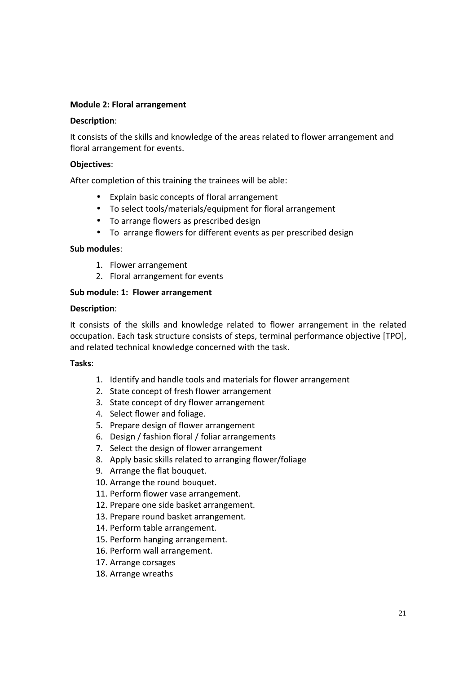#### **Module 2: Floral arrangement**

#### **Description**:

It consists of the skills and knowledge of the areas related to flower arrangement and floral arrangement for events.

#### **Objectives**:

After completion of this training the trainees will be able:

- Explain basic concepts of floral arrangement
- To select tools/materials/equipment for floral arrangement
- To arrange flowers as prescribed design
- To arrange flowers for different events as per prescribed design

#### **Sub modules**:

- 1. Flower arrangement
- 2. Floral arrangement for events

#### **Sub module: 1: Flower arrangement**

#### **Description**:

It consists of the skills and knowledge related to flower arrangement in the related occupation. Each task structure consists of steps, terminal performance objective [TPO], and related technical knowledge concerned with the task.

#### **Tasks**:

- 1. Identify and handle tools and materials for flower arrangement
- 2. State concept of fresh flower arrangement
- 3. State concept of dry flower arrangement
- 4. Select flower and foliage.
- 5. Prepare design of flower arrangement
- 6. Design / fashion floral / foliar arrangements
- 7. Select the design of flower arrangement
- 8. Apply basic skills related to arranging flower/foliage
- 9. Arrange the flat bouquet.
- 10. Arrange the round bouquet.
- 11. Perform flower vase arrangement.
- 12. Prepare one side basket arrangement.
- 13. Prepare round basket arrangement.
- 14. Perform table arrangement.
- 15. Perform hanging arrangement.
- 16. Perform wall arrangement.
- 17. Arrange corsages
- 18. Arrange wreaths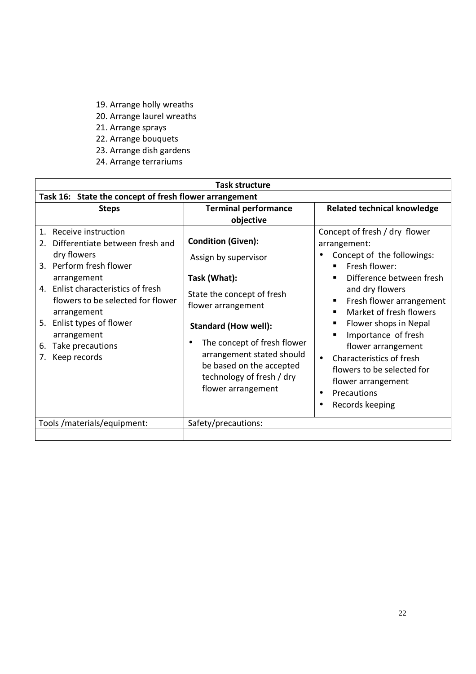- 19. Arrange holly wreaths
- 20. Arrange laurel wreaths
- 21. Arrange sprays
- 22. Arrange bouquets
- 23. Arrange dish gardens
- 24. Arrange terrariums

| <b>Task structure</b>                                                                                                                                                                                                                                                                                                           |                                                                                                                                                                                                                                                                                                 |                                                                                                                                                                                                                                                                                                                                                                                                                                                       |
|---------------------------------------------------------------------------------------------------------------------------------------------------------------------------------------------------------------------------------------------------------------------------------------------------------------------------------|-------------------------------------------------------------------------------------------------------------------------------------------------------------------------------------------------------------------------------------------------------------------------------------------------|-------------------------------------------------------------------------------------------------------------------------------------------------------------------------------------------------------------------------------------------------------------------------------------------------------------------------------------------------------------------------------------------------------------------------------------------------------|
| Task 16: State the concept of fresh flower arrangement                                                                                                                                                                                                                                                                          |                                                                                                                                                                                                                                                                                                 |                                                                                                                                                                                                                                                                                                                                                                                                                                                       |
| <b>Steps</b>                                                                                                                                                                                                                                                                                                                    | <b>Terminal performance</b><br>objective                                                                                                                                                                                                                                                        | <b>Related technical knowledge</b>                                                                                                                                                                                                                                                                                                                                                                                                                    |
| Receive instruction<br>$1_{\cdot}$<br>Differentiate between fresh and<br>$2_{-}$<br>dry flowers<br>3. Perform fresh flower<br>arrangement<br>4. Enlist characteristics of fresh<br>flowers to be selected for flower<br>arrangement<br>5. Enlist types of flower<br>arrangement<br>Take precautions<br>6.<br>Keep records<br>7. | <b>Condition (Given):</b><br>Assign by supervisor<br>Task (What):<br>State the concept of fresh<br>flower arrangement<br><b>Standard (How well):</b><br>The concept of fresh flower<br>arrangement stated should<br>be based on the accepted<br>technology of fresh / dry<br>flower arrangement | Concept of fresh / dry flower<br>arrangement:<br>Concept of the followings:<br>Fresh flower:<br>Difference between fresh<br>п<br>and dry flowers<br>Fresh flower arrangement<br>٠<br>Market of fresh flowers<br>$\blacksquare$<br>Flower shops in Nepal<br>п<br>Importance of fresh<br>flower arrangement<br>Characteristics of fresh<br>$\bullet$<br>flowers to be selected for<br>flower arrangement<br>Precautions<br>$\bullet$<br>Records keeping |
| Tools /materials/equipment:                                                                                                                                                                                                                                                                                                     | Safety/precautions:                                                                                                                                                                                                                                                                             |                                                                                                                                                                                                                                                                                                                                                                                                                                                       |
|                                                                                                                                                                                                                                                                                                                                 |                                                                                                                                                                                                                                                                                                 |                                                                                                                                                                                                                                                                                                                                                                                                                                                       |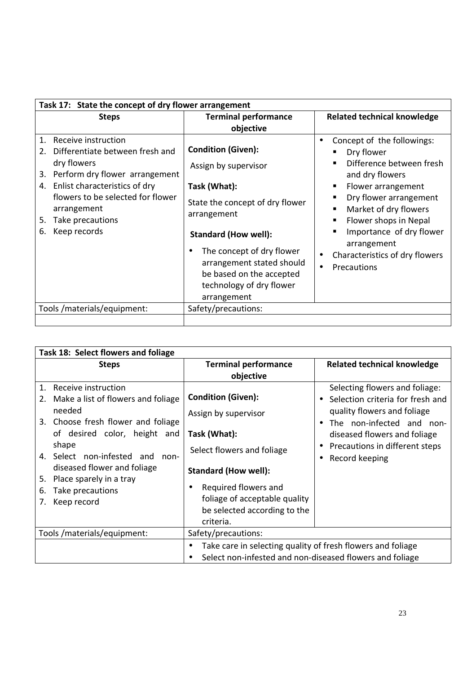| Task 17: State the concept of dry flower arrangement                                                                                                                                                                                                                          |                                                                                                                                                                                                                                                                                                  |                                                                                                                                                                                                                                                                                       |
|-------------------------------------------------------------------------------------------------------------------------------------------------------------------------------------------------------------------------------------------------------------------------------|--------------------------------------------------------------------------------------------------------------------------------------------------------------------------------------------------------------------------------------------------------------------------------------------------|---------------------------------------------------------------------------------------------------------------------------------------------------------------------------------------------------------------------------------------------------------------------------------------|
| <b>Steps</b>                                                                                                                                                                                                                                                                  | <b>Terminal performance</b><br>objective                                                                                                                                                                                                                                                         | <b>Related technical knowledge</b>                                                                                                                                                                                                                                                    |
| Receive instruction<br>$1_{\cdot}$<br>Differentiate between fresh and<br>2.<br>dry flowers<br>Perform dry flower arrangement<br>3.<br>Enlist characteristics of dry<br>4.<br>flowers to be selected for flower<br>arrangement<br>Take precautions<br>5.<br>Keep records<br>6. | <b>Condition (Given):</b><br>Assign by supervisor<br>Task (What):<br>State the concept of dry flower<br>arrangement<br><b>Standard (How well):</b><br>The concept of dry flower<br>$\bullet$<br>arrangement stated should<br>be based on the accepted<br>technology of dry flower<br>arrangement | Concept of the followings:<br>Dry flower<br>Difference between fresh<br>and dry flowers<br>Flower arrangement<br>Dry flower arrangement<br>Market of dry flowers<br>Flower shops in Nepal<br>Importance of dry flower<br>arrangement<br>Characteristics of dry flowers<br>Precautions |
| Tools/materials/equipment:                                                                                                                                                                                                                                                    | Safety/precautions:                                                                                                                                                                                                                                                                              |                                                                                                                                                                                                                                                                                       |
|                                                                                                                                                                                                                                                                               |                                                                                                                                                                                                                                                                                                  |                                                                                                                                                                                                                                                                                       |

| Task 18: Select flowers and foliage                                               |                                                                                                                         |                                                                    |
|-----------------------------------------------------------------------------------|-------------------------------------------------------------------------------------------------------------------------|--------------------------------------------------------------------|
| <b>Steps</b>                                                                      | <b>Terminal performance</b>                                                                                             | <b>Related technical knowledge</b>                                 |
|                                                                                   | objective                                                                                                               |                                                                    |
| Receive instruction<br>$\mathbf{1}$ .<br>Make a list of flowers and foliage<br>2. | <b>Condition (Given):</b>                                                                                               | Selecting flowers and foliage:<br>Selection criteria for fresh and |
| needed<br>3. Choose fresh flower and foliage                                      | Assign by supervisor                                                                                                    | quality flowers and foliage<br>The non-infected and non-           |
| of desired color, height and                                                      | Task (What):                                                                                                            | diseased flowers and foliage                                       |
| shape<br>4. Select non-infested and<br>non-                                       | Select flowers and foliage                                                                                              | Precautions in different steps<br>Record keeping                   |
| diseased flower and foliage                                                       | <b>Standard (How well):</b>                                                                                             |                                                                    |
| Place sparely in a tray<br>5.<br>Take precautions<br>6.<br>Keep record<br>7.      | Required flowers and<br>$\bullet$<br>foliage of acceptable quality<br>be selected according to the<br>criteria.         |                                                                    |
| Tools/materials/equipment:                                                        | Safety/precautions:                                                                                                     |                                                                    |
|                                                                                   | Take care in selecting quality of fresh flowers and foliage<br>Select non-infested and non-diseased flowers and foliage |                                                                    |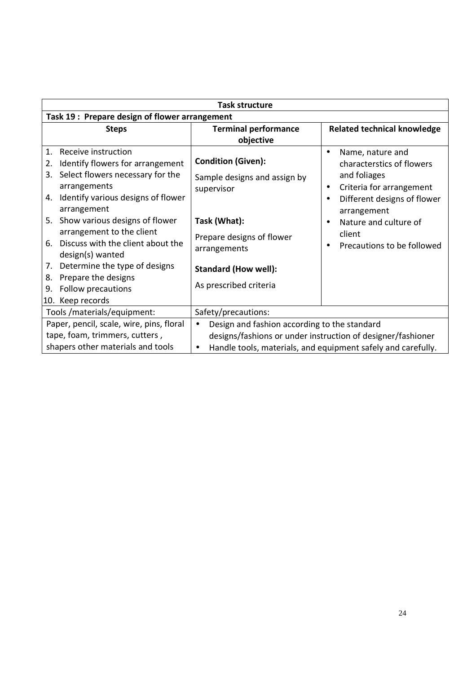| <b>Task structure</b>                         |                                                                                                                                                                                                                                                                                                                                                                           |                                                                                                                                                                                               |                                                                                                                                                                                                                                                                   |
|-----------------------------------------------|---------------------------------------------------------------------------------------------------------------------------------------------------------------------------------------------------------------------------------------------------------------------------------------------------------------------------------------------------------------------------|-----------------------------------------------------------------------------------------------------------------------------------------------------------------------------------------------|-------------------------------------------------------------------------------------------------------------------------------------------------------------------------------------------------------------------------------------------------------------------|
| Task 19: Prepare design of flower arrangement |                                                                                                                                                                                                                                                                                                                                                                           |                                                                                                                                                                                               |                                                                                                                                                                                                                                                                   |
|                                               | <b>Steps</b>                                                                                                                                                                                                                                                                                                                                                              | <b>Terminal performance</b><br>objective                                                                                                                                                      | <b>Related technical knowledge</b>                                                                                                                                                                                                                                |
| 1.<br>2.<br>3.<br>5.<br>6.<br>7.<br>8.<br>9.  | Receive instruction<br>Identify flowers for arrangement<br>Select flowers necessary for the<br>arrangements<br>4. Identify various designs of flower<br>arrangement<br>Show various designs of flower<br>arrangement to the client<br>Discuss with the client about the<br>design(s) wanted<br>Determine the type of designs<br>Prepare the designs<br>Follow precautions | <b>Condition (Given):</b><br>Sample designs and assign by<br>supervisor<br>Task (What):<br>Prepare designs of flower<br>arrangements<br><b>Standard (How well):</b><br>As prescribed criteria | Name, nature and<br>$\bullet$<br>characterstics of flowers<br>and foliages<br>Criteria for arrangement<br>٠<br>Different designs of flower<br>$\bullet$<br>arrangement<br>Nature and culture of<br>$\bullet$<br>client<br>Precautions to be followed<br>$\bullet$ |
|                                               | 10. Keep records<br>Tools/materials/equipment:                                                                                                                                                                                                                                                                                                                            | Safety/precautions:                                                                                                                                                                           |                                                                                                                                                                                                                                                                   |
|                                               | Paper, pencil, scale, wire, pins, floral<br>tape, foam, trimmers, cutters,<br>shapers other materials and tools                                                                                                                                                                                                                                                           | Design and fashion according to the standard<br>$\bullet$<br>$\bullet$                                                                                                                        | designs/fashions or under instruction of designer/fashioner<br>Handle tools, materials, and equipment safely and carefully.                                                                                                                                       |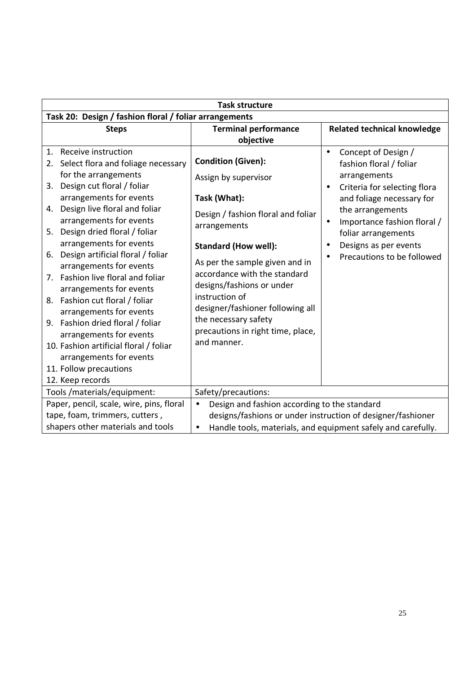| <b>Task structure</b>                                                                                                                                                                                                                                                                                                                                                                                                                                                                                                                                                                                                                                                                         |                                                                                                                                                                                                                                                                                                                                                                                         |                                                                                                                                                                                                                                                                                                          |  |
|-----------------------------------------------------------------------------------------------------------------------------------------------------------------------------------------------------------------------------------------------------------------------------------------------------------------------------------------------------------------------------------------------------------------------------------------------------------------------------------------------------------------------------------------------------------------------------------------------------------------------------------------------------------------------------------------------|-----------------------------------------------------------------------------------------------------------------------------------------------------------------------------------------------------------------------------------------------------------------------------------------------------------------------------------------------------------------------------------------|----------------------------------------------------------------------------------------------------------------------------------------------------------------------------------------------------------------------------------------------------------------------------------------------------------|--|
| Task 20: Design / fashion floral / foliar arrangements                                                                                                                                                                                                                                                                                                                                                                                                                                                                                                                                                                                                                                        |                                                                                                                                                                                                                                                                                                                                                                                         |                                                                                                                                                                                                                                                                                                          |  |
| <b>Steps</b>                                                                                                                                                                                                                                                                                                                                                                                                                                                                                                                                                                                                                                                                                  | <b>Terminal performance</b><br>objective                                                                                                                                                                                                                                                                                                                                                | <b>Related technical knowledge</b>                                                                                                                                                                                                                                                                       |  |
| Receive instruction<br>1 <sub>1</sub><br>Select flora and foliage necessary<br>2.<br>for the arrangements<br>Design cut floral / foliar<br>3.<br>arrangements for events<br>Design live floral and foliar<br>4.<br>arrangements for events<br>5. Design dried floral / foliar<br>arrangements for events<br>Design artificial floral / foliar<br>6.<br>arrangements for events<br>7. Fashion live floral and foliar<br>arrangements for events<br>8. Fashion cut floral / foliar<br>arrangements for events<br>9. Fashion dried floral / foliar<br>arrangements for events<br>10. Fashion artificial floral / foliar<br>arrangements for events<br>11. Follow precautions<br>12. Keep records | <b>Condition (Given):</b><br>Assign by supervisor<br>Task (What):<br>Design / fashion floral and foliar<br>arrangements<br><b>Standard (How well):</b><br>As per the sample given and in<br>accordance with the standard<br>designs/fashions or under<br>instruction of<br>designer/fashioner following all<br>the necessary safety<br>precautions in right time, place,<br>and manner. | Concept of Design /<br>$\bullet$<br>fashion floral / foliar<br>arrangements<br>Criteria for selecting flora<br>$\bullet$<br>and foliage necessary for<br>the arrangements<br>Importance fashion floral /<br>$\bullet$<br>foliar arrangements<br>Designs as per events<br>٠<br>Precautions to be followed |  |
| Tools /materials/equipment:                                                                                                                                                                                                                                                                                                                                                                                                                                                                                                                                                                                                                                                                   | Safety/precautions:                                                                                                                                                                                                                                                                                                                                                                     |                                                                                                                                                                                                                                                                                                          |  |
| Paper, pencil, scale, wire, pins, floral<br>tape, foam, trimmers, cutters,<br>shapers other materials and tools                                                                                                                                                                                                                                                                                                                                                                                                                                                                                                                                                                               | Design and fashion according to the standard<br>$\bullet$<br>$\bullet$                                                                                                                                                                                                                                                                                                                  | designs/fashions or under instruction of designer/fashioner<br>Handle tools, materials, and equipment safely and carefully.                                                                                                                                                                              |  |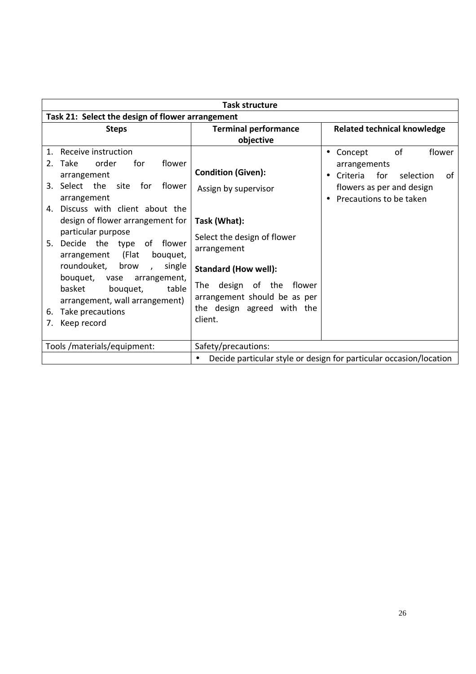| <b>Task structure</b>                                                                                                                                                                                                                                                                                                                                                                                                                                                                      |                                                                                                                                                                                                                 |                                                                                                                                                    |
|--------------------------------------------------------------------------------------------------------------------------------------------------------------------------------------------------------------------------------------------------------------------------------------------------------------------------------------------------------------------------------------------------------------------------------------------------------------------------------------------|-----------------------------------------------------------------------------------------------------------------------------------------------------------------------------------------------------------------|----------------------------------------------------------------------------------------------------------------------------------------------------|
| Task 21: Select the design of flower arrangement                                                                                                                                                                                                                                                                                                                                                                                                                                           |                                                                                                                                                                                                                 |                                                                                                                                                    |
| <b>Steps</b>                                                                                                                                                                                                                                                                                                                                                                                                                                                                               | <b>Terminal performance</b><br>objective                                                                                                                                                                        | <b>Related technical knowledge</b>                                                                                                                 |
| Receive instruction<br>$\mathbf{1}$ .<br>order<br>for<br>flower<br>Take<br>2 <sub>1</sub><br>arrangement<br>3. Select the<br>site for<br>flower<br>arrangement<br>4. Discuss with client about the<br>design of flower arrangement for<br>particular purpose<br>Decide the type of flower<br>5.<br>(Flat<br>arrangement<br>bouquet,<br>roundouket,<br>brow<br>single<br>$\mathcal{L}$<br>bouquet,<br>arrangement,<br>vase<br>basket<br>bouquet,<br>table<br>arrangement, wall arrangement) | <b>Condition (Given):</b><br>Assign by supervisor<br>Task (What):<br>Select the design of flower<br>arrangement<br><b>Standard (How well):</b><br>design of the flower<br>The l<br>arrangement should be as per | of<br>flower<br>Concept<br>$\bullet$<br>arrangements<br>Criteria<br>for<br>selection<br>0f<br>flowers as per and design<br>Precautions to be taken |
| Take precautions<br>6.<br>Keep record<br>7.                                                                                                                                                                                                                                                                                                                                                                                                                                                | the design agreed with the<br>client.                                                                                                                                                                           |                                                                                                                                                    |
| Tools/materials/equipment:                                                                                                                                                                                                                                                                                                                                                                                                                                                                 | Safety/precautions:                                                                                                                                                                                             |                                                                                                                                                    |
|                                                                                                                                                                                                                                                                                                                                                                                                                                                                                            |                                                                                                                                                                                                                 | Decide particular style or design for particular occasion/location                                                                                 |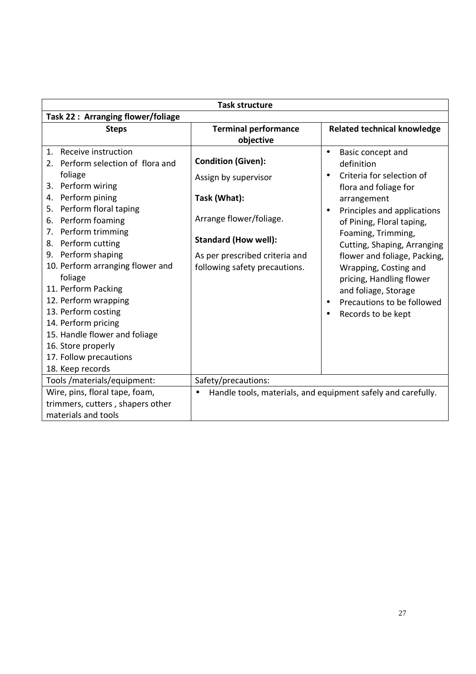| <b>Task structure</b>                                                                                                                                                                                                                                                                                                                                                                                                                                                                                             |                                                                                                                                                                                                |                                                                                                                                                                                                                                                                                                                                                                                                                                                         |  |
|-------------------------------------------------------------------------------------------------------------------------------------------------------------------------------------------------------------------------------------------------------------------------------------------------------------------------------------------------------------------------------------------------------------------------------------------------------------------------------------------------------------------|------------------------------------------------------------------------------------------------------------------------------------------------------------------------------------------------|---------------------------------------------------------------------------------------------------------------------------------------------------------------------------------------------------------------------------------------------------------------------------------------------------------------------------------------------------------------------------------------------------------------------------------------------------------|--|
| Task 22: Arranging flower/foliage                                                                                                                                                                                                                                                                                                                                                                                                                                                                                 |                                                                                                                                                                                                |                                                                                                                                                                                                                                                                                                                                                                                                                                                         |  |
| <b>Steps</b>                                                                                                                                                                                                                                                                                                                                                                                                                                                                                                      | <b>Terminal performance</b><br>objective                                                                                                                                                       | <b>Related technical knowledge</b>                                                                                                                                                                                                                                                                                                                                                                                                                      |  |
| Receive instruction<br>$1_{\cdot}$<br>2. Perform selection of flora and<br>foliage<br>Perform wiring<br>3.<br>Perform pining<br>4.<br>Perform floral taping<br>5.<br>Perform foaming<br>6.<br>7. Perform trimming<br>Perform cutting<br>8.<br>9. Perform shaping<br>10. Perform arranging flower and<br>foliage<br>11. Perform Packing<br>12. Perform wrapping<br>13. Perform costing<br>14. Perform pricing<br>15. Handle flower and foliage<br>16. Store properly<br>17. Follow precautions<br>18. Keep records | <b>Condition (Given):</b><br>Assign by supervisor<br>Task (What):<br>Arrange flower/foliage.<br><b>Standard (How well):</b><br>As per prescribed criteria and<br>following safety precautions. | Basic concept and<br>$\bullet$<br>definition<br>Criteria for selection of<br>$\bullet$<br>flora and foliage for<br>arrangement<br>Principles and applications<br>$\bullet$<br>of Pining, Floral taping,<br>Foaming, Trimming,<br>Cutting, Shaping, Arranging<br>flower and foliage, Packing,<br>Wrapping, Costing and<br>pricing, Handling flower<br>and foliage, Storage<br>Precautions to be followed<br>$\bullet$<br>Records to be kept<br>$\bullet$ |  |
| Tools / materials/equipment:                                                                                                                                                                                                                                                                                                                                                                                                                                                                                      | Safety/precautions:                                                                                                                                                                            |                                                                                                                                                                                                                                                                                                                                                                                                                                                         |  |
| Wire, pins, floral tape, foam,<br>trimmers, cutters, shapers other<br>materials and tools                                                                                                                                                                                                                                                                                                                                                                                                                         | $\bullet$                                                                                                                                                                                      | Handle tools, materials, and equipment safely and carefully.                                                                                                                                                                                                                                                                                                                                                                                            |  |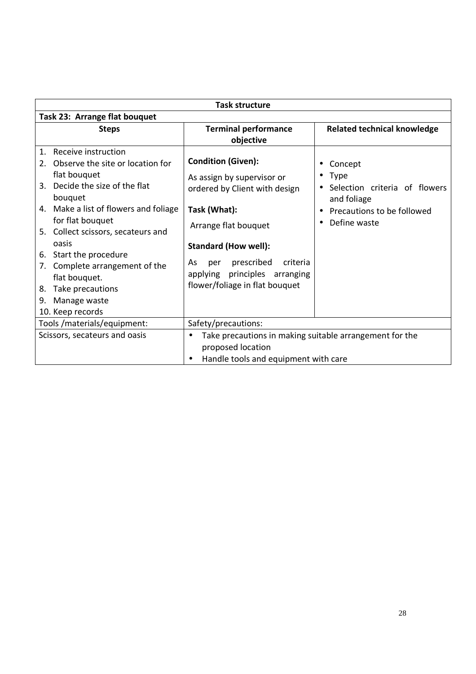| <b>Task structure</b>                                                                                                                                                                                                                                                                 |                                                                                                                                                                 |                                                                                                               |
|---------------------------------------------------------------------------------------------------------------------------------------------------------------------------------------------------------------------------------------------------------------------------------------|-----------------------------------------------------------------------------------------------------------------------------------------------------------------|---------------------------------------------------------------------------------------------------------------|
| Task 23: Arrange flat bouquet                                                                                                                                                                                                                                                         |                                                                                                                                                                 |                                                                                                               |
| <b>Steps</b>                                                                                                                                                                                                                                                                          | <b>Terminal performance</b><br>objective                                                                                                                        | <b>Related technical knowledge</b>                                                                            |
| Receive instruction<br>$\mathbf{1}$ .<br>Observe the site or location for<br>2.<br>flat bouquet<br>Decide the size of the flat<br>3.<br>bouquet<br>4. Make a list of flowers and foliage<br>for flat bouquet<br>5. Collect scissors, secateurs and<br>oasis<br>6. Start the procedure | <b>Condition (Given):</b><br>As assign by supervisor or<br>ordered by Client with design<br>Task (What):<br>Arrange flat bouquet<br><b>Standard (How well):</b> | Concept<br>Type<br>Selection criteria of flowers<br>and foliage<br>Precautions to be followed<br>Define waste |
| Complete arrangement of the<br>7.<br>flat bouquet.<br>Take precautions<br>8.<br>Manage waste<br>9.<br>10. Keep records                                                                                                                                                                | prescribed<br>criteria<br>As<br>per<br>principles arranging<br>applying<br>flower/foliage in flat bouquet                                                       |                                                                                                               |
| Tools /materials/equipment:                                                                                                                                                                                                                                                           | Safety/precautions:                                                                                                                                             |                                                                                                               |
| Scissors, secateurs and oasis                                                                                                                                                                                                                                                         | Take precautions in making suitable arrangement for the<br>$\bullet$<br>proposed location<br>Handle tools and equipment with care                               |                                                                                                               |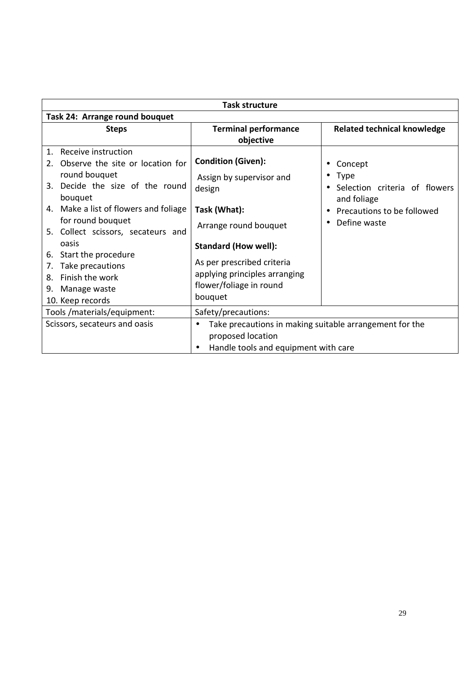| <b>Task structure</b>                           |                                                                      |                                    |  |
|-------------------------------------------------|----------------------------------------------------------------------|------------------------------------|--|
| Task 24: Arrange round bouquet                  |                                                                      |                                    |  |
| <b>Steps</b>                                    | <b>Terminal performance</b>                                          | <b>Related technical knowledge</b> |  |
|                                                 | objective                                                            |                                    |  |
| Receive instruction<br>1 <sub>1</sub>           |                                                                      |                                    |  |
| Observe the site or location for<br>$2^{\circ}$ | <b>Condition (Given):</b>                                            | Concept                            |  |
| round bouquet                                   | Assign by supervisor and                                             | <b>Type</b>                        |  |
| 3. Decide the size of the round                 | design                                                               | Selection criteria of flowers      |  |
| bouquet                                         |                                                                      | and foliage                        |  |
| 4. Make a list of flowers and foliage           | Task (What):                                                         | Precautions to be followed         |  |
| for round bouquet                               | Arrange round bouquet                                                | Define waste                       |  |
| 5. Collect scissors, secateurs and              |                                                                      |                                    |  |
| oasis                                           | <b>Standard (How well):</b>                                          |                                    |  |
| 6. Start the procedure                          | As per prescribed criteria                                           |                                    |  |
| Take precautions<br>7.                          |                                                                      |                                    |  |
| Finish the work<br>8.                           | applying principles arranging                                        |                                    |  |
| Manage waste<br>9.                              | flower/foliage in round                                              |                                    |  |
| 10. Keep records                                | bouquet                                                              |                                    |  |
| Tools/materials/equipment:                      | Safety/precautions:                                                  |                                    |  |
| Scissors, secateurs and oasis                   | Take precautions in making suitable arrangement for the<br>$\bullet$ |                                    |  |
|                                                 | proposed location                                                    |                                    |  |
|                                                 | Handle tools and equipment with care                                 |                                    |  |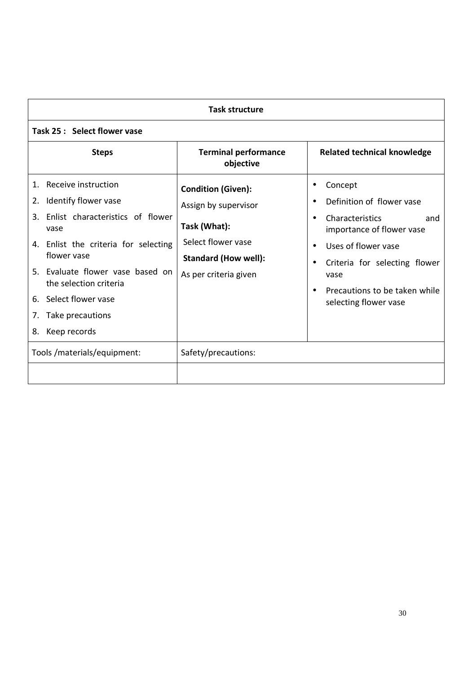| <b>Task structure</b>                                                                                                                                                                                                                                                                                                  |                                                                                                                                                 |                                                                                                                                                                                                                                                                                                            |
|------------------------------------------------------------------------------------------------------------------------------------------------------------------------------------------------------------------------------------------------------------------------------------------------------------------------|-------------------------------------------------------------------------------------------------------------------------------------------------|------------------------------------------------------------------------------------------------------------------------------------------------------------------------------------------------------------------------------------------------------------------------------------------------------------|
| Task 25 : Select flower vase                                                                                                                                                                                                                                                                                           |                                                                                                                                                 |                                                                                                                                                                                                                                                                                                            |
| <b>Steps</b>                                                                                                                                                                                                                                                                                                           | <b>Terminal performance</b><br>objective                                                                                                        | <b>Related technical knowledge</b>                                                                                                                                                                                                                                                                         |
| Receive instruction<br>$\mathbf{1}$ .<br>Identify flower vase<br>2.<br>Enlist characteristics of flower<br>3.<br>vase<br>4. Enlist the criteria for selecting<br>flower vase<br>5. Evaluate flower vase based on<br>the selection criteria<br>Select flower vase<br>6.<br>Take precautions<br>7.<br>Keep records<br>8. | <b>Condition (Given):</b><br>Assign by supervisor<br>Task (What):<br>Select flower vase<br><b>Standard (How well):</b><br>As per criteria given | Concept<br>$\bullet$<br>Definition of flower vase<br>$\bullet$<br><b>Characteristics</b><br>and<br>$\bullet$<br>importance of flower vase<br>Uses of flower vase<br>$\bullet$<br>Criteria for selecting flower<br>$\bullet$<br>vase<br>Precautions to be taken while<br>$\bullet$<br>selecting flower vase |
| Tools /materials/equipment:                                                                                                                                                                                                                                                                                            | Safety/precautions:                                                                                                                             |                                                                                                                                                                                                                                                                                                            |
|                                                                                                                                                                                                                                                                                                                        |                                                                                                                                                 |                                                                                                                                                                                                                                                                                                            |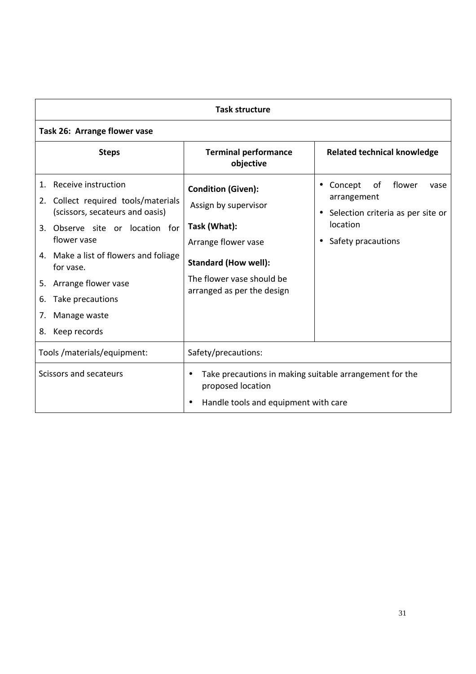| <b>Task structure</b>                                                                                                                                                                                                                                                                                       |                                                                                                                                                                                    |                                                                                                                                    |
|-------------------------------------------------------------------------------------------------------------------------------------------------------------------------------------------------------------------------------------------------------------------------------------------------------------|------------------------------------------------------------------------------------------------------------------------------------------------------------------------------------|------------------------------------------------------------------------------------------------------------------------------------|
| Task 26: Arrange flower vase                                                                                                                                                                                                                                                                                |                                                                                                                                                                                    |                                                                                                                                    |
| <b>Steps</b>                                                                                                                                                                                                                                                                                                | <b>Terminal performance</b><br>objective                                                                                                                                           | <b>Related technical knowledge</b>                                                                                                 |
| Receive instruction<br>1.<br>2. Collect required tools/materials<br>(scissors, secateurs and oasis)<br>3. Observe site or location for<br>flower vase<br>4. Make a list of flowers and foliage<br>for vase.<br>5. Arrange flower vase<br>Take precautions<br>6.<br>Manage waste<br>7.<br>Keep records<br>8. | <b>Condition (Given):</b><br>Assign by supervisor<br>Task (What):<br>Arrange flower vase<br><b>Standard (How well):</b><br>The flower vase should be<br>arranged as per the design | flower<br>of<br>Concept<br>vase<br>arrangement<br>Selection criteria as per site or<br>location<br>Safety pracautions<br>$\bullet$ |
| Tools /materials/equipment:                                                                                                                                                                                                                                                                                 | Safety/precautions:                                                                                                                                                                |                                                                                                                                    |
| Scissors and secateurs                                                                                                                                                                                                                                                                                      | Take precautions in making suitable arrangement for the<br>$\bullet$<br>proposed location<br>Handle tools and equipment with care                                                  |                                                                                                                                    |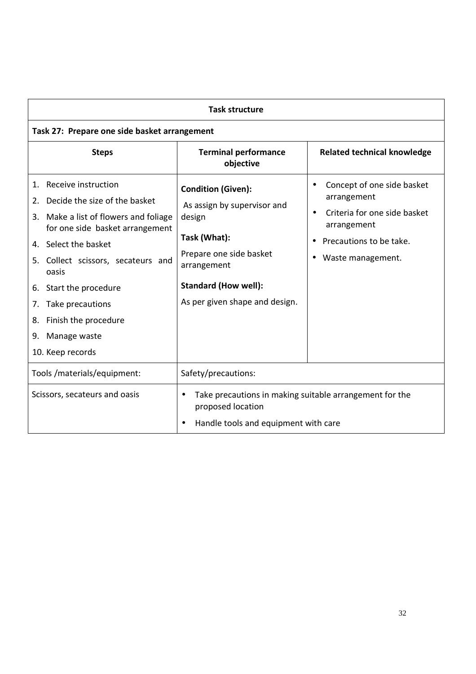| <b>Task structure</b>                                                                                                                                                                                                                                                                                                                                         |                                                                                                                                                                                               |                                                                                                                                                                                 |  |
|---------------------------------------------------------------------------------------------------------------------------------------------------------------------------------------------------------------------------------------------------------------------------------------------------------------------------------------------------------------|-----------------------------------------------------------------------------------------------------------------------------------------------------------------------------------------------|---------------------------------------------------------------------------------------------------------------------------------------------------------------------------------|--|
| Task 27: Prepare one side basket arrangement                                                                                                                                                                                                                                                                                                                  |                                                                                                                                                                                               |                                                                                                                                                                                 |  |
| <b>Steps</b>                                                                                                                                                                                                                                                                                                                                                  | <b>Terminal performance</b><br>objective                                                                                                                                                      | <b>Related technical knowledge</b>                                                                                                                                              |  |
| Receive instruction<br>1.<br>Decide the size of the basket<br>2.<br>Make a list of flowers and foliage<br>3.<br>for one side basket arrangement<br>4. Select the basket<br>Collect scissors, secateurs and<br>5.<br>oasis<br>6. Start the procedure<br>Take precautions<br>$\prime$ .<br>Finish the procedure<br>8.<br>Manage waste<br>9.<br>10. Keep records | <b>Condition (Given):</b><br>As assign by supervisor and<br>design<br>Task (What):<br>Prepare one side basket<br>arrangement<br><b>Standard (How well):</b><br>As per given shape and design. | Concept of one side basket<br>$\bullet$<br>arrangement<br>Criteria for one side basket<br>$\bullet$<br>arrangement<br>Precautions to be take.<br>$\bullet$<br>Waste management. |  |
| Tools /materials/equipment:                                                                                                                                                                                                                                                                                                                                   | Safety/precautions:                                                                                                                                                                           |                                                                                                                                                                                 |  |
| Scissors, secateurs and oasis                                                                                                                                                                                                                                                                                                                                 | Take precautions in making suitable arrangement for the<br>proposed location<br>Handle tools and equipment with care                                                                          |                                                                                                                                                                                 |  |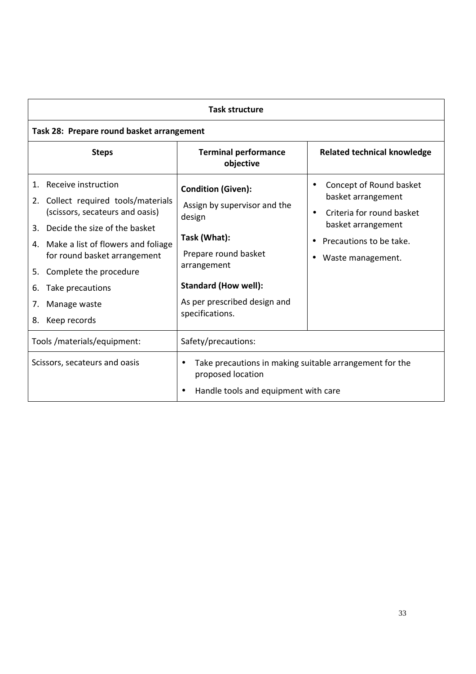| <b>Task structure</b>                                                                                                                                                                                                                                                                                                                    |                                                                                                                                                                                                              |                                                                                                                                                                                                      |
|------------------------------------------------------------------------------------------------------------------------------------------------------------------------------------------------------------------------------------------------------------------------------------------------------------------------------------------|--------------------------------------------------------------------------------------------------------------------------------------------------------------------------------------------------------------|------------------------------------------------------------------------------------------------------------------------------------------------------------------------------------------------------|
| Task 28: Prepare round basket arrangement                                                                                                                                                                                                                                                                                                |                                                                                                                                                                                                              |                                                                                                                                                                                                      |
| <b>Steps</b>                                                                                                                                                                                                                                                                                                                             | <b>Terminal performance</b><br>objective                                                                                                                                                                     | <b>Related technical knowledge</b>                                                                                                                                                                   |
| Receive instruction<br>$\mathbf{1}$ .<br>Collect required tools/materials<br>2.<br>(scissors, secateurs and oasis)<br>Decide the size of the basket<br>3.<br>4. Make a list of flowers and foliage<br>for round basket arrangement<br>Complete the procedure<br>5.<br>Take precautions<br>6.<br>Manage waste<br>7.<br>Keep records<br>8. | <b>Condition (Given):</b><br>Assign by supervisor and the<br>design<br>Task (What):<br>Prepare round basket<br>arrangement<br><b>Standard (How well):</b><br>As per prescribed design and<br>specifications. | Concept of Round basket<br>$\bullet$<br>basket arrangement<br>Criteria for round basket<br>$\bullet$<br>basket arrangement<br>Precautions to be take.<br>$\bullet$<br>Waste management.<br>$\bullet$ |
| Tools /materials/equipment:                                                                                                                                                                                                                                                                                                              | Safety/precautions:                                                                                                                                                                                          |                                                                                                                                                                                                      |
| Scissors, secateurs and oasis                                                                                                                                                                                                                                                                                                            | Take precautions in making suitable arrangement for the<br>$\bullet$<br>proposed location<br>Handle tools and equipment with care                                                                            |                                                                                                                                                                                                      |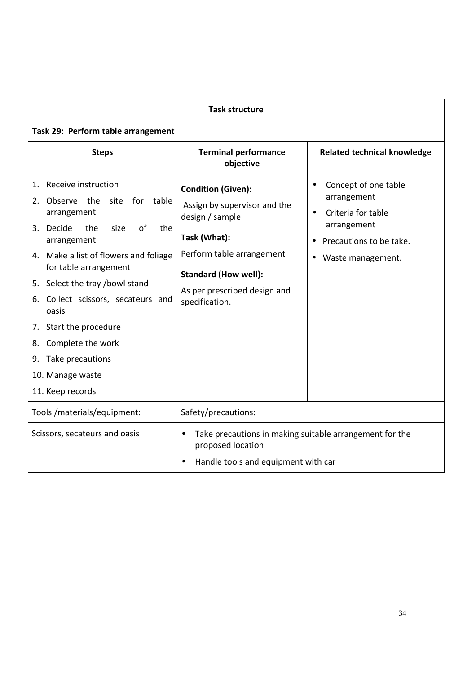| <b>Task structure</b>                                                                                                                                                                                                                                                                                                                                                                                                   |                                                                                                                                                                                                            |                                                                                                                                                                 |  |
|-------------------------------------------------------------------------------------------------------------------------------------------------------------------------------------------------------------------------------------------------------------------------------------------------------------------------------------------------------------------------------------------------------------------------|------------------------------------------------------------------------------------------------------------------------------------------------------------------------------------------------------------|-----------------------------------------------------------------------------------------------------------------------------------------------------------------|--|
| Task 29: Perform table arrangement                                                                                                                                                                                                                                                                                                                                                                                      |                                                                                                                                                                                                            |                                                                                                                                                                 |  |
| <b>Steps</b>                                                                                                                                                                                                                                                                                                                                                                                                            | <b>Terminal performance</b><br>objective                                                                                                                                                                   | <b>Related technical knowledge</b>                                                                                                                              |  |
| Receive instruction<br>1.<br>the<br>site<br>for<br>table<br>2.<br>Observe<br>arrangement<br>of<br>3. Decide<br>the<br>size<br>the<br>arrangement<br>4. Make a list of flowers and foliage<br>for table arrangement<br>5. Select the tray /bowl stand<br>6. Collect scissors, secateurs and<br>oasis<br>7. Start the procedure<br>Complete the work<br>8.<br>9. Take precautions<br>10. Manage waste<br>11. Keep records | <b>Condition (Given):</b><br>Assign by supervisor and the<br>design / sample<br>Task (What):<br>Perform table arrangement<br><b>Standard (How well):</b><br>As per prescribed design and<br>specification. | Concept of one table<br>$\bullet$<br>arrangement<br>Criteria for table<br>$\bullet$<br>arrangement<br>Precautions to be take.<br>Waste management.<br>$\bullet$ |  |
| Tools /materials/equipment:                                                                                                                                                                                                                                                                                                                                                                                             | Safety/precautions:                                                                                                                                                                                        |                                                                                                                                                                 |  |
| Scissors, secateurs and oasis                                                                                                                                                                                                                                                                                                                                                                                           | Take precautions in making suitable arrangement for the<br>$\bullet$<br>proposed location<br>Handle tools and equipment with car<br>$\bullet$                                                              |                                                                                                                                                                 |  |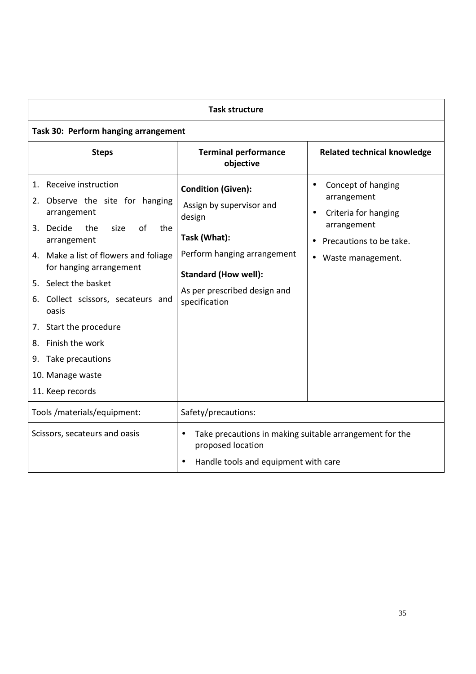| <b>Task structure</b>                                                                                                                                                                                                                                                                                                                                                                         |                                                                                                                                                                                                |                                                                                                                                            |  |
|-----------------------------------------------------------------------------------------------------------------------------------------------------------------------------------------------------------------------------------------------------------------------------------------------------------------------------------------------------------------------------------------------|------------------------------------------------------------------------------------------------------------------------------------------------------------------------------------------------|--------------------------------------------------------------------------------------------------------------------------------------------|--|
| Task 30: Perform hanging arrangement                                                                                                                                                                                                                                                                                                                                                          |                                                                                                                                                                                                |                                                                                                                                            |  |
| <b>Steps</b>                                                                                                                                                                                                                                                                                                                                                                                  | <b>Terminal performance</b><br>objective                                                                                                                                                       | <b>Related technical knowledge</b>                                                                                                         |  |
| 1. Receive instruction<br>2. Observe the site for hanging<br>arrangement<br>of<br>3. Decide<br>the<br>size<br>the<br>arrangement<br>4. Make a list of flowers and foliage<br>for hanging arrangement<br>5. Select the basket<br>6. Collect scissors, secateurs and<br>oasis<br>7. Start the procedure<br>Finish the work<br>8.<br>9. Take precautions<br>10. Manage waste<br>11. Keep records | <b>Condition (Given):</b><br>Assign by supervisor and<br>design<br>Task (What):<br>Perform hanging arrangement<br><b>Standard (How well):</b><br>As per prescribed design and<br>specification | Concept of hanging<br>arrangement<br>Criteria for hanging<br>$\bullet$<br>arrangement<br>Precautions to be take.<br>Waste management.<br>٠ |  |
| Tools /materials/equipment:                                                                                                                                                                                                                                                                                                                                                                   | Safety/precautions:                                                                                                                                                                            |                                                                                                                                            |  |
| Scissors, secateurs and oasis                                                                                                                                                                                                                                                                                                                                                                 | Take precautions in making suitable arrangement for the<br>$\bullet$<br>proposed location<br>Handle tools and equipment with care                                                              |                                                                                                                                            |  |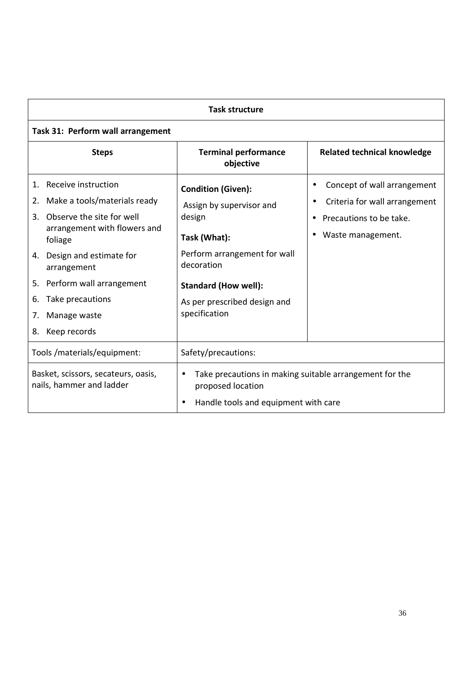| <b>Task structure</b>                                                                                                                                                                                                                                                                                           |                                                                                                                                                                                                               |                                                                                                              |
|-----------------------------------------------------------------------------------------------------------------------------------------------------------------------------------------------------------------------------------------------------------------------------------------------------------------|---------------------------------------------------------------------------------------------------------------------------------------------------------------------------------------------------------------|--------------------------------------------------------------------------------------------------------------|
| Task 31: Perform wall arrangement                                                                                                                                                                                                                                                                               |                                                                                                                                                                                                               |                                                                                                              |
| <b>Steps</b>                                                                                                                                                                                                                                                                                                    | <b>Terminal performance</b><br>objective                                                                                                                                                                      | <b>Related technical knowledge</b>                                                                           |
| Receive instruction<br>1.<br>Make a tools/materials ready<br>2.<br>Observe the site for well<br>$\mathbf{R}$<br>arrangement with flowers and<br>foliage<br>Design and estimate for<br>4.<br>arrangement<br>Perform wall arrangement<br>5.<br>Take precautions<br>6.<br>Manage waste<br>7.<br>Keep records<br>8. | <b>Condition (Given):</b><br>Assign by supervisor and<br>design<br>Task (What):<br>Perform arrangement for wall<br>decoration<br><b>Standard (How well):</b><br>As per prescribed design and<br>specification | Concept of wall arrangement<br>Criteria for wall arrangement<br>Precautions to be take.<br>Waste management. |
| Tools /materials/equipment:                                                                                                                                                                                                                                                                                     | Safety/precautions:                                                                                                                                                                                           |                                                                                                              |
| Basket, scissors, secateurs, oasis,<br>nails, hammer and ladder                                                                                                                                                                                                                                                 | Take precautions in making suitable arrangement for the<br>proposed location<br>Handle tools and equipment with care<br>$\bullet$                                                                             |                                                                                                              |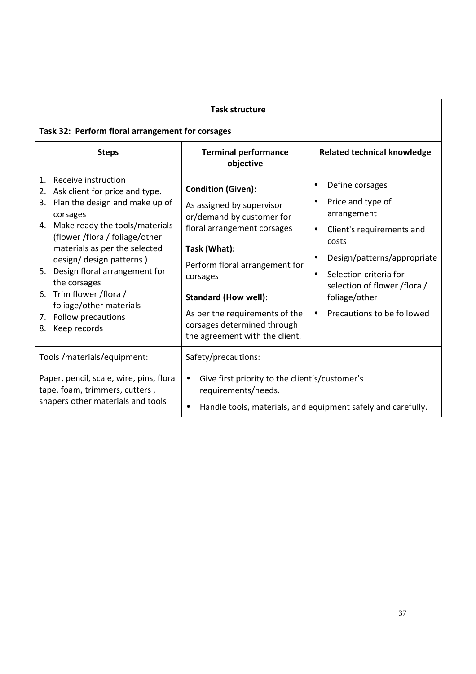| <b>Task structure</b>                                                                                                                                                                                                                                                                                                                                                                                           |                                                                                                                                                                                                                                                                                                                    |                                                                                                                                                                                                                                                                                       |  |
|-----------------------------------------------------------------------------------------------------------------------------------------------------------------------------------------------------------------------------------------------------------------------------------------------------------------------------------------------------------------------------------------------------------------|--------------------------------------------------------------------------------------------------------------------------------------------------------------------------------------------------------------------------------------------------------------------------------------------------------------------|---------------------------------------------------------------------------------------------------------------------------------------------------------------------------------------------------------------------------------------------------------------------------------------|--|
| Task 32: Perform floral arrangement for corsages                                                                                                                                                                                                                                                                                                                                                                |                                                                                                                                                                                                                                                                                                                    |                                                                                                                                                                                                                                                                                       |  |
| <b>Steps</b>                                                                                                                                                                                                                                                                                                                                                                                                    | <b>Terminal performance</b><br>objective                                                                                                                                                                                                                                                                           | <b>Related technical knowledge</b>                                                                                                                                                                                                                                                    |  |
| 1.<br>Receive instruction<br>2. Ask client for price and type.<br>Plan the design and make up of<br>3.<br>corsages<br>4. Make ready the tools/materials<br>(flower /flora / foliage/other<br>materials as per the selected<br>design/ design patterns)<br>5. Design floral arrangement for<br>the corsages<br>6. Trim flower /flora /<br>foliage/other materials<br>7. Follow precautions<br>Keep records<br>8. | <b>Condition (Given):</b><br>As assigned by supervisor<br>or/demand by customer for<br>floral arrangement corsages<br>Task (What):<br>Perform floral arrangement for<br>corsages<br><b>Standard (How well):</b><br>As per the requirements of the<br>corsages determined through<br>the agreement with the client. | Define corsages<br>$\bullet$<br>Price and type of<br>arrangement<br>Client's requirements and<br>$\bullet$<br>costs<br>Design/patterns/appropriate<br>Selection criteria for<br>$\bullet$<br>selection of flower /flora /<br>foliage/other<br>Precautions to be followed<br>$\bullet$ |  |
| Tools / materials/equipment:                                                                                                                                                                                                                                                                                                                                                                                    | Safety/precautions:                                                                                                                                                                                                                                                                                                |                                                                                                                                                                                                                                                                                       |  |
| Paper, pencil, scale, wire, pins, floral<br>tape, foam, trimmers, cutters,<br>shapers other materials and tools                                                                                                                                                                                                                                                                                                 | Give first priority to the client's/customer's<br>$\bullet$<br>requirements/needs.                                                                                                                                                                                                                                 | Handle tools, materials, and equipment safely and carefully.                                                                                                                                                                                                                          |  |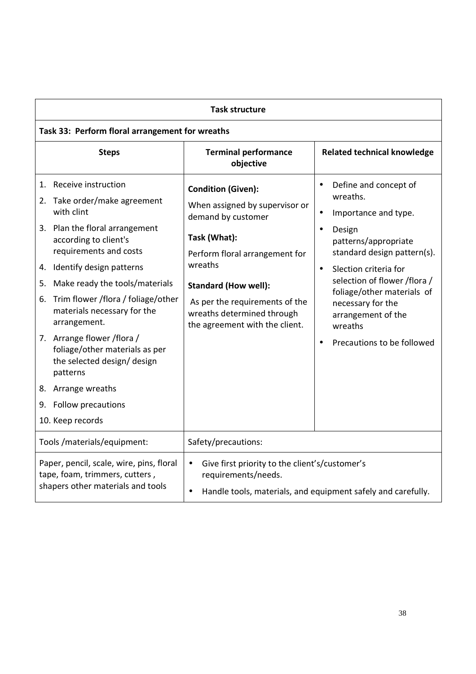|                                                                                                                                                                                                                                                                                    |                                                                                                                                                                                                                                                                                                                                                                                                                                                                                                | <b>Task structure</b>                                                                                                                                                                                                                                                           |                                                                                                                                                                                                                                                                                                                                                                        |  |
|------------------------------------------------------------------------------------------------------------------------------------------------------------------------------------------------------------------------------------------------------------------------------------|------------------------------------------------------------------------------------------------------------------------------------------------------------------------------------------------------------------------------------------------------------------------------------------------------------------------------------------------------------------------------------------------------------------------------------------------------------------------------------------------|---------------------------------------------------------------------------------------------------------------------------------------------------------------------------------------------------------------------------------------------------------------------------------|------------------------------------------------------------------------------------------------------------------------------------------------------------------------------------------------------------------------------------------------------------------------------------------------------------------------------------------------------------------------|--|
|                                                                                                                                                                                                                                                                                    | Task 33: Perform floral arrangement for wreaths                                                                                                                                                                                                                                                                                                                                                                                                                                                |                                                                                                                                                                                                                                                                                 |                                                                                                                                                                                                                                                                                                                                                                        |  |
|                                                                                                                                                                                                                                                                                    | <b>Steps</b>                                                                                                                                                                                                                                                                                                                                                                                                                                                                                   | <b>Terminal performance</b><br>objective                                                                                                                                                                                                                                        | <b>Related technical knowledge</b>                                                                                                                                                                                                                                                                                                                                     |  |
| 5.<br>6.                                                                                                                                                                                                                                                                           | 1. Receive instruction<br>2. Take order/make agreement<br>with clint<br>3. Plan the floral arrangement<br>according to client's<br>requirements and costs<br>4. Identify design patterns<br>Make ready the tools/materials<br>Trim flower /flora / foliage/other<br>materials necessary for the<br>arrangement.<br>7. Arrange flower / flora /<br>foliage/other materials as per<br>the selected design/ design<br>patterns<br>8. Arrange wreaths<br>9. Follow precautions<br>10. Keep records | <b>Condition (Given):</b><br>When assigned by supervisor or<br>demand by customer<br>Task (What):<br>Perform floral arrangement for<br>wreaths<br><b>Standard (How well):</b><br>As per the requirements of the<br>wreaths determined through<br>the agreement with the client. | Define and concept of<br>$\bullet$<br>wreaths.<br>Importance and type.<br>$\bullet$<br>Design<br>$\bullet$<br>patterns/appropriate<br>standard design pattern(s).<br>Slection criteria for<br>$\bullet$<br>selection of flower /flora /<br>foliage/other materials of<br>necessary for the<br>arrangement of the<br>wreaths<br>Precautions to be followed<br>$\bullet$ |  |
|                                                                                                                                                                                                                                                                                    | Tools /materials/equipment:<br>Safety/precautions:                                                                                                                                                                                                                                                                                                                                                                                                                                             |                                                                                                                                                                                                                                                                                 |                                                                                                                                                                                                                                                                                                                                                                        |  |
| Paper, pencil, scale, wire, pins, floral<br>Give first priority to the client's/customer's<br>$\bullet$<br>tape, foam, trimmers, cutters,<br>requirements/needs.<br>shapers other materials and tools<br>Handle tools, materials, and equipment safely and carefully.<br>$\bullet$ |                                                                                                                                                                                                                                                                                                                                                                                                                                                                                                |                                                                                                                                                                                                                                                                                 |                                                                                                                                                                                                                                                                                                                                                                        |  |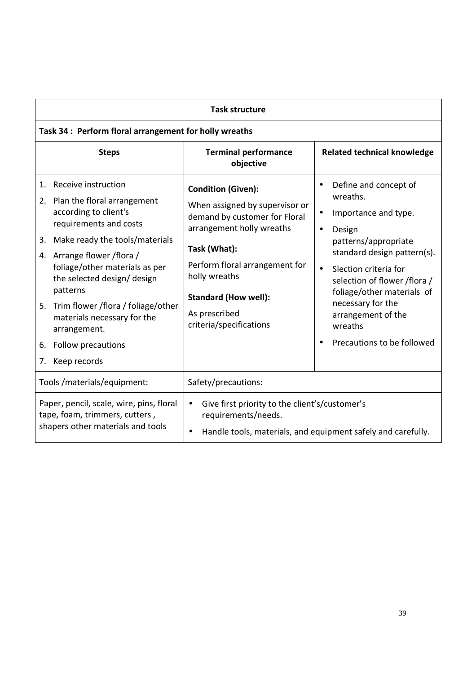| <b>Task structure</b>                                                                                                                                                                                                                                                                                                                                                                                    |                                                                                                                                                                                                                                                                         |                                                                                                                                                                                                                                                                                                                                                           |  |
|----------------------------------------------------------------------------------------------------------------------------------------------------------------------------------------------------------------------------------------------------------------------------------------------------------------------------------------------------------------------------------------------------------|-------------------------------------------------------------------------------------------------------------------------------------------------------------------------------------------------------------------------------------------------------------------------|-----------------------------------------------------------------------------------------------------------------------------------------------------------------------------------------------------------------------------------------------------------------------------------------------------------------------------------------------------------|--|
| Task 34 : Perform floral arrangement for holly wreaths                                                                                                                                                                                                                                                                                                                                                   |                                                                                                                                                                                                                                                                         |                                                                                                                                                                                                                                                                                                                                                           |  |
| <b>Steps</b>                                                                                                                                                                                                                                                                                                                                                                                             | <b>Terminal performance</b><br>objective                                                                                                                                                                                                                                | <b>Related technical knowledge</b>                                                                                                                                                                                                                                                                                                                        |  |
| Receive instruction<br>1.<br>2. Plan the floral arrangement<br>according to client's<br>requirements and costs<br>3. Make ready the tools/materials<br>4. Arrange flower / flora /<br>foliage/other materials as per<br>the selected design/design<br>patterns<br>5. Trim flower /flora / foliage/other<br>materials necessary for the<br>arrangement.<br>Follow precautions<br>6.<br>Keep records<br>7. | <b>Condition (Given):</b><br>When assigned by supervisor or<br>demand by customer for Floral<br>arrangement holly wreaths<br>Task (What):<br>Perform floral arrangement for<br>holly wreaths<br><b>Standard (How well):</b><br>As prescribed<br>criteria/specifications | Define and concept of<br>$\bullet$<br>wreaths.<br>Importance and type.<br>$\bullet$<br>Design<br>$\bullet$<br>patterns/appropriate<br>standard design pattern(s).<br>Slection criteria for<br>$\bullet$<br>selection of flower /flora /<br>foliage/other materials of<br>necessary for the<br>arrangement of the<br>wreaths<br>Precautions to be followed |  |
| Tools /materials/equipment:                                                                                                                                                                                                                                                                                                                                                                              | Safety/precautions:                                                                                                                                                                                                                                                     |                                                                                                                                                                                                                                                                                                                                                           |  |
| Paper, pencil, scale, wire, pins, floral<br>tape, foam, trimmers, cutters,<br>shapers other materials and tools                                                                                                                                                                                                                                                                                          | Give first priority to the client's/customer's<br>$\bullet$<br>requirements/needs.<br>$\bullet$                                                                                                                                                                         | Handle tools, materials, and equipment safely and carefully.                                                                                                                                                                                                                                                                                              |  |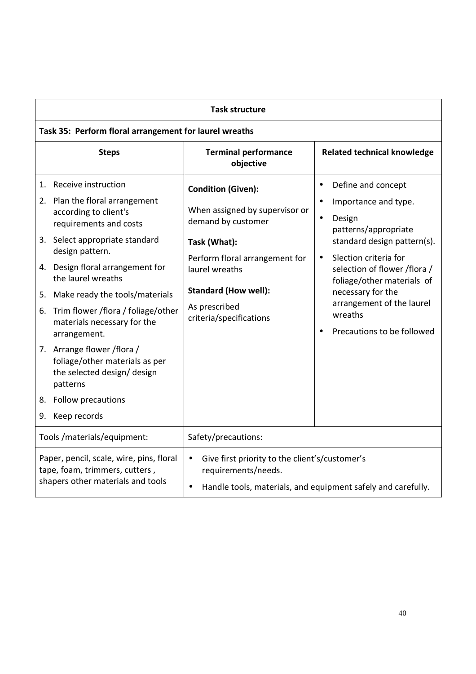| <b>Task structure</b>                                                                                           |                                                                                                                                                                                                                                                                                                                                                                                                                                                                                                             |                                                                                                                                                                                                                                  |                                                                                                                                                                                                                                                                                                                                                   |  |
|-----------------------------------------------------------------------------------------------------------------|-------------------------------------------------------------------------------------------------------------------------------------------------------------------------------------------------------------------------------------------------------------------------------------------------------------------------------------------------------------------------------------------------------------------------------------------------------------------------------------------------------------|----------------------------------------------------------------------------------------------------------------------------------------------------------------------------------------------------------------------------------|---------------------------------------------------------------------------------------------------------------------------------------------------------------------------------------------------------------------------------------------------------------------------------------------------------------------------------------------------|--|
|                                                                                                                 | Task 35: Perform floral arrangement for laurel wreaths                                                                                                                                                                                                                                                                                                                                                                                                                                                      |                                                                                                                                                                                                                                  |                                                                                                                                                                                                                                                                                                                                                   |  |
|                                                                                                                 | <b>Steps</b>                                                                                                                                                                                                                                                                                                                                                                                                                                                                                                | <b>Terminal performance</b><br>objective                                                                                                                                                                                         | <b>Related technical knowledge</b>                                                                                                                                                                                                                                                                                                                |  |
| 9.                                                                                                              | 1. Receive instruction<br>2. Plan the floral arrangement<br>according to client's<br>requirements and costs<br>3. Select appropriate standard<br>design pattern.<br>4. Design floral arrangement for<br>the laurel wreaths<br>5. Make ready the tools/materials<br>6. Trim flower /flora / foliage/other<br>materials necessary for the<br>arrangement.<br>7. Arrange flower / flora /<br>foliage/other materials as per<br>the selected design/design<br>patterns<br>8. Follow precautions<br>Keep records | <b>Condition (Given):</b><br>When assigned by supervisor or<br>demand by customer<br>Task (What):<br>Perform floral arrangement for<br>laurel wreaths<br><b>Standard (How well):</b><br>As prescribed<br>criteria/specifications | Define and concept<br>$\bullet$<br>Importance and type.<br>$\bullet$<br>Design<br>$\bullet$<br>patterns/appropriate<br>standard design pattern(s).<br>Slection criteria for<br>$\bullet$<br>selection of flower /flora /<br>foliage/other materials of<br>necessary for the<br>arrangement of the laurel<br>wreaths<br>Precautions to be followed |  |
|                                                                                                                 | Tools /materials/equipment:                                                                                                                                                                                                                                                                                                                                                                                                                                                                                 | Safety/precautions:                                                                                                                                                                                                              |                                                                                                                                                                                                                                                                                                                                                   |  |
| Paper, pencil, scale, wire, pins, floral<br>tape, foam, trimmers, cutters,<br>shapers other materials and tools |                                                                                                                                                                                                                                                                                                                                                                                                                                                                                                             | Give first priority to the client's/customer's<br>$\bullet$<br>requirements/needs.<br>$\bullet$                                                                                                                                  | Handle tools, materials, and equipment safely and carefully.                                                                                                                                                                                                                                                                                      |  |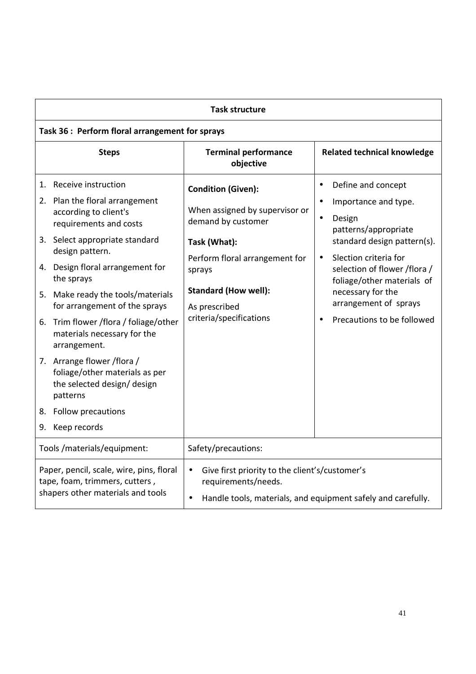| <b>Task structure</b>                                                                                                                                                                                                                                                                                                                                                                                                                                                                                                                       |                                                                                                                                                                                                                          |                                                                                                                                                                                                                                                                                                                                    |  |
|---------------------------------------------------------------------------------------------------------------------------------------------------------------------------------------------------------------------------------------------------------------------------------------------------------------------------------------------------------------------------------------------------------------------------------------------------------------------------------------------------------------------------------------------|--------------------------------------------------------------------------------------------------------------------------------------------------------------------------------------------------------------------------|------------------------------------------------------------------------------------------------------------------------------------------------------------------------------------------------------------------------------------------------------------------------------------------------------------------------------------|--|
| Task 36 : Perform floral arrangement for sprays                                                                                                                                                                                                                                                                                                                                                                                                                                                                                             |                                                                                                                                                                                                                          |                                                                                                                                                                                                                                                                                                                                    |  |
| <b>Steps</b>                                                                                                                                                                                                                                                                                                                                                                                                                                                                                                                                | <b>Terminal performance</b><br>objective                                                                                                                                                                                 | <b>Related technical knowledge</b>                                                                                                                                                                                                                                                                                                 |  |
| 1. Receive instruction<br>2. Plan the floral arrangement<br>according to client's<br>requirements and costs<br>3. Select appropriate standard<br>design pattern.<br>4. Design floral arrangement for<br>the sprays<br>5. Make ready the tools/materials<br>for arrangement of the sprays<br>6. Trim flower /flora / foliage/other<br>materials necessary for the<br>arrangement.<br>7. Arrange flower / flora /<br>foliage/other materials as per<br>the selected design/ design<br>patterns<br>8. Follow precautions<br>Keep records<br>9. | <b>Condition (Given):</b><br>When assigned by supervisor or<br>demand by customer<br>Task (What):<br>Perform floral arrangement for<br>sprays<br><b>Standard (How well):</b><br>As prescribed<br>criteria/specifications | Define and concept<br>$\bullet$<br>Importance and type.<br>$\bullet$<br>Design<br>$\bullet$<br>patterns/appropriate<br>standard design pattern(s).<br>Slection criteria for<br>$\bullet$<br>selection of flower /flora /<br>foliage/other materials of<br>necessary for the<br>arrangement of sprays<br>Precautions to be followed |  |
| Tools /materials/equipment:                                                                                                                                                                                                                                                                                                                                                                                                                                                                                                                 | Safety/precautions:                                                                                                                                                                                                      |                                                                                                                                                                                                                                                                                                                                    |  |
| Paper, pencil, scale, wire, pins, floral<br>tape, foam, trimmers, cutters,<br>shapers other materials and tools                                                                                                                                                                                                                                                                                                                                                                                                                             | Give first priority to the client's/customer's<br>$\bullet$<br>requirements/needs.<br>$\bullet$                                                                                                                          | Handle tools, materials, and equipment safely and carefully.                                                                                                                                                                                                                                                                       |  |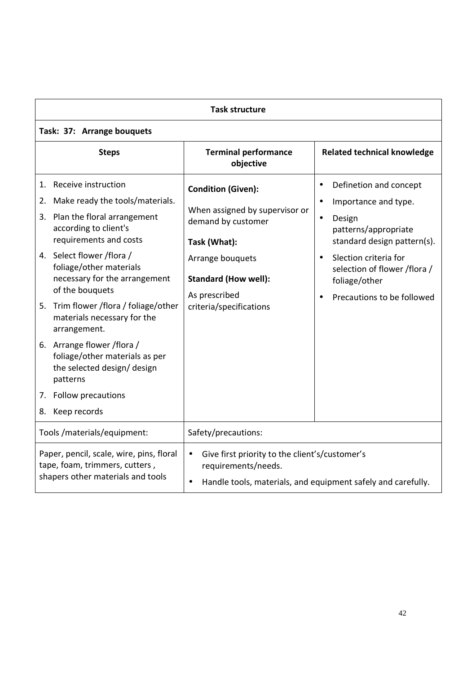| <b>Task structure</b>                                                                                                                                                                                                                                                                                                                                                                                                                                                                                                  |                                                                                                                                                                                                  |                                                                                                                                                                                                                                                                                          |  |
|------------------------------------------------------------------------------------------------------------------------------------------------------------------------------------------------------------------------------------------------------------------------------------------------------------------------------------------------------------------------------------------------------------------------------------------------------------------------------------------------------------------------|--------------------------------------------------------------------------------------------------------------------------------------------------------------------------------------------------|------------------------------------------------------------------------------------------------------------------------------------------------------------------------------------------------------------------------------------------------------------------------------------------|--|
| Task: 37: Arrange bouquets                                                                                                                                                                                                                                                                                                                                                                                                                                                                                             |                                                                                                                                                                                                  |                                                                                                                                                                                                                                                                                          |  |
| <b>Steps</b>                                                                                                                                                                                                                                                                                                                                                                                                                                                                                                           | <b>Terminal performance</b><br>objective                                                                                                                                                         | <b>Related technical knowledge</b>                                                                                                                                                                                                                                                       |  |
| Receive instruction<br>1.<br>Make ready the tools/materials.<br>2.<br>3. Plan the floral arrangement<br>according to client's<br>requirements and costs<br>4. Select flower /flora /<br>foliage/other materials<br>necessary for the arrangement<br>of the bouquets<br>5. Trim flower /flora / foliage/other<br>materials necessary for the<br>arrangement.<br>6. Arrange flower / flora /<br>foliage/other materials as per<br>the selected design/ design<br>patterns<br>7. Follow precautions<br>Keep records<br>8. | <b>Condition (Given):</b><br>When assigned by supervisor or<br>demand by customer<br>Task (What):<br>Arrange bouquets<br><b>Standard (How well):</b><br>As prescribed<br>criteria/specifications | Definetion and concept<br>$\bullet$<br>Importance and type.<br>$\bullet$<br>Design<br>$\bullet$<br>patterns/appropriate<br>standard design pattern(s).<br>Slection criteria for<br>$\bullet$<br>selection of flower /flora /<br>foliage/other<br>Precautions to be followed<br>$\bullet$ |  |
| Tools /materials/equipment:                                                                                                                                                                                                                                                                                                                                                                                                                                                                                            | Safety/precautions:                                                                                                                                                                              |                                                                                                                                                                                                                                                                                          |  |
| Paper, pencil, scale, wire, pins, floral<br>tape, foam, trimmers, cutters,<br>shapers other materials and tools                                                                                                                                                                                                                                                                                                                                                                                                        | Give first priority to the client's/customer's<br>$\bullet$<br>requirements/needs.<br>$\bullet$                                                                                                  | Handle tools, materials, and equipment safely and carefully.                                                                                                                                                                                                                             |  |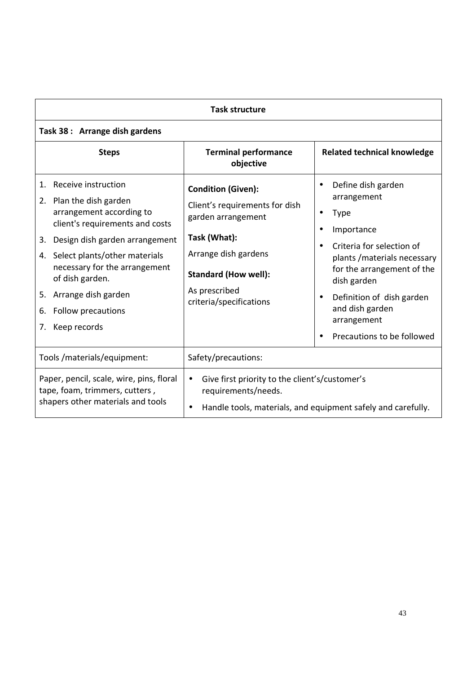| <b>Task structure</b>                                                                                                                                                                                                                                                                                                           |                                                                                                                                                                                                      |                                                                                                                                                                                                                                                                                                                                        |  |
|---------------------------------------------------------------------------------------------------------------------------------------------------------------------------------------------------------------------------------------------------------------------------------------------------------------------------------|------------------------------------------------------------------------------------------------------------------------------------------------------------------------------------------------------|----------------------------------------------------------------------------------------------------------------------------------------------------------------------------------------------------------------------------------------------------------------------------------------------------------------------------------------|--|
| Task 38: Arrange dish gardens                                                                                                                                                                                                                                                                                                   |                                                                                                                                                                                                      |                                                                                                                                                                                                                                                                                                                                        |  |
| <b>Steps</b>                                                                                                                                                                                                                                                                                                                    | <b>Terminal performance</b><br>objective                                                                                                                                                             | <b>Related technical knowledge</b>                                                                                                                                                                                                                                                                                                     |  |
| Receive instruction<br>1.<br>2. Plan the dish garden<br>arrangement according to<br>client's requirements and costs<br>Design dish garden arrangement<br>3.<br>4. Select plants/other materials<br>necessary for the arrangement<br>of dish garden.<br>5. Arrange dish garden<br>Follow precautions<br>6.<br>Keep records<br>7. | <b>Condition (Given):</b><br>Client's requirements for dish<br>garden arrangement<br>Task (What):<br>Arrange dish gardens<br><b>Standard (How well):</b><br>As prescribed<br>criteria/specifications | Define dish garden<br>$\bullet$<br>arrangement<br><b>Type</b><br>$\bullet$<br>Importance<br>$\bullet$<br>Criteria for selection of<br>$\bullet$<br>plants / materials necessary<br>for the arrangement of the<br>dish garden<br>Definition of dish garden<br>$\bullet$<br>and dish garden<br>arrangement<br>Precautions to be followed |  |
| Tools /materials/equipment:                                                                                                                                                                                                                                                                                                     | Safety/precautions:                                                                                                                                                                                  |                                                                                                                                                                                                                                                                                                                                        |  |
| Paper, pencil, scale, wire, pins, floral<br>Give first priority to the client's/customer's<br>$\bullet$<br>tape, foam, trimmers, cutters,<br>requirements/needs.<br>shapers other materials and tools<br>$\bullet$                                                                                                              |                                                                                                                                                                                                      | Handle tools, materials, and equipment safely and carefully.                                                                                                                                                                                                                                                                           |  |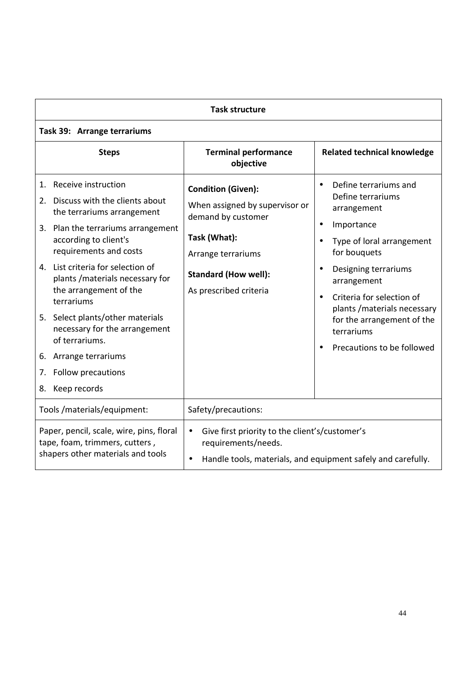| <b>Task structure</b>                                                                                           |                                                                                                                                                                                                                                                                                                                                                                                                                                                           |                                                                                                                                                                                  |                                                                                                                                                                                                                                                                                                                                                                                  |  |
|-----------------------------------------------------------------------------------------------------------------|-----------------------------------------------------------------------------------------------------------------------------------------------------------------------------------------------------------------------------------------------------------------------------------------------------------------------------------------------------------------------------------------------------------------------------------------------------------|----------------------------------------------------------------------------------------------------------------------------------------------------------------------------------|----------------------------------------------------------------------------------------------------------------------------------------------------------------------------------------------------------------------------------------------------------------------------------------------------------------------------------------------------------------------------------|--|
|                                                                                                                 | Task 39: Arrange terrariums                                                                                                                                                                                                                                                                                                                                                                                                                               |                                                                                                                                                                                  |                                                                                                                                                                                                                                                                                                                                                                                  |  |
|                                                                                                                 | <b>Steps</b>                                                                                                                                                                                                                                                                                                                                                                                                                                              | <b>Terminal performance</b><br>objective                                                                                                                                         | <b>Related technical knowledge</b>                                                                                                                                                                                                                                                                                                                                               |  |
| 1.<br>7.                                                                                                        | Receive instruction<br>2. Discuss with the clients about<br>the terrariums arrangement<br>3. Plan the terrariums arrangement<br>according to client's<br>requirements and costs<br>4. List criteria for selection of<br>plants / materials necessary for<br>the arrangement of the<br>terrariums<br>5. Select plants/other materials<br>necessary for the arrangement<br>of terrariums.<br>6. Arrange terrariums<br>Follow precautions<br>8. Keep records | <b>Condition (Given):</b><br>When assigned by supervisor or<br>demand by customer<br>Task (What):<br>Arrange terrariums<br><b>Standard (How well):</b><br>As prescribed criteria | Define terrariums and<br>$\bullet$<br>Define terrariums<br>arrangement<br>Importance<br>$\bullet$<br>Type of loral arrangement<br>$\bullet$<br>for bouquets<br>Designing terrariums<br>$\bullet$<br>arrangement<br>Criteria for selection of<br>$\bullet$<br>plants / materials necessary<br>for the arrangement of the<br>terrariums<br>Precautions to be followed<br>$\bullet$ |  |
|                                                                                                                 | Tools /materials/equipment:                                                                                                                                                                                                                                                                                                                                                                                                                               | Safety/precautions:                                                                                                                                                              |                                                                                                                                                                                                                                                                                                                                                                                  |  |
| Paper, pencil, scale, wire, pins, floral<br>tape, foam, trimmers, cutters,<br>shapers other materials and tools |                                                                                                                                                                                                                                                                                                                                                                                                                                                           | Give first priority to the client's/customer's<br>$\bullet$<br>requirements/needs.<br>Handle tools, materials, and equipment safely and carefully.<br>$\bullet$                  |                                                                                                                                                                                                                                                                                                                                                                                  |  |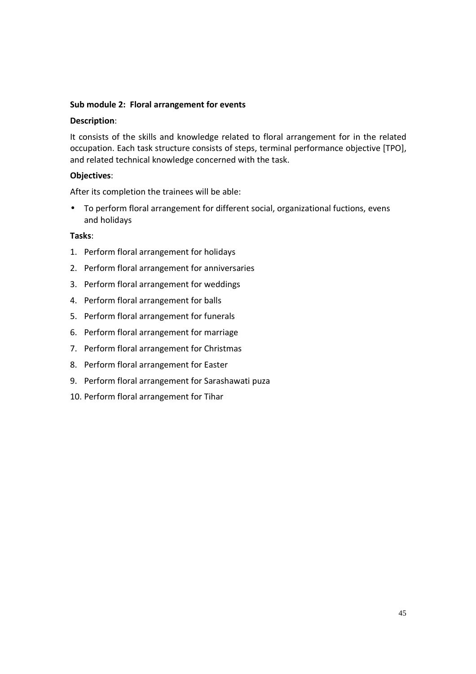## **Sub module 2: Floral arrangement for events**

### **Description**:

It consists of the skills and knowledge related to floral arrangement for in the related occupation. Each task structure consists of steps, terminal performance objective [TPO], and related technical knowledge concerned with the task.

## **Objectives**:

After its completion the trainees will be able:

• To perform floral arrangement for different social, organizational fuctions, evens and holidays

- 1. Perform floral arrangement for holidays
- 2. Perform floral arrangement for anniversaries
- 3. Perform floral arrangement for weddings
- 4. Perform floral arrangement for balls
- 5. Perform floral arrangement for funerals
- 6. Perform floral arrangement for marriage
- 7. Perform floral arrangement for Christmas
- 8. Perform floral arrangement for Easter
- 9. Perform floral arrangement for Sarashawati puza
- 10. Perform floral arrangement for Tihar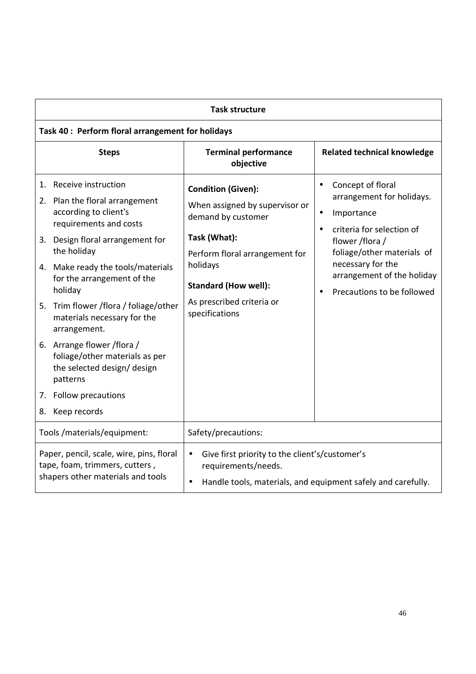| <b>Task structure</b>                                                                                                                                                                                                                                                                                                                                                                                                                                                                           |                                                                                                                                                                                                                               |                                                                                                                                                                                                                                                                    |  |
|-------------------------------------------------------------------------------------------------------------------------------------------------------------------------------------------------------------------------------------------------------------------------------------------------------------------------------------------------------------------------------------------------------------------------------------------------------------------------------------------------|-------------------------------------------------------------------------------------------------------------------------------------------------------------------------------------------------------------------------------|--------------------------------------------------------------------------------------------------------------------------------------------------------------------------------------------------------------------------------------------------------------------|--|
| Task 40 : Perform floral arrangement for holidays                                                                                                                                                                                                                                                                                                                                                                                                                                               |                                                                                                                                                                                                                               |                                                                                                                                                                                                                                                                    |  |
| <b>Steps</b>                                                                                                                                                                                                                                                                                                                                                                                                                                                                                    | <b>Terminal performance</b><br>objective                                                                                                                                                                                      | <b>Related technical knowledge</b>                                                                                                                                                                                                                                 |  |
| 1. Receive instruction<br>2. Plan the floral arrangement<br>according to client's<br>requirements and costs<br>3. Design floral arrangement for<br>the holiday<br>4. Make ready the tools/materials<br>for the arrangement of the<br>holiday<br>5. Trim flower /flora / foliage/other<br>materials necessary for the<br>arrangement.<br>6. Arrange flower / flora /<br>foliage/other materials as per<br>the selected design/ design<br>patterns<br>7. Follow precautions<br>Keep records<br>8. | <b>Condition (Given):</b><br>When assigned by supervisor or<br>demand by customer<br>Task (What):<br>Perform floral arrangement for<br>holidays<br><b>Standard (How well):</b><br>As prescribed criteria or<br>specifications | Concept of floral<br>$\bullet$<br>arrangement for holidays.<br>Importance<br>$\bullet$<br>criteria for selection of<br>$\bullet$<br>flower /flora /<br>foliage/other materials of<br>necessary for the<br>arrangement of the holiday<br>Precautions to be followed |  |
| Tools /materials/equipment:                                                                                                                                                                                                                                                                                                                                                                                                                                                                     | Safety/precautions:                                                                                                                                                                                                           |                                                                                                                                                                                                                                                                    |  |
| Paper, pencil, scale, wire, pins, floral<br>tape, foam, trimmers, cutters,<br>shapers other materials and tools                                                                                                                                                                                                                                                                                                                                                                                 | Give first priority to the client's/customer's<br>$\bullet$<br>requirements/needs.<br>$\bullet$                                                                                                                               | Handle tools, materials, and equipment safely and carefully.                                                                                                                                                                                                       |  |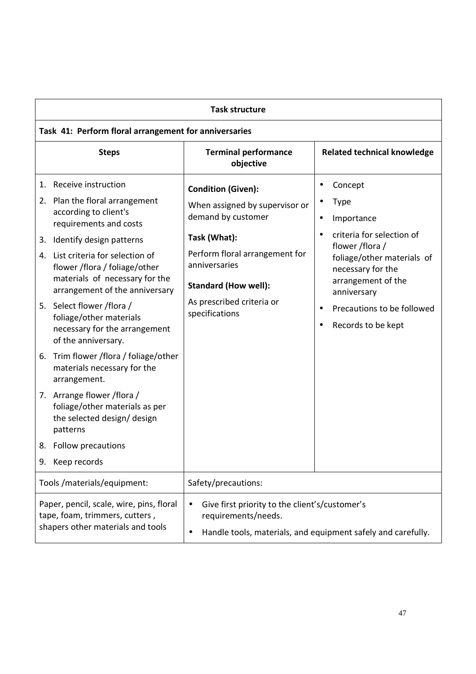| <b>Task structure</b>                                                                                                                                                                                                                                                                                                                                                                                                                                                                                                                                                                                                                                        |                                                                                                                                                                                                                                    |                                                                                                                                                                                                                                                                                   |  |
|--------------------------------------------------------------------------------------------------------------------------------------------------------------------------------------------------------------------------------------------------------------------------------------------------------------------------------------------------------------------------------------------------------------------------------------------------------------------------------------------------------------------------------------------------------------------------------------------------------------------------------------------------------------|------------------------------------------------------------------------------------------------------------------------------------------------------------------------------------------------------------------------------------|-----------------------------------------------------------------------------------------------------------------------------------------------------------------------------------------------------------------------------------------------------------------------------------|--|
| Task 41: Perform floral arrangement for anniversaries                                                                                                                                                                                                                                                                                                                                                                                                                                                                                                                                                                                                        |                                                                                                                                                                                                                                    |                                                                                                                                                                                                                                                                                   |  |
| <b>Steps</b>                                                                                                                                                                                                                                                                                                                                                                                                                                                                                                                                                                                                                                                 | <b>Terminal performance</b><br>objective                                                                                                                                                                                           | <b>Related technical knowledge</b>                                                                                                                                                                                                                                                |  |
| Receive instruction<br>1.<br>2. Plan the floral arrangement<br>according to client's<br>requirements and costs<br>Identify design patterns<br>3.<br>4. List criteria for selection of<br>flower /flora / foliage/other<br>materials of necessary for the<br>arrangement of the anniversary<br>5. Select flower /flora /<br>foliage/other materials<br>necessary for the arrangement<br>of the anniversary.<br>6. Trim flower /flora / foliage/other<br>materials necessary for the<br>arrangement.<br>7. Arrange flower / flora /<br>foliage/other materials as per<br>the selected design/design<br>patterns<br>8. Follow precautions<br>Keep records<br>9. | <b>Condition (Given):</b><br>When assigned by supervisor or<br>demand by customer<br>Task (What):<br>Perform floral arrangement for<br>anniversaries<br><b>Standard (How well):</b><br>As prescribed criteria or<br>specifications | Concept<br>٠<br><b>Type</b><br>٠<br>Importance<br>$\bullet$<br>criteria for selection of<br>$\bullet$<br>flower /flora /<br>foliage/other materials of<br>necessary for the<br>arrangement of the<br>anniversary<br>Precautions to be followed<br>$\bullet$<br>Records to be kept |  |
| Tools /materials/equipment:                                                                                                                                                                                                                                                                                                                                                                                                                                                                                                                                                                                                                                  | Safety/precautions:                                                                                                                                                                                                                |                                                                                                                                                                                                                                                                                   |  |
| Paper, pencil, scale, wire, pins, floral<br>Give first priority to the client's/customer's<br>$\bullet$<br>requirements/needs.<br>tape, foam, trimmers, cutters,<br>shapers other materials and tools<br>Handle tools, materials, and equipment safely and carefully.<br>$\bullet$                                                                                                                                                                                                                                                                                                                                                                           |                                                                                                                                                                                                                                    |                                                                                                                                                                                                                                                                                   |  |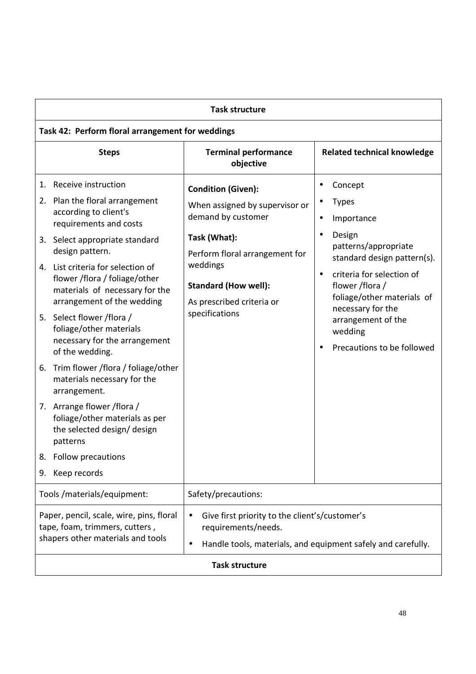| <b>Task structure</b>                                                                                                                                                                                                                                                                                                                                                                                                                                                                                                                                                                                                                                                   |                                                                                                                                                                                                                               |                                                                                                                                                                                                                                                                                                                      |  |
|-------------------------------------------------------------------------------------------------------------------------------------------------------------------------------------------------------------------------------------------------------------------------------------------------------------------------------------------------------------------------------------------------------------------------------------------------------------------------------------------------------------------------------------------------------------------------------------------------------------------------------------------------------------------------|-------------------------------------------------------------------------------------------------------------------------------------------------------------------------------------------------------------------------------|----------------------------------------------------------------------------------------------------------------------------------------------------------------------------------------------------------------------------------------------------------------------------------------------------------------------|--|
| Task 42: Perform floral arrangement for weddings                                                                                                                                                                                                                                                                                                                                                                                                                                                                                                                                                                                                                        |                                                                                                                                                                                                                               |                                                                                                                                                                                                                                                                                                                      |  |
| <b>Steps</b>                                                                                                                                                                                                                                                                                                                                                                                                                                                                                                                                                                                                                                                            | <b>Terminal performance</b><br>objective                                                                                                                                                                                      | <b>Related technical knowledge</b>                                                                                                                                                                                                                                                                                   |  |
| 1. Receive instruction<br>2. Plan the floral arrangement<br>according to client's<br>requirements and costs<br>3. Select appropriate standard<br>design pattern.<br>4. List criteria for selection of<br>flower /flora / foliage/other<br>materials of necessary for the<br>arrangement of the wedding<br>5. Select flower /flora /<br>foliage/other materials<br>necessary for the arrangement<br>of the wedding.<br>6. Trim flower /flora / foliage/other<br>materials necessary for the<br>arrangement.<br>7. Arrange flower / flora /<br>foliage/other materials as per<br>the selected design/design<br>patterns<br>Follow precautions<br>8.<br>Keep records<br>9. | <b>Condition (Given):</b><br>When assigned by supervisor or<br>demand by customer<br>Task (What):<br>Perform floral arrangement for<br>weddings<br><b>Standard (How well):</b><br>As prescribed criteria or<br>specifications | Concept<br>٠<br><b>Types</b><br>Importance<br>$\bullet$<br>Design<br>$\bullet$<br>patterns/appropriate<br>standard design pattern(s).<br>criteria for selection of<br>$\bullet$<br>flower /flora /<br>foliage/other materials of<br>necessary for the<br>arrangement of the<br>wedding<br>Precautions to be followed |  |
| Tools / materials/equipment:                                                                                                                                                                                                                                                                                                                                                                                                                                                                                                                                                                                                                                            | Safety/precautions:                                                                                                                                                                                                           |                                                                                                                                                                                                                                                                                                                      |  |
| Paper, pencil, scale, wire, pins, floral<br>Give first priority to the client's/customer's<br>$\bullet$<br>requirements/needs.<br>tape, foam, trimmers, cutters,<br>shapers other materials and tools<br>Handle tools, materials, and equipment safely and carefully.<br>$\bullet$                                                                                                                                                                                                                                                                                                                                                                                      |                                                                                                                                                                                                                               |                                                                                                                                                                                                                                                                                                                      |  |
| <b>Task structure</b>                                                                                                                                                                                                                                                                                                                                                                                                                                                                                                                                                                                                                                                   |                                                                                                                                                                                                                               |                                                                                                                                                                                                                                                                                                                      |  |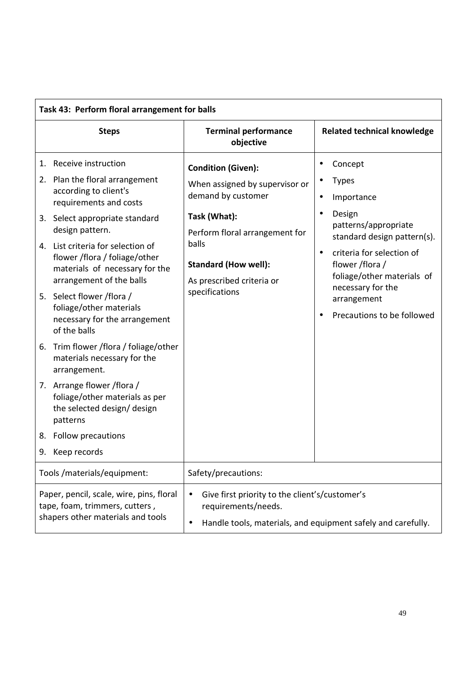| Task 43: Perform floral arrangement for balls                                                                   |                                                                                                                                                                                                                                                                                                                                                                                                                                                                                                                                                                                                                                                                |                                                                                                                                                                                                                            |                                  |                                                                                                                                                                                                                                                        |
|-----------------------------------------------------------------------------------------------------------------|----------------------------------------------------------------------------------------------------------------------------------------------------------------------------------------------------------------------------------------------------------------------------------------------------------------------------------------------------------------------------------------------------------------------------------------------------------------------------------------------------------------------------------------------------------------------------------------------------------------------------------------------------------------|----------------------------------------------------------------------------------------------------------------------------------------------------------------------------------------------------------------------------|----------------------------------|--------------------------------------------------------------------------------------------------------------------------------------------------------------------------------------------------------------------------------------------------------|
|                                                                                                                 | <b>Steps</b>                                                                                                                                                                                                                                                                                                                                                                                                                                                                                                                                                                                                                                                   | <b>Terminal performance</b><br>objective                                                                                                                                                                                   |                                  | <b>Related technical knowledge</b>                                                                                                                                                                                                                     |
| 6.<br>8.                                                                                                        | 1. Receive instruction<br>2. Plan the floral arrangement<br>according to client's<br>requirements and costs<br>3. Select appropriate standard<br>design pattern.<br>4. List criteria for selection of<br>flower /flora / foliage/other<br>materials of necessary for the<br>arrangement of the balls<br>5. Select flower /flora /<br>foliage/other materials<br>necessary for the arrangement<br>of the balls<br>Trim flower /flora / foliage/other<br>materials necessary for the<br>arrangement.<br>7. Arrange flower / flora /<br>foliage/other materials as per<br>the selected design/ design<br>patterns<br><b>Follow precautions</b><br>9. Keep records | <b>Condition (Given):</b><br>When assigned by supervisor or<br>demand by customer<br>Task (What):<br>Perform floral arrangement for<br>balls<br><b>Standard (How well):</b><br>As prescribed criteria or<br>specifications | ٠<br>٠<br>$\bullet$<br>$\bullet$ | Concept<br><b>Types</b><br>Importance<br>Design<br>patterns/appropriate<br>standard design pattern(s).<br>criteria for selection of<br>flower /flora /<br>foliage/other materials of<br>necessary for the<br>arrangement<br>Precautions to be followed |
| Tools /materials/equipment:                                                                                     |                                                                                                                                                                                                                                                                                                                                                                                                                                                                                                                                                                                                                                                                | Safety/precautions:                                                                                                                                                                                                        |                                  |                                                                                                                                                                                                                                                        |
| Paper, pencil, scale, wire, pins, floral<br>tape, foam, trimmers, cutters,<br>shapers other materials and tools |                                                                                                                                                                                                                                                                                                                                                                                                                                                                                                                                                                                                                                                                | Give first priority to the client's/customer's<br>$\bullet$<br>requirements/needs.<br>Handle tools, materials, and equipment safely and carefully.<br>$\bullet$                                                            |                                  |                                                                                                                                                                                                                                                        |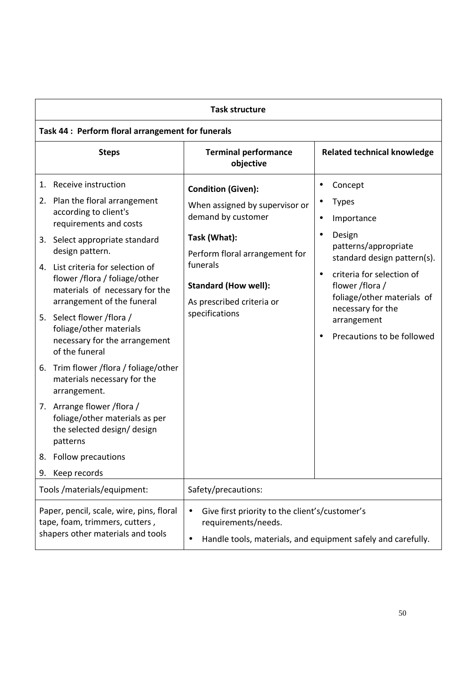| <b>Task structure</b>                                                                                                                                                                                                                                                                                                                                                                                                                                                                                                                                                                                                                                                         |                                                                                                                                                                                                                               |                                                                                                                                                                                                                                                                                                                              |
|-------------------------------------------------------------------------------------------------------------------------------------------------------------------------------------------------------------------------------------------------------------------------------------------------------------------------------------------------------------------------------------------------------------------------------------------------------------------------------------------------------------------------------------------------------------------------------------------------------------------------------------------------------------------------------|-------------------------------------------------------------------------------------------------------------------------------------------------------------------------------------------------------------------------------|------------------------------------------------------------------------------------------------------------------------------------------------------------------------------------------------------------------------------------------------------------------------------------------------------------------------------|
| Task 44 : Perform floral arrangement for funerals                                                                                                                                                                                                                                                                                                                                                                                                                                                                                                                                                                                                                             |                                                                                                                                                                                                                               |                                                                                                                                                                                                                                                                                                                              |
| <b>Steps</b>                                                                                                                                                                                                                                                                                                                                                                                                                                                                                                                                                                                                                                                                  | <b>Terminal performance</b><br>objective                                                                                                                                                                                      | <b>Related technical knowledge</b>                                                                                                                                                                                                                                                                                           |
| 1. Receive instruction<br>2. Plan the floral arrangement<br>according to client's<br>requirements and costs<br>3. Select appropriate standard<br>design pattern.<br>4. List criteria for selection of<br>flower /flora / foliage/other<br>materials of necessary for the<br>arrangement of the funeral<br>5. Select flower /flora /<br>foliage/other materials<br>necessary for the arrangement<br>of the funeral<br>6. Trim flower /flora / foliage/other<br>materials necessary for the<br>arrangement.<br>7. Arrange flower / flora /<br>foliage/other materials as per<br>the selected design/design<br>patterns<br><b>Follow precautions</b><br>8.<br>Keep records<br>9. | <b>Condition (Given):</b><br>When assigned by supervisor or<br>demand by customer<br>Task (What):<br>Perform floral arrangement for<br>funerals<br><b>Standard (How well):</b><br>As prescribed criteria or<br>specifications | Concept<br>$\bullet$<br><b>Types</b><br>٠<br>Importance<br>$\bullet$<br>Design<br>$\bullet$<br>patterns/appropriate<br>standard design pattern(s).<br>criteria for selection of<br>$\bullet$<br>flower /flora /<br>foliage/other materials of<br>necessary for the<br>arrangement<br>Precautions to be followed<br>$\bullet$ |
| Tools /materials/equipment:<br>Safety/precautions:                                                                                                                                                                                                                                                                                                                                                                                                                                                                                                                                                                                                                            |                                                                                                                                                                                                                               |                                                                                                                                                                                                                                                                                                                              |
| Paper, pencil, scale, wire, pins, floral<br>tape, foam, trimmers, cutters,<br>shapers other materials and tools                                                                                                                                                                                                                                                                                                                                                                                                                                                                                                                                                               | Give first priority to the client's/customer's<br>$\bullet$<br>requirements/needs.<br>$\bullet$                                                                                                                               | Handle tools, materials, and equipment safely and carefully.                                                                                                                                                                                                                                                                 |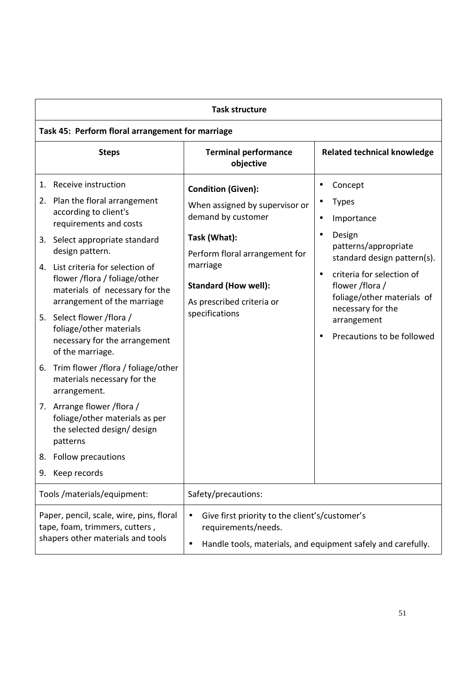| <b>Task structure</b>                                                                                           |                                                                                                                                                                                                                                                                                                                                                                                                                                                                                                                                                                                                       |                                                                                                                                                                                                                               |                                                                                                                                                                                                                                                                                                                              |
|-----------------------------------------------------------------------------------------------------------------|-------------------------------------------------------------------------------------------------------------------------------------------------------------------------------------------------------------------------------------------------------------------------------------------------------------------------------------------------------------------------------------------------------------------------------------------------------------------------------------------------------------------------------------------------------------------------------------------------------|-------------------------------------------------------------------------------------------------------------------------------------------------------------------------------------------------------------------------------|------------------------------------------------------------------------------------------------------------------------------------------------------------------------------------------------------------------------------------------------------------------------------------------------------------------------------|
|                                                                                                                 | Task 45: Perform floral arrangement for marriage                                                                                                                                                                                                                                                                                                                                                                                                                                                                                                                                                      |                                                                                                                                                                                                                               |                                                                                                                                                                                                                                                                                                                              |
|                                                                                                                 | <b>Steps</b>                                                                                                                                                                                                                                                                                                                                                                                                                                                                                                                                                                                          | <b>Terminal performance</b><br>objective                                                                                                                                                                                      | <b>Related technical knowledge</b>                                                                                                                                                                                                                                                                                           |
| design pattern.<br>arrangement.<br>patterns<br>8.<br>Keep records<br>9.                                         | 1. Receive instruction<br>2. Plan the floral arrangement<br>according to client's<br>requirements and costs<br>3. Select appropriate standard<br>4. List criteria for selection of<br>flower /flora / foliage/other<br>materials of necessary for the<br>arrangement of the marriage<br>5. Select flower /flora /<br>foliage/other materials<br>necessary for the arrangement<br>of the marriage.<br>6. Trim flower /flora / foliage/other<br>materials necessary for the<br>7. Arrange flower / flora /<br>foliage/other materials as per<br>the selected design/design<br><b>Follow precautions</b> | <b>Condition (Given):</b><br>When assigned by supervisor or<br>demand by customer<br>Task (What):<br>Perform floral arrangement for<br>marriage<br><b>Standard (How well):</b><br>As prescribed criteria or<br>specifications | Concept<br>$\bullet$<br><b>Types</b><br>٠<br>Importance<br>$\bullet$<br>Design<br>$\bullet$<br>patterns/appropriate<br>standard design pattern(s).<br>criteria for selection of<br>$\bullet$<br>flower /flora /<br>foliage/other materials of<br>necessary for the<br>arrangement<br>Precautions to be followed<br>$\bullet$ |
| Tools /materials/equipment:<br>Safety/precautions:                                                              |                                                                                                                                                                                                                                                                                                                                                                                                                                                                                                                                                                                                       |                                                                                                                                                                                                                               |                                                                                                                                                                                                                                                                                                                              |
| Paper, pencil, scale, wire, pins, floral<br>tape, foam, trimmers, cutters,<br>shapers other materials and tools |                                                                                                                                                                                                                                                                                                                                                                                                                                                                                                                                                                                                       | Give first priority to the client's/customer's<br>$\bullet$<br>requirements/needs.<br>$\bullet$                                                                                                                               | Handle tools, materials, and equipment safely and carefully.                                                                                                                                                                                                                                                                 |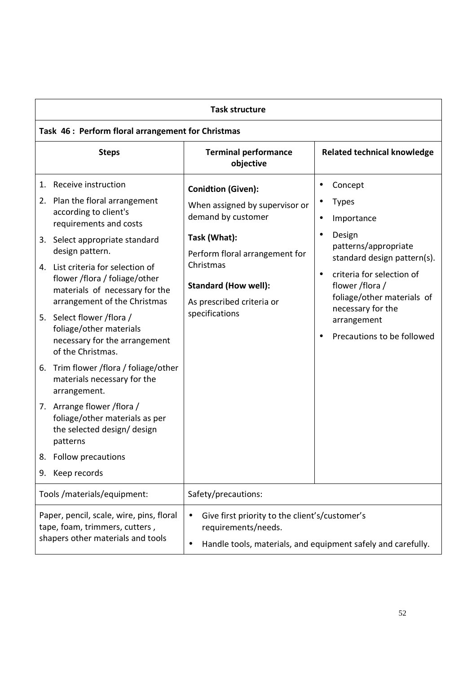| <b>Task structure</b>                                                                                                                                                                                                                                                                                                                                                                                                                                                                                                                                                                                                                                                       |                                                                                                                                                                                                                                |                                                                                                                                                                                                                                                                                                                              |  |
|-----------------------------------------------------------------------------------------------------------------------------------------------------------------------------------------------------------------------------------------------------------------------------------------------------------------------------------------------------------------------------------------------------------------------------------------------------------------------------------------------------------------------------------------------------------------------------------------------------------------------------------------------------------------------------|--------------------------------------------------------------------------------------------------------------------------------------------------------------------------------------------------------------------------------|------------------------------------------------------------------------------------------------------------------------------------------------------------------------------------------------------------------------------------------------------------------------------------------------------------------------------|--|
| Task 46 : Perform floral arrangement for Christmas                                                                                                                                                                                                                                                                                                                                                                                                                                                                                                                                                                                                                          |                                                                                                                                                                                                                                |                                                                                                                                                                                                                                                                                                                              |  |
| <b>Steps</b>                                                                                                                                                                                                                                                                                                                                                                                                                                                                                                                                                                                                                                                                | <b>Terminal performance</b><br>objective                                                                                                                                                                                       | <b>Related technical knowledge</b>                                                                                                                                                                                                                                                                                           |  |
| 1. Receive instruction<br>2. Plan the floral arrangement<br>according to client's<br>requirements and costs<br>3. Select appropriate standard<br>design pattern.<br>4. List criteria for selection of<br>flower /flora / foliage/other<br>materials of necessary for the<br>arrangement of the Christmas<br>5. Select flower /flora /<br>foliage/other materials<br>necessary for the arrangement<br>of the Christmas.<br>6. Trim flower /flora / foliage/other<br>materials necessary for the<br>arrangement.<br>7. Arrange flower / flora /<br>foliage/other materials as per<br>the selected design/design<br>patterns<br>Follow precautions<br>8.<br>Keep records<br>9. | <b>Conidtion (Given):</b><br>When assigned by supervisor or<br>demand by customer<br>Task (What):<br>Perform floral arrangement for<br>Christmas<br><b>Standard (How well):</b><br>As prescribed criteria or<br>specifications | Concept<br>$\bullet$<br><b>Types</b><br>٠<br>Importance<br>$\bullet$<br>Design<br>$\bullet$<br>patterns/appropriate<br>standard design pattern(s).<br>criteria for selection of<br>$\bullet$<br>flower /flora /<br>foliage/other materials of<br>necessary for the<br>arrangement<br>Precautions to be followed<br>$\bullet$ |  |
| Tools /materials/equipment:<br>Safety/precautions:                                                                                                                                                                                                                                                                                                                                                                                                                                                                                                                                                                                                                          |                                                                                                                                                                                                                                |                                                                                                                                                                                                                                                                                                                              |  |
| Paper, pencil, scale, wire, pins, floral<br>tape, foam, trimmers, cutters,<br>shapers other materials and tools                                                                                                                                                                                                                                                                                                                                                                                                                                                                                                                                                             | Give first priority to the client's/customer's<br>$\bullet$<br>requirements/needs.<br>$\bullet$                                                                                                                                | Handle tools, materials, and equipment safely and carefully.                                                                                                                                                                                                                                                                 |  |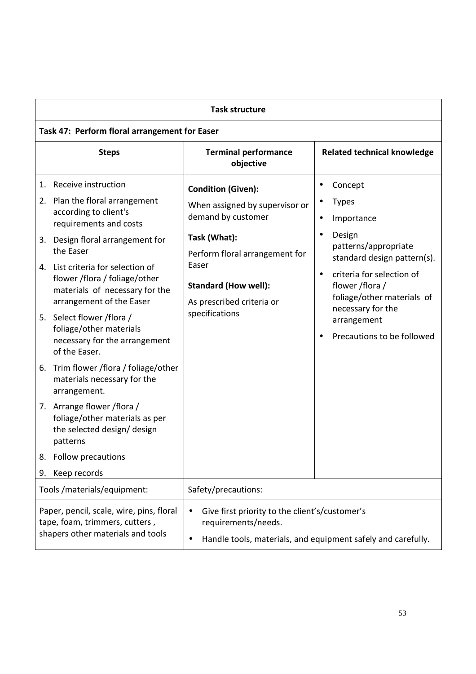| <b>Task structure</b>                                                                                                                                                                                                                                                                                                                                                                                                                                                                                                                                                                                                                                            |  |                                                                                                                                                                                                                            |                                                                                                                                                                                                                                                                                                    |
|------------------------------------------------------------------------------------------------------------------------------------------------------------------------------------------------------------------------------------------------------------------------------------------------------------------------------------------------------------------------------------------------------------------------------------------------------------------------------------------------------------------------------------------------------------------------------------------------------------------------------------------------------------------|--|----------------------------------------------------------------------------------------------------------------------------------------------------------------------------------------------------------------------------|----------------------------------------------------------------------------------------------------------------------------------------------------------------------------------------------------------------------------------------------------------------------------------------------------|
| Task 47: Perform floral arrangement for Easer                                                                                                                                                                                                                                                                                                                                                                                                                                                                                                                                                                                                                    |  |                                                                                                                                                                                                                            |                                                                                                                                                                                                                                                                                                    |
| <b>Steps</b>                                                                                                                                                                                                                                                                                                                                                                                                                                                                                                                                                                                                                                                     |  | <b>Terminal performance</b><br>objective                                                                                                                                                                                   | <b>Related technical knowledge</b>                                                                                                                                                                                                                                                                 |
| 1. Receive instruction<br>2. Plan the floral arrangement<br>according to client's<br>requirements and costs<br>3. Design floral arrangement for<br>the Easer<br>4. List criteria for selection of<br>flower /flora / foliage/other<br>materials of necessary for the<br>arrangement of the Easer<br>5. Select flower / flora /<br>foliage/other materials<br>necessary for the arrangement<br>of the Easer.<br>6. Trim flower /flora / foliage/other<br>materials necessary for the<br>arrangement.<br>7. Arrange flower / flora /<br>foliage/other materials as per<br>the selected design/design<br>patterns<br>Follow precautions<br>8.<br>Keep records<br>9. |  | <b>Condition (Given):</b><br>When assigned by supervisor or<br>demand by customer<br>Task (What):<br>Perform floral arrangement for<br>Easer<br><b>Standard (How well):</b><br>As prescribed criteria or<br>specifications | Concept<br>٠<br><b>Types</b><br>Importance<br>$\bullet$<br>Design<br>$\bullet$<br>patterns/appropriate<br>standard design pattern(s).<br>criteria for selection of<br>$\bullet$<br>flower /flora /<br>foliage/other materials of<br>necessary for the<br>arrangement<br>Precautions to be followed |
| Tools / materials/equipment:<br>Safety/precautions:                                                                                                                                                                                                                                                                                                                                                                                                                                                                                                                                                                                                              |  |                                                                                                                                                                                                                            |                                                                                                                                                                                                                                                                                                    |
| Paper, pencil, scale, wire, pins, floral<br>tape, foam, trimmers, cutters,<br>shapers other materials and tools                                                                                                                                                                                                                                                                                                                                                                                                                                                                                                                                                  |  | Give first priority to the client's/customer's<br>$\bullet$<br>requirements/needs.<br>$\bullet$                                                                                                                            | Handle tools, materials, and equipment safely and carefully.                                                                                                                                                                                                                                       |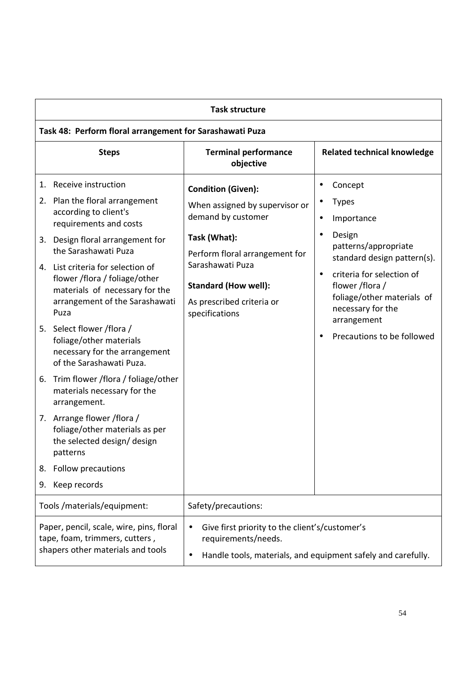| <b>Task structure</b>                                                                                                                                                                                                                                                                                                                                                                                                                                                                                                                                                                                                                                                                                           |                                                                                                                                                                                                                                       |                                                                                                                                                                                                                                                                                                                         |  |
|-----------------------------------------------------------------------------------------------------------------------------------------------------------------------------------------------------------------------------------------------------------------------------------------------------------------------------------------------------------------------------------------------------------------------------------------------------------------------------------------------------------------------------------------------------------------------------------------------------------------------------------------------------------------------------------------------------------------|---------------------------------------------------------------------------------------------------------------------------------------------------------------------------------------------------------------------------------------|-------------------------------------------------------------------------------------------------------------------------------------------------------------------------------------------------------------------------------------------------------------------------------------------------------------------------|--|
| Task 48: Perform floral arrangement for Sarashawati Puza                                                                                                                                                                                                                                                                                                                                                                                                                                                                                                                                                                                                                                                        |                                                                                                                                                                                                                                       |                                                                                                                                                                                                                                                                                                                         |  |
| <b>Steps</b>                                                                                                                                                                                                                                                                                                                                                                                                                                                                                                                                                                                                                                                                                                    | <b>Terminal performance</b><br>objective                                                                                                                                                                                              | <b>Related technical knowledge</b>                                                                                                                                                                                                                                                                                      |  |
| Receive instruction<br>1.<br>2. Plan the floral arrangement<br>according to client's<br>requirements and costs<br>3. Design floral arrangement for<br>the Sarashawati Puza<br>4. List criteria for selection of<br>flower /flora / foliage/other<br>materials of necessary for the<br>arrangement of the Sarashawati<br>Puza<br>5. Select flower / flora /<br>foliage/other materials<br>necessary for the arrangement<br>of the Sarashawati Puza.<br>6. Trim flower /flora / foliage/other<br>materials necessary for the<br>arrangement.<br>7. Arrange flower / flora /<br>foliage/other materials as per<br>the selected design/ design<br>patterns<br><b>Follow precautions</b><br>8.<br>Keep records<br>9. | <b>Condition (Given):</b><br>When assigned by supervisor or<br>demand by customer<br>Task (What):<br>Perform floral arrangement for<br>Sarashawati Puza<br><b>Standard (How well):</b><br>As prescribed criteria or<br>specifications | Concept<br>$\bullet$<br><b>Types</b><br>Importance<br>$\bullet$<br>Design<br>$\bullet$<br>patterns/appropriate<br>standard design pattern(s).<br>criteria for selection of<br>$\bullet$<br>flower /flora /<br>foliage/other materials of<br>necessary for the<br>arrangement<br>Precautions to be followed<br>$\bullet$ |  |
| Tools /materials/equipment:                                                                                                                                                                                                                                                                                                                                                                                                                                                                                                                                                                                                                                                                                     | Safety/precautions:                                                                                                                                                                                                                   |                                                                                                                                                                                                                                                                                                                         |  |
| Paper, pencil, scale, wire, pins, floral<br>Give first priority to the client's/customer's<br>$\bullet$<br>tape, foam, trimmers, cutters,<br>requirements/needs.<br>shapers other materials and tools<br>Handle tools, materials, and equipment safely and carefully.<br>$\bullet$                                                                                                                                                                                                                                                                                                                                                                                                                              |                                                                                                                                                                                                                                       |                                                                                                                                                                                                                                                                                                                         |  |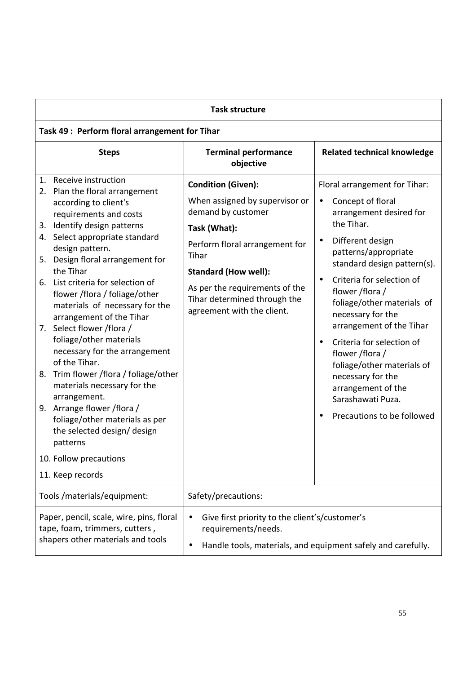| <b>Task structure</b>                                                                                                                                                                                                                                                                                                                                                                                                                                                                                                                                                                                                                                                                                                                               |                                                                                                                                                                                                                                                                             |                                                                                                                                                                                                                                                                                                                                                                                                                                                                                                                                       |  |
|-----------------------------------------------------------------------------------------------------------------------------------------------------------------------------------------------------------------------------------------------------------------------------------------------------------------------------------------------------------------------------------------------------------------------------------------------------------------------------------------------------------------------------------------------------------------------------------------------------------------------------------------------------------------------------------------------------------------------------------------------------|-----------------------------------------------------------------------------------------------------------------------------------------------------------------------------------------------------------------------------------------------------------------------------|---------------------------------------------------------------------------------------------------------------------------------------------------------------------------------------------------------------------------------------------------------------------------------------------------------------------------------------------------------------------------------------------------------------------------------------------------------------------------------------------------------------------------------------|--|
| Task 49 : Perform floral arrangement for Tihar                                                                                                                                                                                                                                                                                                                                                                                                                                                                                                                                                                                                                                                                                                      |                                                                                                                                                                                                                                                                             |                                                                                                                                                                                                                                                                                                                                                                                                                                                                                                                                       |  |
| <b>Steps</b>                                                                                                                                                                                                                                                                                                                                                                                                                                                                                                                                                                                                                                                                                                                                        | <b>Terminal performance</b><br>objective                                                                                                                                                                                                                                    | <b>Related technical knowledge</b>                                                                                                                                                                                                                                                                                                                                                                                                                                                                                                    |  |
| 1. Receive instruction<br>2. Plan the floral arrangement<br>according to client's<br>requirements and costs<br>3. Identify design patterns<br>4. Select appropriate standard<br>design pattern.<br>5. Design floral arrangement for<br>the Tihar<br>6. List criteria for selection of<br>flower /flora / foliage/other<br>materials of necessary for the<br>arrangement of the Tihar<br>7. Select flower /flora /<br>foliage/other materials<br>necessary for the arrangement<br>of the Tihar.<br>Trim flower /flora / foliage/other<br>8.<br>materials necessary for the<br>arrangement.<br>9. Arrange flower / flora /<br>foliage/other materials as per<br>the selected design/ design<br>patterns<br>10. Follow precautions<br>11. Keep records | <b>Condition (Given):</b><br>When assigned by supervisor or<br>demand by customer<br>Task (What):<br>Perform floral arrangement for<br>Tihar<br><b>Standard (How well):</b><br>As per the requirements of the<br>Tihar determined through the<br>agreement with the client. | Floral arrangement for Tihar:<br>Concept of floral<br>$\bullet$<br>arrangement desired for<br>the Tihar.<br>Different design<br>$\bullet$<br>patterns/appropriate<br>standard design pattern(s).<br>Criteria for selection of<br>$\bullet$<br>flower /flora /<br>foliage/other materials of<br>necessary for the<br>arrangement of the Tihar<br>Criteria for selection of<br>$\bullet$<br>flower /flora /<br>foliage/other materials of<br>necessary for the<br>arrangement of the<br>Sarashawati Puza.<br>Precautions to be followed |  |
| Tools / materials/equipment:<br>Safety/precautions:                                                                                                                                                                                                                                                                                                                                                                                                                                                                                                                                                                                                                                                                                                 |                                                                                                                                                                                                                                                                             |                                                                                                                                                                                                                                                                                                                                                                                                                                                                                                                                       |  |
| Paper, pencil, scale, wire, pins, floral<br>tape, foam, trimmers, cutters,<br>shapers other materials and tools                                                                                                                                                                                                                                                                                                                                                                                                                                                                                                                                                                                                                                     | Give first priority to the client's/customer's<br>$\bullet$<br>requirements/needs.<br>$\bullet$                                                                                                                                                                             | Handle tools, materials, and equipment safely and carefully.                                                                                                                                                                                                                                                                                                                                                                                                                                                                          |  |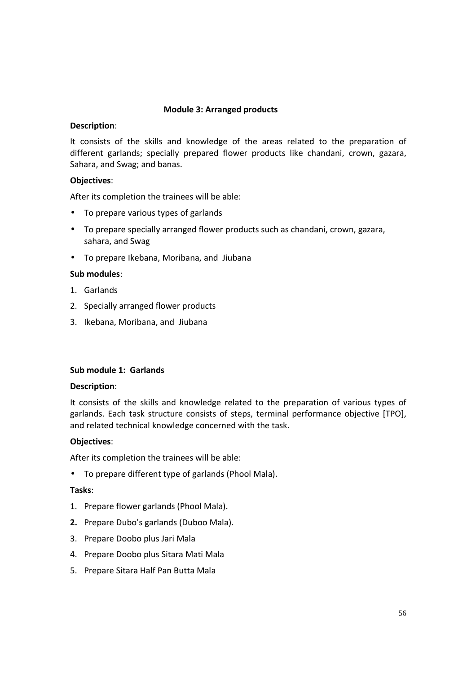## **Module 3: Arranged products**

### **Description**:

It consists of the skills and knowledge of the areas related to the preparation of different garlands; specially prepared flower products like chandani, crown, gazara, Sahara, and Swag; and banas.

# **Objectives**:

After its completion the trainees will be able:

- To prepare various types of garlands
- To prepare specially arranged flower products such as chandani, crown, gazara, sahara, and Swag
- To prepare Ikebana, Moribana, and Jiubana

## **Sub modules**:

- 1. Garlands
- 2. Specially arranged flower products
- 3. Ikebana, Moribana, and Jiubana

### **Sub module 1: Garlands**

### **Description**:

It consists of the skills and knowledge related to the preparation of various types of garlands. Each task structure consists of steps, terminal performance objective [TPO], and related technical knowledge concerned with the task.

### **Objectives**:

After its completion the trainees will be able:

• To prepare different type of garlands (Phool Mala).

- 1. Prepare flower garlands (Phool Mala).
- **2.** Prepare Dubo's garlands (Duboo Mala).
- 3. Prepare Doobo plus Jari Mala
- 4. Prepare Doobo plus Sitara Mati Mala
- 5. Prepare Sitara Half Pan Butta Mala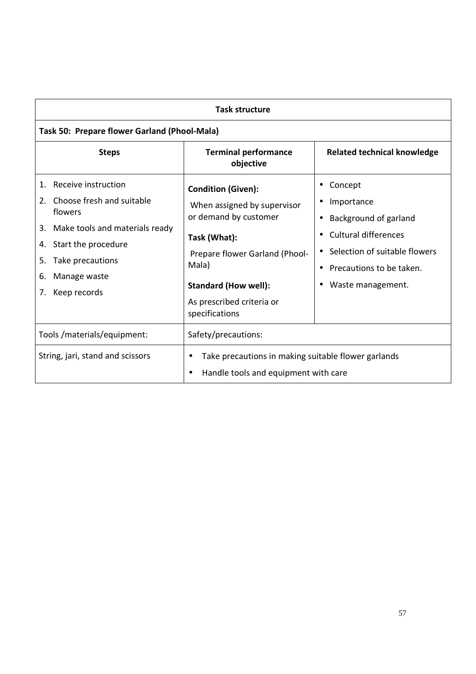| <b>Task structure</b>                                                                                                                                                                                           |                                                                                                                                                                                                                            |                                                                                                                                                                 |  |
|-----------------------------------------------------------------------------------------------------------------------------------------------------------------------------------------------------------------|----------------------------------------------------------------------------------------------------------------------------------------------------------------------------------------------------------------------------|-----------------------------------------------------------------------------------------------------------------------------------------------------------------|--|
| Task 50: Prepare flower Garland (Phool-Mala)                                                                                                                                                                    |                                                                                                                                                                                                                            |                                                                                                                                                                 |  |
| <b>Steps</b>                                                                                                                                                                                                    | <b>Terminal performance</b><br>objective                                                                                                                                                                                   | <b>Related technical knowledge</b>                                                                                                                              |  |
| Receive instruction<br>1.<br>Choose fresh and suitable<br>2.<br>flowers<br>3. Make tools and materials ready<br>Start the procedure<br>4.<br>Take precautions<br>5.<br>Manage waste<br>6.<br>Keep records<br>7. | <b>Condition (Given):</b><br>When assigned by supervisor<br>or demand by customer<br>Task (What):<br>Prepare flower Garland (Phool-<br>Mala)<br><b>Standard (How well):</b><br>As prescribed criteria or<br>specifications | Concept<br>Importance<br>Background of garland<br><b>Cultural differences</b><br>Selection of suitable flowers<br>Precautions to be taken.<br>Waste management. |  |
| Tools /materials/equipment:<br>String, jari, stand and scissors                                                                                                                                                 | Safety/precautions:<br>Take precautions in making suitable flower garlands<br>Handle tools and equipment with care                                                                                                         |                                                                                                                                                                 |  |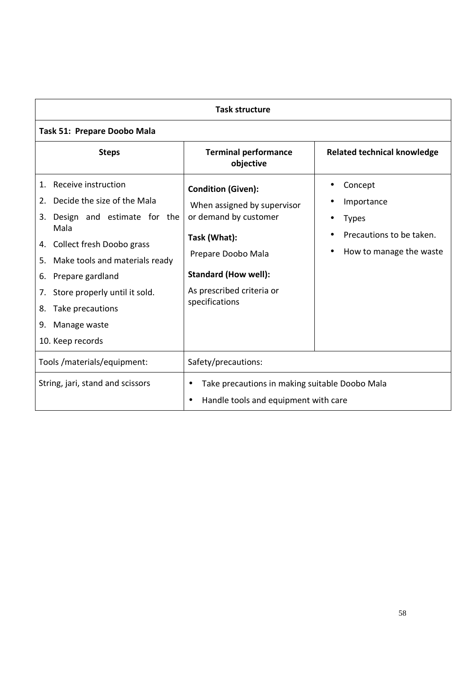| <b>Task structure</b>                                                                                                                                                                                                                                                                                                                |                                                                                                                                                                                                       |                                                                                              |  |
|--------------------------------------------------------------------------------------------------------------------------------------------------------------------------------------------------------------------------------------------------------------------------------------------------------------------------------------|-------------------------------------------------------------------------------------------------------------------------------------------------------------------------------------------------------|----------------------------------------------------------------------------------------------|--|
| Task 51: Prepare Doobo Mala                                                                                                                                                                                                                                                                                                          |                                                                                                                                                                                                       |                                                                                              |  |
| <b>Steps</b>                                                                                                                                                                                                                                                                                                                         | <b>Terminal performance</b><br>objective                                                                                                                                                              | <b>Related technical knowledge</b>                                                           |  |
| Receive instruction<br>$\mathbf{1}$ .<br>Decide the size of the Mala<br>2.<br>Design and estimate for the<br>3.<br>Mala<br>4. Collect fresh Doobo grass<br>Make tools and materials ready<br>5.<br>Prepare gardland<br>6.<br>Store properly until it sold.<br>7.<br>Take precautions<br>8.<br>Manage waste<br>9.<br>10. Keep records | <b>Condition (Given):</b><br>When assigned by supervisor<br>or demand by customer<br>Task (What):<br>Prepare Doobo Mala<br><b>Standard (How well):</b><br>As prescribed criteria or<br>specifications | Concept<br>Importance<br><b>Types</b><br>Precautions to be taken.<br>How to manage the waste |  |
| Tools /materials/equipment:<br>Safety/precautions:                                                                                                                                                                                                                                                                                   |                                                                                                                                                                                                       |                                                                                              |  |
| String, jari, stand and scissors<br>Take precautions in making suitable Doobo Mala<br>$\bullet$<br>Handle tools and equipment with care<br>$\bullet$                                                                                                                                                                                 |                                                                                                                                                                                                       |                                                                                              |  |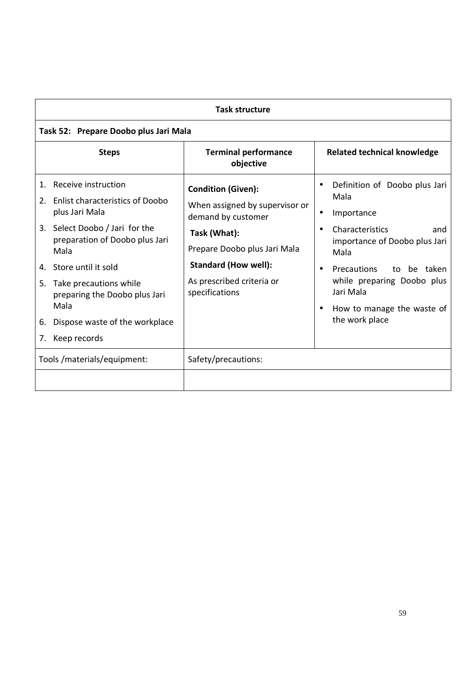|                      | <b>Task structure</b>                                                                                                                                                                                                                                                                                         |                                                                                                                                                                                                                 |                                                                                                                                                                                                                                                                                          |  |
|----------------------|---------------------------------------------------------------------------------------------------------------------------------------------------------------------------------------------------------------------------------------------------------------------------------------------------------------|-----------------------------------------------------------------------------------------------------------------------------------------------------------------------------------------------------------------|------------------------------------------------------------------------------------------------------------------------------------------------------------------------------------------------------------------------------------------------------------------------------------------|--|
|                      | Task 52: Prepare Doobo plus Jari Mala                                                                                                                                                                                                                                                                         |                                                                                                                                                                                                                 |                                                                                                                                                                                                                                                                                          |  |
|                      | <b>Steps</b>                                                                                                                                                                                                                                                                                                  | <b>Terminal performance</b><br>objective                                                                                                                                                                        | <b>Related technical knowledge</b>                                                                                                                                                                                                                                                       |  |
| 2.<br>5.<br>6.<br>7. | 1. Receive instruction<br><b>Enlist characteristics of Doobo</b><br>plus Jari Mala<br>3. Select Doobo / Jari for the<br>preparation of Doobo plus Jari<br>Mala<br>4. Store until it sold<br>Take precautions while<br>preparing the Doobo plus Jari<br>Mala<br>Dispose waste of the workplace<br>Keep records | <b>Condition (Given):</b><br>When assigned by supervisor or<br>demand by customer<br>Task (What):<br>Prepare Doobo plus Jari Mala<br><b>Standard (How well):</b><br>As prescribed criteria or<br>specifications | Definition of Doobo plus Jari<br>Mala<br>Importance<br>٠<br>Characteristics<br>and<br>importance of Doobo plus Jari<br>Mala<br><b>Precautions</b><br>be taken<br>to<br>$\bullet$<br>while preparing Doobo plus<br>Jari Mala<br>How to manage the waste of<br>$\bullet$<br>the work place |  |
|                      | Tools /materials/equipment:                                                                                                                                                                                                                                                                                   | Safety/precautions:                                                                                                                                                                                             |                                                                                                                                                                                                                                                                                          |  |
|                      |                                                                                                                                                                                                                                                                                                               |                                                                                                                                                                                                                 |                                                                                                                                                                                                                                                                                          |  |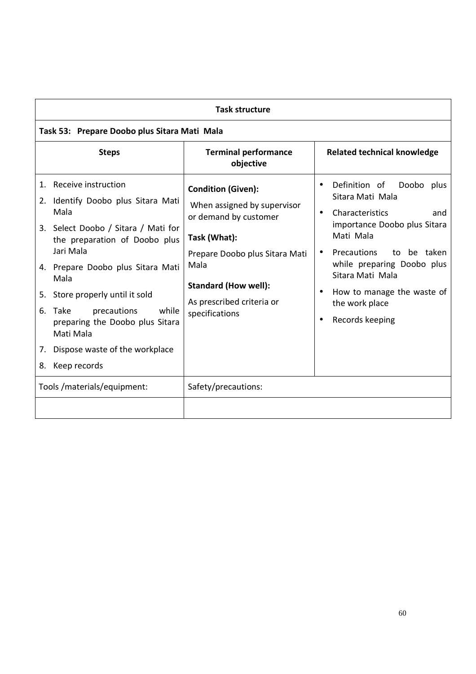| <b>Task structure</b>                                                                                                                                                                                                                                                                                                                                                                   |                                                                                                                                                                                                                           |                                                                                                                                                                                                                                                                                                        |  |
|-----------------------------------------------------------------------------------------------------------------------------------------------------------------------------------------------------------------------------------------------------------------------------------------------------------------------------------------------------------------------------------------|---------------------------------------------------------------------------------------------------------------------------------------------------------------------------------------------------------------------------|--------------------------------------------------------------------------------------------------------------------------------------------------------------------------------------------------------------------------------------------------------------------------------------------------------|--|
| Task 53: Prepare Doobo plus Sitara Mati Mala                                                                                                                                                                                                                                                                                                                                            |                                                                                                                                                                                                                           |                                                                                                                                                                                                                                                                                                        |  |
| <b>Steps</b>                                                                                                                                                                                                                                                                                                                                                                            | <b>Terminal performance</b><br>objective                                                                                                                                                                                  | <b>Related technical knowledge</b>                                                                                                                                                                                                                                                                     |  |
| 1. Receive instruction<br>2. Identify Doobo plus Sitara Mati<br>Mala<br>3. Select Doobo / Sitara / Mati for<br>the preparation of Doobo plus<br>Jari Mala<br>4. Prepare Doobo plus Sitara Mati<br>Mala<br>Store properly until it sold<br>5.<br>precautions<br>while<br>6. Take<br>preparing the Doobo plus Sitara<br>Mati Mala<br>7. Dispose waste of the workplace<br>8. Keep records | <b>Condition (Given):</b><br>When assigned by supervisor<br>or demand by customer<br>Task (What):<br>Prepare Doobo plus Sitara Mati<br>Mala<br><b>Standard (How well):</b><br>As prescribed criteria or<br>specifications | Definition of Doobo<br>plus<br>Sitara Mati Mala<br>Characteristics<br>and<br>$\bullet$<br>importance Doobo plus Sitara<br>Mati Mala<br>Precautions<br>be taken<br>to<br>$\bullet$<br>while preparing Doobo plus<br>Sitara Mati Mala<br>How to manage the waste of<br>the work place<br>Records keeping |  |
| Tools /materials/equipment:                                                                                                                                                                                                                                                                                                                                                             | Safety/precautions:                                                                                                                                                                                                       |                                                                                                                                                                                                                                                                                                        |  |
|                                                                                                                                                                                                                                                                                                                                                                                         |                                                                                                                                                                                                                           |                                                                                                                                                                                                                                                                                                        |  |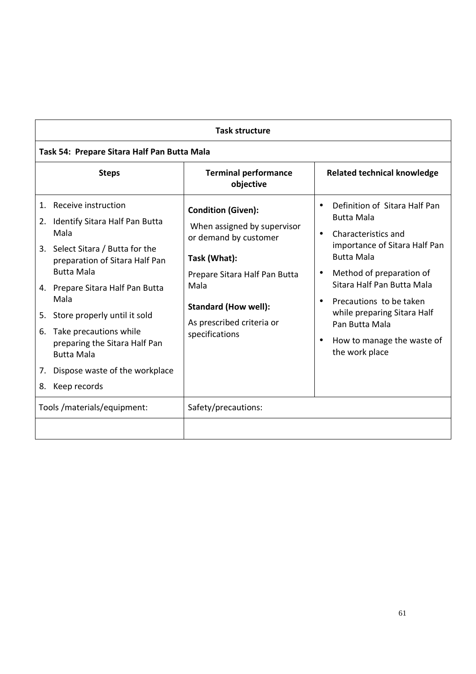| <b>Task structure</b>                                             |                                                                                                                                                               |                                                                                                                                    |                                                                                                                                                                                                                     |
|-------------------------------------------------------------------|---------------------------------------------------------------------------------------------------------------------------------------------------------------|------------------------------------------------------------------------------------------------------------------------------------|---------------------------------------------------------------------------------------------------------------------------------------------------------------------------------------------------------------------|
| Task 54: Prepare Sitara Half Pan Butta Mala                       |                                                                                                                                                               |                                                                                                                                    |                                                                                                                                                                                                                     |
|                                                                   | <b>Steps</b>                                                                                                                                                  | <b>Terminal performance</b><br>objective                                                                                           | <b>Related technical knowledge</b>                                                                                                                                                                                  |
| 1. Receive instruction<br>2.<br>Mala<br><b>Butta Mala</b>         | Identify Sitara Half Pan Butta<br>3. Select Sitara / Butta for the<br>preparation of Sitara Half Pan                                                          | <b>Condition (Given):</b><br>When assigned by supervisor<br>or demand by customer<br>Task (What):<br>Prepare Sitara Half Pan Butta | Definition of Sitara Half Pan<br><b>Butta Mala</b><br>Characteristics and<br>$\bullet$<br>importance of Sitara Half Pan<br><b>Butta Mala</b><br>Method of preparation of<br>$\bullet$<br>Sitara Half Pan Butta Mala |
| Mala<br>5.<br>6.<br><b>Butta Mala</b><br>7.<br>Keep records<br>8. | 4. Prepare Sitara Half Pan Butta<br>Store properly until it sold<br>Take precautions while<br>preparing the Sitara Half Pan<br>Dispose waste of the workplace | Mala<br><b>Standard (How well):</b><br>As prescribed criteria or<br>specifications                                                 | Precautions to be taken<br>while preparing Sitara Half<br>Pan Butta Mala<br>How to manage the waste of<br>٠<br>the work place                                                                                       |
|                                                                   | Tools /materials/equipment:                                                                                                                                   | Safety/precautions:                                                                                                                |                                                                                                                                                                                                                     |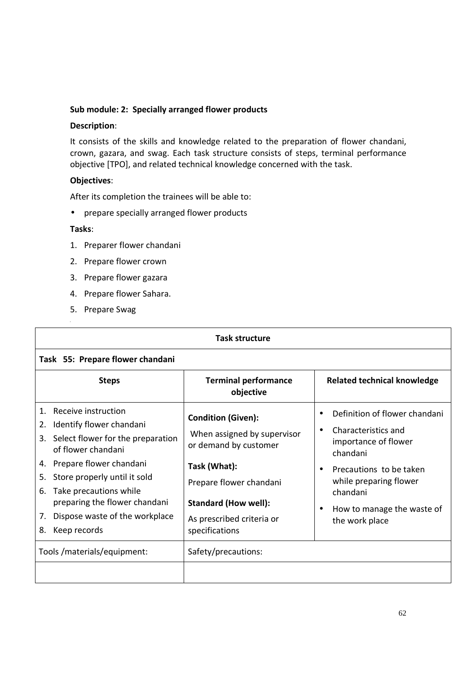## **Sub module: 2: Specially arranged flower products**

### **Description**:

It consists of the skills and knowledge related to the preparation of flower chandani, crown, gazara, and swag. Each task structure consists of steps, terminal performance objective [TPO], and related technical knowledge concerned with the task.

## **Objectives**:

After its completion the trainees will be able to:

• prepare specially arranged flower products

- 1. Preparer flower chandani
- 2. Prepare flower crown
- 3. Prepare flower gazara
- 4. Prepare flower Sahara.
- 5. Prepare Swag **,**

| <b>Task structure</b>                                                                                                                                                                                                                                                                                                                   |                                                                                                                                                                                                            |                                                                                                                                                                                                                                                  |  |
|-----------------------------------------------------------------------------------------------------------------------------------------------------------------------------------------------------------------------------------------------------------------------------------------------------------------------------------------|------------------------------------------------------------------------------------------------------------------------------------------------------------------------------------------------------------|--------------------------------------------------------------------------------------------------------------------------------------------------------------------------------------------------------------------------------------------------|--|
| Task 55: Prepare flower chandani                                                                                                                                                                                                                                                                                                        |                                                                                                                                                                                                            |                                                                                                                                                                                                                                                  |  |
| <b>Steps</b>                                                                                                                                                                                                                                                                                                                            | <b>Terminal performance</b><br>objective                                                                                                                                                                   | <b>Related technical knowledge</b>                                                                                                                                                                                                               |  |
| Receive instruction<br>$1_{-}$<br>Identify flower chandani<br>2.<br>Select flower for the preparation<br>3.<br>of flower chandani<br>Prepare flower chandani<br>4.<br>Store properly until it sold<br>5.<br>Take precautions while<br>6.<br>preparing the flower chandani<br>Dispose waste of the workplace<br>7.<br>Keep records<br>8. | <b>Condition (Given):</b><br>When assigned by supervisor<br>or demand by customer<br>Task (What):<br>Prepare flower chandani<br><b>Standard (How well):</b><br>As prescribed criteria or<br>specifications | Definition of flower chandani<br>Characteristics and<br>$\bullet$<br>importance of flower<br>chandani<br>Precautions to be taken<br>$\bullet$<br>while preparing flower<br>chandani<br>How to manage the waste of<br>$\bullet$<br>the work place |  |
| Tools /materials/equipment:                                                                                                                                                                                                                                                                                                             | Safety/precautions:                                                                                                                                                                                        |                                                                                                                                                                                                                                                  |  |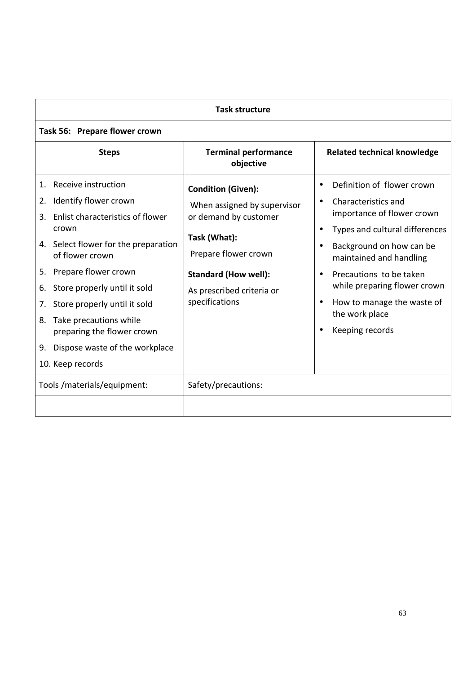| <b>Task structure</b>                                                                                                                                                                                                                                                                                                                                                 |                                |                                                                                                                                                                                                         |                                                                                                                                                                                                                                                                                                        |  |
|-----------------------------------------------------------------------------------------------------------------------------------------------------------------------------------------------------------------------------------------------------------------------------------------------------------------------------------------------------------------------|--------------------------------|---------------------------------------------------------------------------------------------------------------------------------------------------------------------------------------------------------|--------------------------------------------------------------------------------------------------------------------------------------------------------------------------------------------------------------------------------------------------------------------------------------------------------|--|
|                                                                                                                                                                                                                                                                                                                                                                       | Task 56: Prepare flower crown  |                                                                                                                                                                                                         |                                                                                                                                                                                                                                                                                                        |  |
| <b>Steps</b>                                                                                                                                                                                                                                                                                                                                                          |                                | <b>Terminal performance</b><br>objective                                                                                                                                                                | <b>Related technical knowledge</b>                                                                                                                                                                                                                                                                     |  |
| Receive instruction<br>1.<br>Identify flower crown<br>2.<br>Enlist characteristics of flower<br>3.<br>crown<br>4. Select flower for the preparation<br>of flower crown<br>Prepare flower crown<br>5.<br>Store properly until it sold<br>6.<br>Store properly until it sold<br>7.<br>8. Take precautions while<br>preparing the flower crown<br>9.<br>10. Keep records | Dispose waste of the workplace | <b>Condition (Given):</b><br>When assigned by supervisor<br>or demand by customer<br>Task (What):<br>Prepare flower crown<br><b>Standard (How well):</b><br>As prescribed criteria or<br>specifications | Definition of flower crown<br>Characteristics and<br>importance of flower crown<br>Types and cultural differences<br>Background on how can be<br>maintained and handling<br>Precautions to be taken<br>while preparing flower crown<br>How to manage the waste of<br>the work place<br>Keeping records |  |
| Tools /materials/equipment:                                                                                                                                                                                                                                                                                                                                           |                                | Safety/precautions:                                                                                                                                                                                     |                                                                                                                                                                                                                                                                                                        |  |
|                                                                                                                                                                                                                                                                                                                                                                       |                                |                                                                                                                                                                                                         |                                                                                                                                                                                                                                                                                                        |  |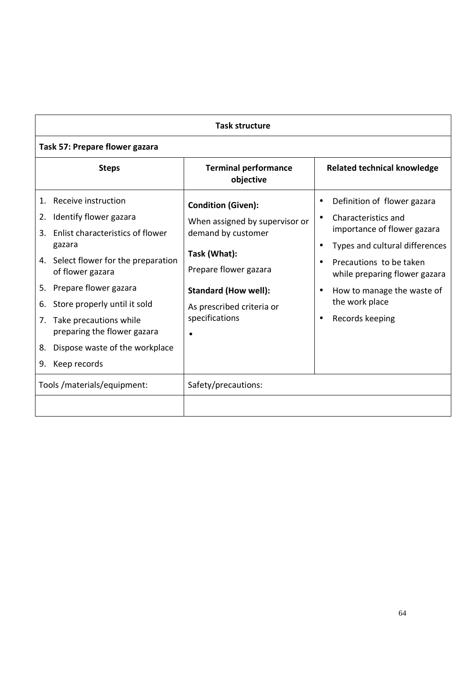| <b>Task structure</b>                                                                                                                                                                                                                                                                                                                                                       |                                                                                                                                                                                                          |                                                                                                                                                                                                                                                    |  |
|-----------------------------------------------------------------------------------------------------------------------------------------------------------------------------------------------------------------------------------------------------------------------------------------------------------------------------------------------------------------------------|----------------------------------------------------------------------------------------------------------------------------------------------------------------------------------------------------------|----------------------------------------------------------------------------------------------------------------------------------------------------------------------------------------------------------------------------------------------------|--|
| Task 57: Prepare flower gazara                                                                                                                                                                                                                                                                                                                                              |                                                                                                                                                                                                          |                                                                                                                                                                                                                                                    |  |
| <b>Steps</b>                                                                                                                                                                                                                                                                                                                                                                | <b>Terminal performance</b><br>objective                                                                                                                                                                 | <b>Related technical knowledge</b>                                                                                                                                                                                                                 |  |
| Receive instruction<br>1.<br>Identify flower gazara<br>2.<br>Enlist characteristics of flower<br>3.<br>gazara<br>4. Select flower for the preparation<br>of flower gazara<br>Prepare flower gazara<br>5.<br>Store properly until it sold<br>6.<br>Take precautions while<br>7.<br>preparing the flower gazara<br>Dispose waste of the workplace<br>8.<br>Keep records<br>9. | <b>Condition (Given):</b><br>When assigned by supervisor or<br>demand by customer<br>Task (What):<br>Prepare flower gazara<br><b>Standard (How well):</b><br>As prescribed criteria or<br>specifications | Definition of flower gazara<br>Characteristics and<br>importance of flower gazara<br>Types and cultural differences<br>Precautions to be taken<br>while preparing flower gazara<br>How to manage the waste of<br>the work place<br>Records keeping |  |
| Tools /materials/equipment:                                                                                                                                                                                                                                                                                                                                                 | Safety/precautions:                                                                                                                                                                                      |                                                                                                                                                                                                                                                    |  |
|                                                                                                                                                                                                                                                                                                                                                                             |                                                                                                                                                                                                          |                                                                                                                                                                                                                                                    |  |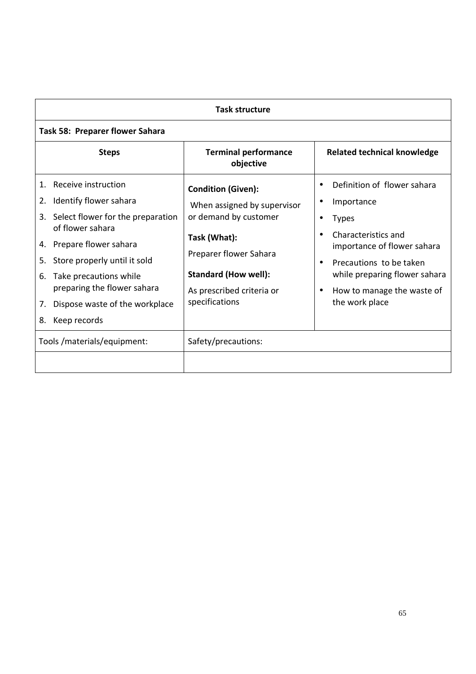| <b>Task structure</b>                                                                                                                                                                                                                                                                                                   |                                                                                                                                                                                                           |                                                                                                                                                                                                                                               |  |
|-------------------------------------------------------------------------------------------------------------------------------------------------------------------------------------------------------------------------------------------------------------------------------------------------------------------------|-----------------------------------------------------------------------------------------------------------------------------------------------------------------------------------------------------------|-----------------------------------------------------------------------------------------------------------------------------------------------------------------------------------------------------------------------------------------------|--|
| Task 58: Preparer flower Sahara                                                                                                                                                                                                                                                                                         |                                                                                                                                                                                                           |                                                                                                                                                                                                                                               |  |
| <b>Steps</b>                                                                                                                                                                                                                                                                                                            | <b>Terminal performance</b><br>objective                                                                                                                                                                  | <b>Related technical knowledge</b>                                                                                                                                                                                                            |  |
| Receive instruction<br>1.<br>Identify flower sahara<br>2.<br>Select flower for the preparation<br>3.<br>of flower sahara<br>4. Prepare flower sahara<br>Store properly until it sold<br>5.<br>Take precautions while<br>6.<br>preparing the flower sahara<br>Dispose waste of the workplace<br>7.<br>Keep records<br>8. | <b>Condition (Given):</b><br>When assigned by supervisor<br>or demand by customer<br>Task (What):<br>Preparer flower Sahara<br><b>Standard (How well):</b><br>As prescribed criteria or<br>specifications | Definition of flower sahara<br>Importance<br>٠<br><b>Types</b><br>Characteristics and<br>importance of flower sahara<br>Precautions to be taken<br>while preparing flower sahara<br>How to manage the waste of<br>$\bullet$<br>the work place |  |
| Tools /materials/equipment:                                                                                                                                                                                                                                                                                             | Safety/precautions:                                                                                                                                                                                       |                                                                                                                                                                                                                                               |  |
|                                                                                                                                                                                                                                                                                                                         |                                                                                                                                                                                                           |                                                                                                                                                                                                                                               |  |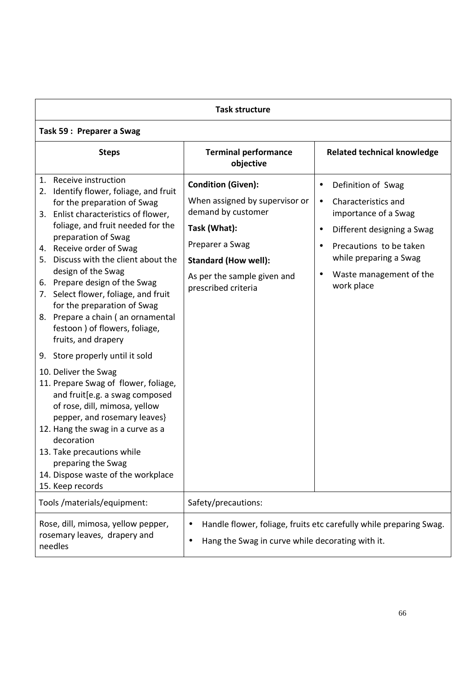| <b>Task structure</b>                                                                                                                                                                                                                                                                                                                                                                                                                                                                                                                                          |                                                                                                                                                                                                           |                                                                                                                                                                                                                         |  |
|----------------------------------------------------------------------------------------------------------------------------------------------------------------------------------------------------------------------------------------------------------------------------------------------------------------------------------------------------------------------------------------------------------------------------------------------------------------------------------------------------------------------------------------------------------------|-----------------------------------------------------------------------------------------------------------------------------------------------------------------------------------------------------------|-------------------------------------------------------------------------------------------------------------------------------------------------------------------------------------------------------------------------|--|
| Task 59: Preparer a Swag                                                                                                                                                                                                                                                                                                                                                                                                                                                                                                                                       |                                                                                                                                                                                                           |                                                                                                                                                                                                                         |  |
| <b>Steps</b>                                                                                                                                                                                                                                                                                                                                                                                                                                                                                                                                                   | <b>Terminal performance</b><br>objective                                                                                                                                                                  | <b>Related technical knowledge</b>                                                                                                                                                                                      |  |
| 1. Receive instruction<br>2. Identify flower, foliage, and fruit<br>for the preparation of Swag<br>3. Enlist characteristics of flower,<br>foliage, and fruit needed for the<br>preparation of Swag<br>4. Receive order of Swag<br>5. Discuss with the client about the<br>design of the Swag<br>6. Prepare design of the Swag<br>7. Select flower, foliage, and fruit<br>for the preparation of Swag<br>8. Prepare a chain (an ornamental<br>festoon ) of flowers, foliage,<br>fruits, and drapery<br>9. Store properly until it sold<br>10. Deliver the Swag | <b>Condition (Given):</b><br>When assigned by supervisor or<br>demand by customer<br>Task (What):<br>Preparer a Swag<br><b>Standard (How well):</b><br>As per the sample given and<br>prescribed criteria | Definition of Swag<br>$\bullet$<br>Characteristics and<br>$\bullet$<br>importance of a Swag<br>Different designing a Swag<br>Precautions to be taken<br>while preparing a Swag<br>Waste management of the<br>work place |  |
| 11. Prepare Swag of flower, foliage,<br>and fruit [e.g. a swag composed<br>of rose, dill, mimosa, yellow<br>pepper, and rosemary leaves}<br>12. Hang the swag in a curve as a<br>decoration<br>13. Take precautions while<br>preparing the Swag<br>14. Dispose waste of the workplace<br>15. Keep records                                                                                                                                                                                                                                                      |                                                                                                                                                                                                           |                                                                                                                                                                                                                         |  |
| Tools /materials/equipment:                                                                                                                                                                                                                                                                                                                                                                                                                                                                                                                                    | Safety/precautions:                                                                                                                                                                                       |                                                                                                                                                                                                                         |  |
| Rose, dill, mimosa, yellow pepper,<br>rosemary leaves, drapery and<br>needles                                                                                                                                                                                                                                                                                                                                                                                                                                                                                  | Hang the Swag in curve while decorating with it.<br>$\bullet$                                                                                                                                             | Handle flower, foliage, fruits etc carefully while preparing Swag.                                                                                                                                                      |  |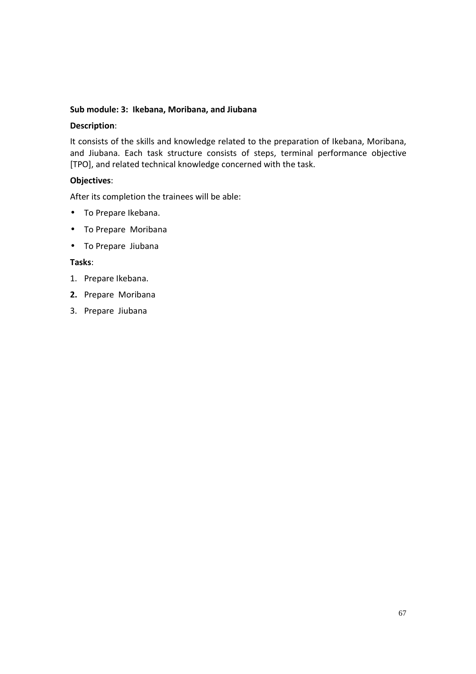## **Sub module: 3: Ikebana, Moribana, and Jiubana**

## **Description**:

It consists of the skills and knowledge related to the preparation of Ikebana, Moribana, and Jiubana. Each task structure consists of steps, terminal performance objective [TPO], and related technical knowledge concerned with the task.

# **Objectives**:

After its completion the trainees will be able:

- To Prepare Ikebana.
- To Prepare Moribana
- To Prepare Jiubana

- 1. Prepare Ikebana.
- **2.** Prepare Moribana
- 3. Prepare Jiubana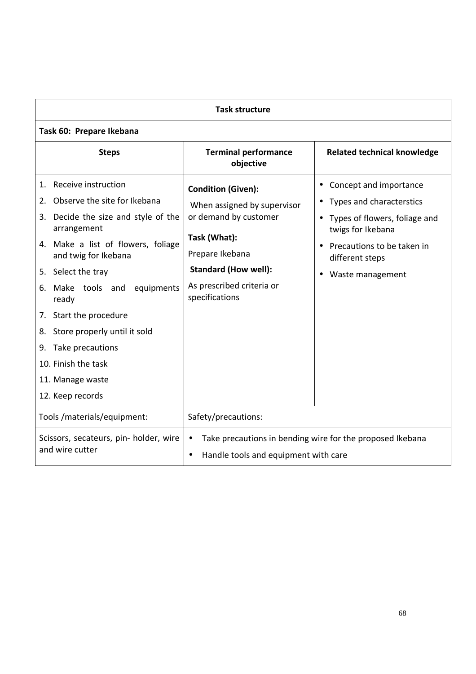| <b>Task structure</b>                                                                                                                                                                                                                                                                                                                                                                                          |                                                                                                                                                                                                    |                                                                                                                                                                                              |  |
|----------------------------------------------------------------------------------------------------------------------------------------------------------------------------------------------------------------------------------------------------------------------------------------------------------------------------------------------------------------------------------------------------------------|----------------------------------------------------------------------------------------------------------------------------------------------------------------------------------------------------|----------------------------------------------------------------------------------------------------------------------------------------------------------------------------------------------|--|
| Task 60: Prepare Ikebana                                                                                                                                                                                                                                                                                                                                                                                       |                                                                                                                                                                                                    |                                                                                                                                                                                              |  |
| <b>Steps</b>                                                                                                                                                                                                                                                                                                                                                                                                   | <b>Terminal performance</b><br>objective                                                                                                                                                           | <b>Related technical knowledge</b>                                                                                                                                                           |  |
| Receive instruction<br>1.<br>Observe the site for Ikebana<br>2.<br>3. Decide the size and style of the<br>arrangement<br>4. Make a list of flowers, foliage<br>and twig for Ikebana<br>5. Select the tray<br>Make tools and<br>equipments<br>6.<br>ready<br>7. Start the procedure<br>Store properly until it sold<br>8.<br>9. Take precautions<br>10. Finish the task<br>11. Manage waste<br>12. Keep records | <b>Condition (Given):</b><br>When assigned by supervisor<br>or demand by customer<br>Task (What):<br>Prepare Ikebana<br><b>Standard (How well):</b><br>As prescribed criteria or<br>specifications | Concept and importance<br>$\bullet$<br>Types and characterstics<br>• Types of flowers, foliage and<br>twigs for Ikebana<br>Precautions to be taken in<br>different steps<br>Waste management |  |
| Tools /materials/equipment:                                                                                                                                                                                                                                                                                                                                                                                    | Safety/precautions:                                                                                                                                                                                |                                                                                                                                                                                              |  |
| Scissors, secateurs, pin- holder, wire<br>and wire cutter                                                                                                                                                                                                                                                                                                                                                      | Take precautions in bending wire for the proposed Ikebana<br>Handle tools and equipment with care<br>$\bullet$                                                                                     |                                                                                                                                                                                              |  |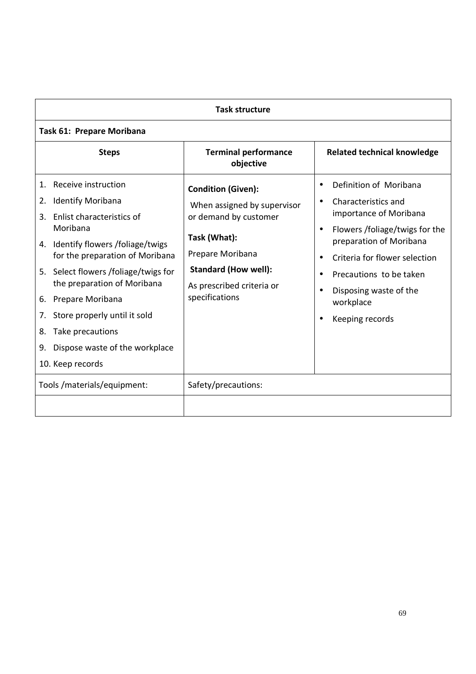| <b>Task structure</b>                                                                                                                                                                                                                                                                                                                                                                                                        |                                                                                                                                                                                                     |                                                                                                                                                                                                                                                            |  |
|------------------------------------------------------------------------------------------------------------------------------------------------------------------------------------------------------------------------------------------------------------------------------------------------------------------------------------------------------------------------------------------------------------------------------|-----------------------------------------------------------------------------------------------------------------------------------------------------------------------------------------------------|------------------------------------------------------------------------------------------------------------------------------------------------------------------------------------------------------------------------------------------------------------|--|
| <b>Task 61: Prepare Moribana</b>                                                                                                                                                                                                                                                                                                                                                                                             |                                                                                                                                                                                                     |                                                                                                                                                                                                                                                            |  |
| <b>Steps</b>                                                                                                                                                                                                                                                                                                                                                                                                                 | <b>Terminal performance</b><br>objective                                                                                                                                                            | <b>Related technical knowledge</b>                                                                                                                                                                                                                         |  |
| Receive instruction<br>$\mathbf{1}$ .<br><b>Identify Moribana</b><br>2.<br>Enlist characteristics of<br>3.<br>Moribana<br>4. Identify flowers /foliage/twigs<br>for the preparation of Moribana<br>5. Select flowers /foliage/twigs for<br>the preparation of Moribana<br>Prepare Moribana<br>6.<br>Store properly until it sold<br>7.<br>Take precautions<br>8.<br>Dispose waste of the workplace<br>9.<br>10. Keep records | <b>Condition (Given):</b><br>When assigned by supervisor<br>or demand by customer<br>Task (What):<br>Prepare Moribana<br><b>Standard (How well):</b><br>As prescribed criteria or<br>specifications | Definition of Moribana<br>Characteristics and<br>importance of Moribana<br>Flowers /foliage/twigs for the<br>preparation of Moribana<br>Criteria for flower selection<br>Precautions to be taken<br>Disposing waste of the<br>workplace<br>Keeping records |  |
| Tools /materials/equipment:                                                                                                                                                                                                                                                                                                                                                                                                  | Safety/precautions:                                                                                                                                                                                 |                                                                                                                                                                                                                                                            |  |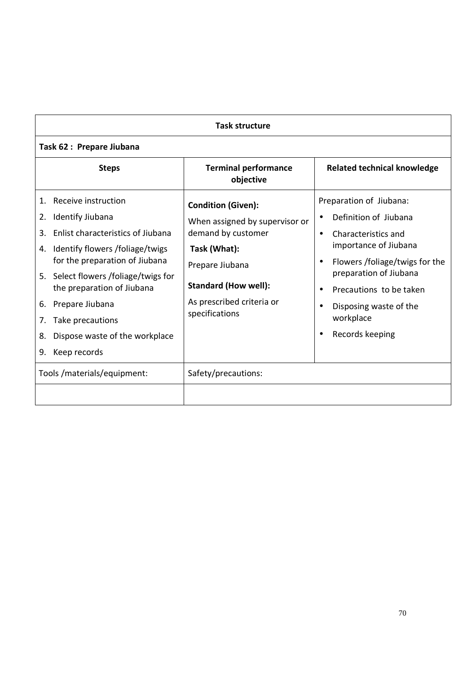| <b>Task structure</b>                                                                                                                                                                                                                                                                                                                                                     |                                                                                                                                                                                                    |                                                                                                                                                                                                                                                   |  |
|---------------------------------------------------------------------------------------------------------------------------------------------------------------------------------------------------------------------------------------------------------------------------------------------------------------------------------------------------------------------------|----------------------------------------------------------------------------------------------------------------------------------------------------------------------------------------------------|---------------------------------------------------------------------------------------------------------------------------------------------------------------------------------------------------------------------------------------------------|--|
| Task 62 : Prepare Jiubana                                                                                                                                                                                                                                                                                                                                                 |                                                                                                                                                                                                    |                                                                                                                                                                                                                                                   |  |
| <b>Steps</b>                                                                                                                                                                                                                                                                                                                                                              | <b>Terminal performance</b><br>objective                                                                                                                                                           | <b>Related technical knowledge</b>                                                                                                                                                                                                                |  |
| Receive instruction<br>$1_{\cdot}$<br>Identify Jiubana<br>2.<br>Enlist characteristics of Jiubana<br>3.<br>Identify flowers /foliage/twigs<br>4.<br>for the preparation of Jiubana<br>5. Select flowers /foliage/twigs for<br>the preparation of Jiubana<br>Prepare Jiubana<br>6.<br>Take precautions<br>7.<br>Dispose waste of the workplace<br>8.<br>Keep records<br>9. | <b>Condition (Given):</b><br>When assigned by supervisor or<br>demand by customer<br>Task (What):<br>Prepare Jiubana<br><b>Standard (How well):</b><br>As prescribed criteria or<br>specifications | Preparation of Jiubana:<br>Definition of Jiubana<br>Characteristics and<br>importance of Jiubana<br>Flowers /foliage/twigs for the<br>preparation of Jiubana<br>Precautions to be taken<br>Disposing waste of the<br>workplace<br>Records keeping |  |
| Tools /materials/equipment:                                                                                                                                                                                                                                                                                                                                               | Safety/precautions:                                                                                                                                                                                |                                                                                                                                                                                                                                                   |  |
|                                                                                                                                                                                                                                                                                                                                                                           |                                                                                                                                                                                                    |                                                                                                                                                                                                                                                   |  |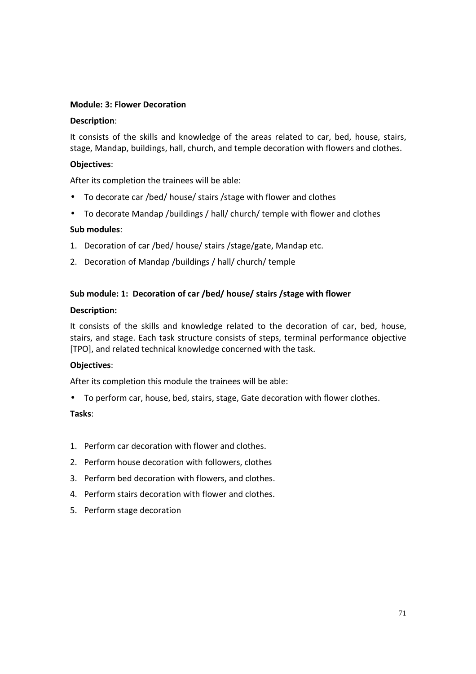## **Module: 3: Flower Decoration**

### **Description**:

It consists of the skills and knowledge of the areas related to car, bed, house, stairs, stage, Mandap, buildings, hall, church, and temple decoration with flowers and clothes.

# **Objectives**:

After its completion the trainees will be able:

- To decorate car /bed/ house/ stairs /stage with flower and clothes
- To decorate Mandap /buildings / hall/ church/ temple with flower and clothes

## **Sub modules**:

- 1. Decoration of car /bed/ house/ stairs /stage/gate, Mandap etc.
- 2. Decoration of Mandap /buildings / hall/ church/ temple

## **Sub module: 1: Decoration of car /bed/ house/ stairs /stage with flower**

### **Description:**

It consists of the skills and knowledge related to the decoration of car, bed, house, stairs, and stage. Each task structure consists of steps, terminal performance objective [TPO], and related technical knowledge concerned with the task.

### **Objectives**:

After its completion this module the trainees will be able:

• To perform car, house, bed, stairs, stage, Gate decoration with flower clothes.

- 1. Perform car decoration with flower and clothes.
- 2. Perform house decoration with followers, clothes
- 3. Perform bed decoration with flowers, and clothes.
- 4. Perform stairs decoration with flower and clothes.
- 5. Perform stage decoration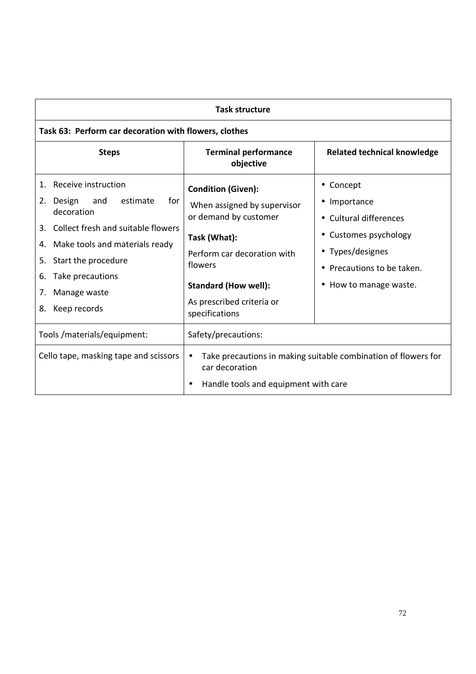| <b>Task structure</b>                                                                                                                                                                                                                                                 |                                                                                                                                                                                                                           |                                                                                                                                                                                                                  |  |
|-----------------------------------------------------------------------------------------------------------------------------------------------------------------------------------------------------------------------------------------------------------------------|---------------------------------------------------------------------------------------------------------------------------------------------------------------------------------------------------------------------------|------------------------------------------------------------------------------------------------------------------------------------------------------------------------------------------------------------------|--|
| Task 63: Perform car decoration with flowers, clothes                                                                                                                                                                                                                 |                                                                                                                                                                                                                           |                                                                                                                                                                                                                  |  |
| <b>Steps</b>                                                                                                                                                                                                                                                          | <b>Terminal performance</b><br>objective                                                                                                                                                                                  | <b>Related technical knowledge</b>                                                                                                                                                                               |  |
| Receive instruction<br>1.<br>for<br>2. Design<br>estimate<br>and<br>decoration<br>Collect fresh and suitable flowers<br>3.<br>Make tools and materials ready<br>4.<br>Start the procedure<br>5.<br>Take precautions<br>6.<br>Manage waste<br>7.<br>Keep records<br>8. | <b>Condition (Given):</b><br>When assigned by supervisor<br>or demand by customer<br>Task (What):<br>Perform car decoration with<br>flowers<br><b>Standard (How well):</b><br>As prescribed criteria or<br>specifications | Concept<br>$\bullet$<br>Importance<br>$\bullet$<br>Cultural differences<br>$\bullet$<br>Customes psychology<br>Types/designes<br>$\bullet$<br>Precautions to be taken.<br>$\bullet$<br>How to manage waste.<br>٠ |  |
| Tools /materials/equipment:                                                                                                                                                                                                                                           | Safety/precautions:                                                                                                                                                                                                       |                                                                                                                                                                                                                  |  |
| Cello tape, masking tape and scissors                                                                                                                                                                                                                                 | Take precautions in making suitable combination of flowers for<br>$\bullet$<br>car decoration<br>Handle tools and equipment with care                                                                                     |                                                                                                                                                                                                                  |  |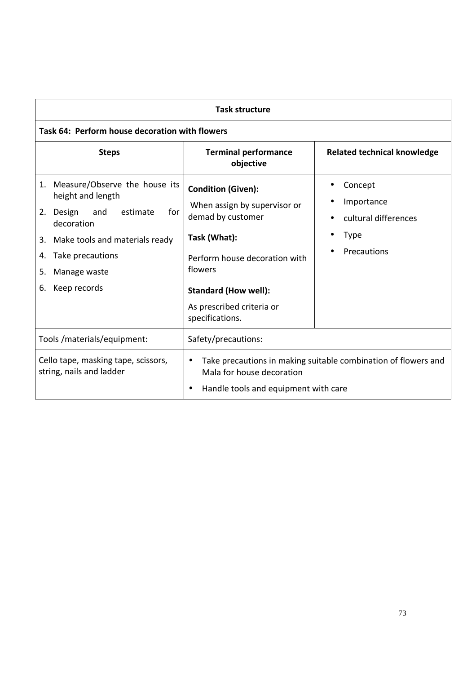| <b>Task structure</b>                                                                                                                                                                                                    |                                                                                                                                                                                                                           |                                                                                                       |
|--------------------------------------------------------------------------------------------------------------------------------------------------------------------------------------------------------------------------|---------------------------------------------------------------------------------------------------------------------------------------------------------------------------------------------------------------------------|-------------------------------------------------------------------------------------------------------|
| Task 64: Perform house decoration with flowers                                                                                                                                                                           |                                                                                                                                                                                                                           |                                                                                                       |
| <b>Steps</b>                                                                                                                                                                                                             | <b>Terminal performance</b><br>objective                                                                                                                                                                                  | <b>Related technical knowledge</b>                                                                    |
| 1. Measure/Observe the house its<br>height and length<br>estimate<br>for<br>Design<br>and<br>2.<br>decoration<br>3. Make tools and materials ready<br>Take precautions<br>4.<br>Manage waste<br>5.<br>Keep records<br>6. | <b>Condition (Given):</b><br>When assign by supervisor or<br>demad by customer<br>Task (What):<br>Perform house decoration with<br>flowers<br><b>Standard (How well):</b><br>As prescribed criteria or<br>specifications. | Concept<br>Importance<br>$\bullet$<br>cultural differences<br>$\bullet$<br><b>Type</b><br>Precautions |
| Tools /materials/equipment:                                                                                                                                                                                              | Safety/precautions:                                                                                                                                                                                                       |                                                                                                       |
| Cello tape, masking tape, scissors,<br>string, nails and ladder                                                                                                                                                          | $\bullet$<br>Mala for house decoration<br>Handle tools and equipment with care                                                                                                                                            | Take precautions in making suitable combination of flowers and                                        |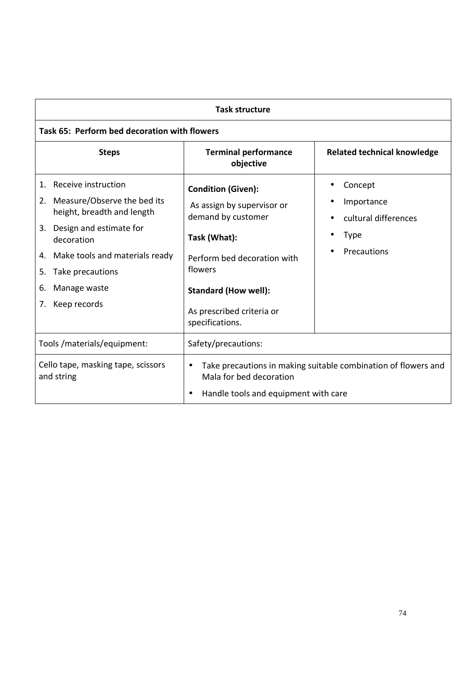| <b>Task structure</b>                                                                                                                                                                                                                               |                                                                                                                                                                                                                        |                                                                             |
|-----------------------------------------------------------------------------------------------------------------------------------------------------------------------------------------------------------------------------------------------------|------------------------------------------------------------------------------------------------------------------------------------------------------------------------------------------------------------------------|-----------------------------------------------------------------------------|
| Task 65: Perform bed decoration with flowers                                                                                                                                                                                                        |                                                                                                                                                                                                                        |                                                                             |
| <b>Steps</b>                                                                                                                                                                                                                                        | <b>Terminal performance</b><br>objective                                                                                                                                                                               | <b>Related technical knowledge</b>                                          |
| Receive instruction<br>1.<br>Measure/Observe the bed its<br>2.<br>height, breadth and length<br>3. Design and estimate for<br>decoration<br>4. Make tools and materials ready<br>Take precautions<br>5.<br>Manage waste<br>6.<br>Keep records<br>7. | <b>Condition (Given):</b><br>As assign by supervisor or<br>demand by customer<br>Task (What):<br>Perform bed decoration with<br>flowers<br><b>Standard (How well):</b><br>As prescribed criteria or<br>specifications. | Concept<br>Importance<br>cultural differences<br><b>Type</b><br>Precautions |
| Tools /materials/equipment:                                                                                                                                                                                                                         | Safety/precautions:                                                                                                                                                                                                    |                                                                             |
| Cello tape, masking tape, scissors<br>and string                                                                                                                                                                                                    | Take precautions in making suitable combination of flowers and<br>$\bullet$<br>Mala for bed decoration<br>Handle tools and equipment with care<br>٠                                                                    |                                                                             |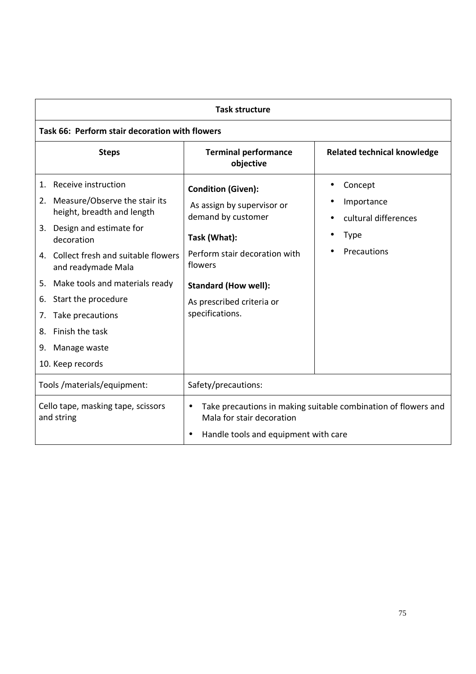| <b>Task structure</b>                                                                                                                                                                                                                                                                                                                             |                                                                                                                                                                                                                          |                                                                             |
|---------------------------------------------------------------------------------------------------------------------------------------------------------------------------------------------------------------------------------------------------------------------------------------------------------------------------------------------------|--------------------------------------------------------------------------------------------------------------------------------------------------------------------------------------------------------------------------|-----------------------------------------------------------------------------|
| Task 66: Perform stair decoration with flowers                                                                                                                                                                                                                                                                                                    |                                                                                                                                                                                                                          |                                                                             |
| <b>Steps</b>                                                                                                                                                                                                                                                                                                                                      | <b>Terminal performance</b><br>objective                                                                                                                                                                                 | <b>Related technical knowledge</b>                                          |
| Receive instruction<br>1.<br>2. Measure/Observe the stair its<br>height, breadth and length<br>3. Design and estimate for<br>decoration<br>4. Collect fresh and suitable flowers<br>and readymade Mala<br>5. Make tools and materials ready<br>Start the procedure<br>6.<br>Take precautions<br>7.<br>Finish the task<br>8.<br>Manage waste<br>9. | <b>Condition (Given):</b><br>As assign by supervisor or<br>demand by customer<br>Task (What):<br>Perform stair decoration with<br>flowers<br><b>Standard (How well):</b><br>As prescribed criteria or<br>specifications. | Concept<br>Importance<br>cultural differences<br><b>Type</b><br>Precautions |
| 10. Keep records                                                                                                                                                                                                                                                                                                                                  |                                                                                                                                                                                                                          |                                                                             |
| Tools /materials/equipment:                                                                                                                                                                                                                                                                                                                       | Safety/precautions:                                                                                                                                                                                                      |                                                                             |
| Cello tape, masking tape, scissors<br>and string                                                                                                                                                                                                                                                                                                  | $\bullet$<br>Mala for stair decoration<br>Handle tools and equipment with care                                                                                                                                           | Take precautions in making suitable combination of flowers and              |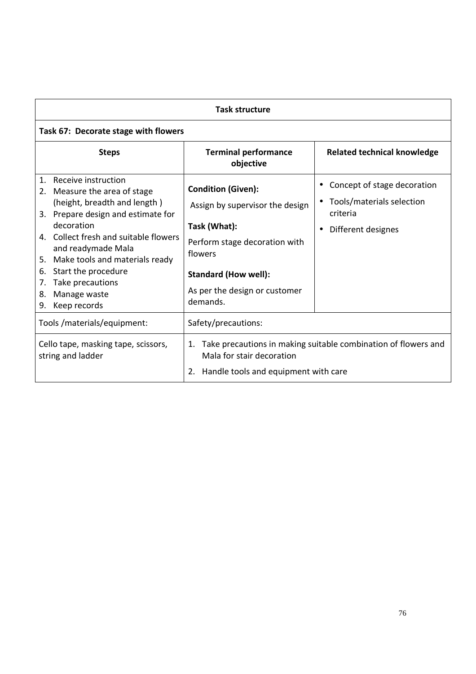| <b>Task structure</b>                                                                                                                                                                                                                                                                                                                                                  |                                                                                                                                                                                                      |                                                                                            |
|------------------------------------------------------------------------------------------------------------------------------------------------------------------------------------------------------------------------------------------------------------------------------------------------------------------------------------------------------------------------|------------------------------------------------------------------------------------------------------------------------------------------------------------------------------------------------------|--------------------------------------------------------------------------------------------|
| Task 67: Decorate stage with flowers                                                                                                                                                                                                                                                                                                                                   |                                                                                                                                                                                                      |                                                                                            |
| <b>Steps</b>                                                                                                                                                                                                                                                                                                                                                           | <b>Terminal performance</b><br>objective                                                                                                                                                             | <b>Related technical knowledge</b>                                                         |
| Receive instruction<br>$\mathbf{1}$ .<br>Measure the area of stage<br>2.<br>(height, breadth and length)<br>3. Prepare design and estimate for<br>decoration<br>4. Collect fresh and suitable flowers<br>and readymade Mala<br>Make tools and materials ready<br>5.<br>Start the procedure<br>6.<br>Take precautions<br>7.<br>Manage waste<br>8.<br>Keep records<br>9. | <b>Condition (Given):</b><br>Assign by supervisor the design<br>Task (What):<br>Perform stage decoration with<br>flowers<br><b>Standard (How well):</b><br>As per the design or customer<br>demands. | Concept of stage decoration<br>Tools/materials selection<br>criteria<br>Different designes |
| Tools/materials/equipment:                                                                                                                                                                                                                                                                                                                                             | Safety/precautions:                                                                                                                                                                                  |                                                                                            |
| Cello tape, masking tape, scissors,<br>string and ladder                                                                                                                                                                                                                                                                                                               | 1.<br>Mala for stair decoration<br>2. Handle tools and equipment with care                                                                                                                           | Take precautions in making suitable combination of flowers and                             |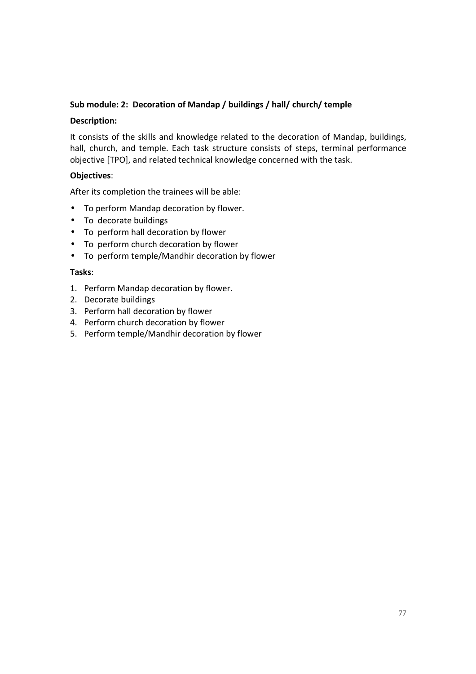#### **Sub module: 2: Decoration of Mandap / buildings / hall/ church/ temple**

#### **Description:**

It consists of the skills and knowledge related to the decoration of Mandap, buildings, hall, church, and temple. Each task structure consists of steps, terminal performance objective [TPO], and related technical knowledge concerned with the task.

#### **Objectives**:

After its completion the trainees will be able:

- To perform Mandap decoration by flower.
- To decorate buildings
- To perform hall decoration by flower
- To perform church decoration by flower
- To perform temple/Mandhir decoration by flower

#### **Tasks**:

- 1. Perform Mandap decoration by flower.
- 2. Decorate buildings
- 3. Perform hall decoration by flower
- 4. Perform church decoration by flower
- 5. Perform temple/Mandhir decoration by flower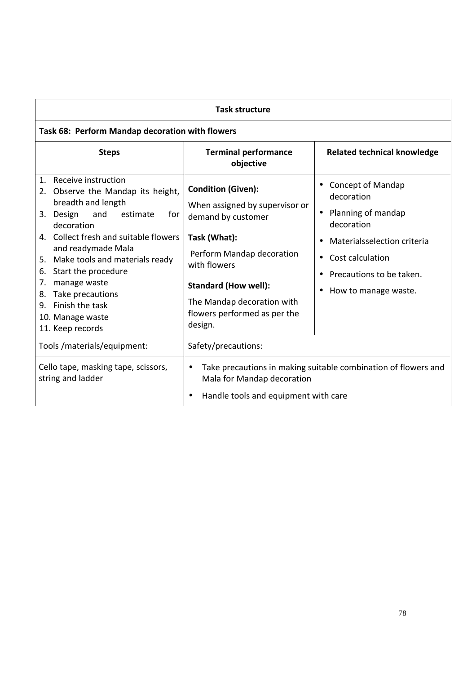| <b>Task structure</b>                                                                                                                                                                                                                                                                                                                                                                         |                                                                                                                                                                                                                                                        |                                                                                                                                                                                                             |
|-----------------------------------------------------------------------------------------------------------------------------------------------------------------------------------------------------------------------------------------------------------------------------------------------------------------------------------------------------------------------------------------------|--------------------------------------------------------------------------------------------------------------------------------------------------------------------------------------------------------------------------------------------------------|-------------------------------------------------------------------------------------------------------------------------------------------------------------------------------------------------------------|
| Task 68: Perform Mandap decoration with flowers                                                                                                                                                                                                                                                                                                                                               |                                                                                                                                                                                                                                                        |                                                                                                                                                                                                             |
| <b>Steps</b>                                                                                                                                                                                                                                                                                                                                                                                  | <b>Terminal performance</b><br>objective                                                                                                                                                                                                               | <b>Related technical knowledge</b>                                                                                                                                                                          |
| Receive instruction<br>$1_{-}$<br>2. Observe the Mandap its height,<br>breadth and length<br>3. Design<br>and<br>estimate<br>for<br>decoration<br>4. Collect fresh and suitable flowers<br>and readymade Mala<br>5. Make tools and materials ready<br>Start the procedure<br>6.<br>manage waste<br>7.<br>Take precautions<br>8.<br>9. Finish the task<br>10. Manage waste<br>11. Keep records | <b>Condition (Given):</b><br>When assigned by supervisor or<br>demand by customer<br>Task (What):<br>Perform Mandap decoration<br>with flowers<br><b>Standard (How well):</b><br>The Mandap decoration with<br>flowers performed as per the<br>design. | <b>Concept of Mandap</b><br>decoration<br>Planning of mandap<br>$\bullet$<br>decoration<br>Materialsselection criteria<br>Cost calculation<br>$\bullet$<br>Precautions to be taken.<br>How to manage waste. |
| Tools /materials/equipment:                                                                                                                                                                                                                                                                                                                                                                   | Safety/precautions:                                                                                                                                                                                                                                    |                                                                                                                                                                                                             |
| Cello tape, masking tape, scissors,<br>string and ladder                                                                                                                                                                                                                                                                                                                                      | Take precautions in making suitable combination of flowers and<br>$\bullet$<br>Mala for Mandap decoration<br>Handle tools and equipment with care                                                                                                      |                                                                                                                                                                                                             |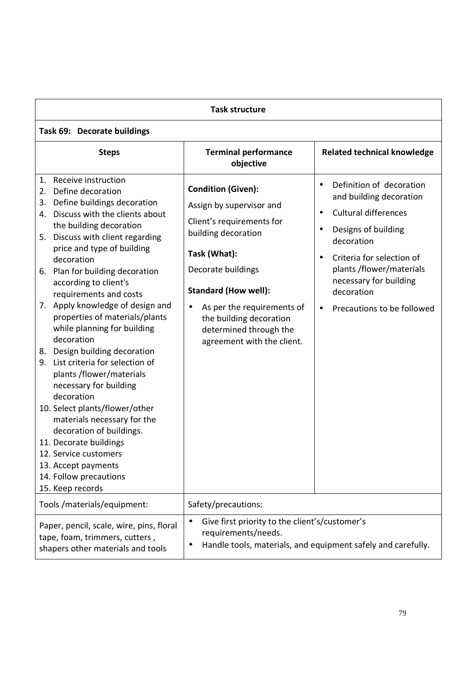| <b>Task structure</b>                                                                                                                                                                                                                                                                                                                                                                                                                                                                                                                                                                                                                                                                                                                                                                                                      |                                                                                                                                                                                                                                                                                                              |                                                                                                                                                                                                                                                                                                                         |
|----------------------------------------------------------------------------------------------------------------------------------------------------------------------------------------------------------------------------------------------------------------------------------------------------------------------------------------------------------------------------------------------------------------------------------------------------------------------------------------------------------------------------------------------------------------------------------------------------------------------------------------------------------------------------------------------------------------------------------------------------------------------------------------------------------------------------|--------------------------------------------------------------------------------------------------------------------------------------------------------------------------------------------------------------------------------------------------------------------------------------------------------------|-------------------------------------------------------------------------------------------------------------------------------------------------------------------------------------------------------------------------------------------------------------------------------------------------------------------------|
| Task 69: Decorate buildings                                                                                                                                                                                                                                                                                                                                                                                                                                                                                                                                                                                                                                                                                                                                                                                                |                                                                                                                                                                                                                                                                                                              |                                                                                                                                                                                                                                                                                                                         |
| <b>Steps</b>                                                                                                                                                                                                                                                                                                                                                                                                                                                                                                                                                                                                                                                                                                                                                                                                               | <b>Terminal performance</b><br>objective                                                                                                                                                                                                                                                                     | <b>Related technical knowledge</b>                                                                                                                                                                                                                                                                                      |
| Receive instruction<br>1.<br>Define decoration<br>2.<br>Define buildings decoration<br>3.<br>Discuss with the clients about<br>4.<br>the building decoration<br>Discuss with client regarding<br>5.<br>price and type of building<br>decoration<br>Plan for building decoration<br>6.<br>according to client's<br>requirements and costs<br>7. Apply knowledge of design and<br>properties of materials/plants<br>while planning for building<br>decoration<br>8. Design building decoration<br>9. List criteria for selection of<br>plants /flower/materials<br>necessary for building<br>decoration<br>10. Select plants/flower/other<br>materials necessary for the<br>decoration of buildings.<br>11. Decorate buildings<br>12. Service customers<br>13. Accept payments<br>14. Follow precautions<br>15. Keep records | <b>Condition (Given):</b><br>Assign by supervisor and<br>Client's requirements for<br>building decoration<br>Task (What):<br>Decorate buildings<br><b>Standard (How well):</b><br>As per the requirements of<br>$\bullet$<br>the building decoration<br>determined through the<br>agreement with the client. | Definition of decoration<br>$\bullet$<br>and building decoration<br><b>Cultural differences</b><br>$\bullet$<br>Designs of building<br>$\bullet$<br>decoration<br>Criteria for selection of<br>$\bullet$<br>plants /flower/materials<br>necessary for building<br>decoration<br>Precautions to be followed<br>$\bullet$ |
| Tools / materials/equipment:                                                                                                                                                                                                                                                                                                                                                                                                                                                                                                                                                                                                                                                                                                                                                                                               | Safety/precautions:                                                                                                                                                                                                                                                                                          |                                                                                                                                                                                                                                                                                                                         |
| Paper, pencil, scale, wire, pins, floral<br>tape, foam, trimmers, cutters,<br>shapers other materials and tools                                                                                                                                                                                                                                                                                                                                                                                                                                                                                                                                                                                                                                                                                                            | Give first priority to the client's/customer's<br>$\bullet$<br>requirements/needs.<br>$\bullet$                                                                                                                                                                                                              | Handle tools, materials, and equipment safely and carefully.                                                                                                                                                                                                                                                            |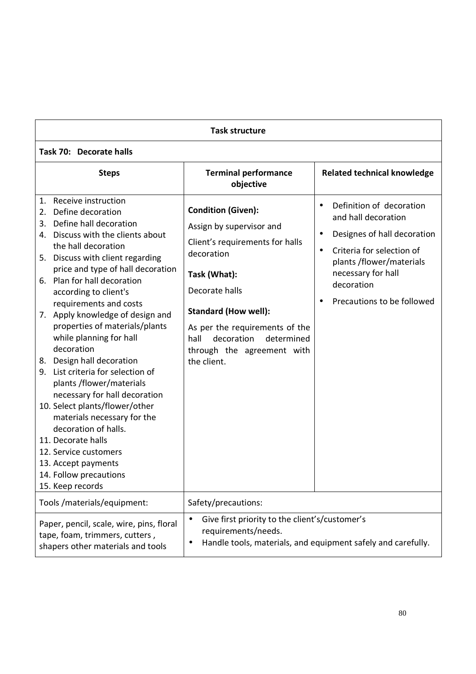| <b>Task structure</b>                                                                                                                                                                                                                                                                                                                                                                                                                                                                                                                                                                                                                                                                                                                                               |                                                                                                                                                                                                                                                                                            |                                                                                                                                                                                                                                                              |
|---------------------------------------------------------------------------------------------------------------------------------------------------------------------------------------------------------------------------------------------------------------------------------------------------------------------------------------------------------------------------------------------------------------------------------------------------------------------------------------------------------------------------------------------------------------------------------------------------------------------------------------------------------------------------------------------------------------------------------------------------------------------|--------------------------------------------------------------------------------------------------------------------------------------------------------------------------------------------------------------------------------------------------------------------------------------------|--------------------------------------------------------------------------------------------------------------------------------------------------------------------------------------------------------------------------------------------------------------|
| Task 70: Decorate halls                                                                                                                                                                                                                                                                                                                                                                                                                                                                                                                                                                                                                                                                                                                                             |                                                                                                                                                                                                                                                                                            |                                                                                                                                                                                                                                                              |
| <b>Steps</b>                                                                                                                                                                                                                                                                                                                                                                                                                                                                                                                                                                                                                                                                                                                                                        | <b>Terminal performance</b><br>objective                                                                                                                                                                                                                                                   | <b>Related technical knowledge</b>                                                                                                                                                                                                                           |
| 1. Receive instruction<br>2. Define decoration<br>Define hall decoration<br>3.<br>4. Discuss with the clients about<br>the hall decoration<br>5. Discuss with client regarding<br>price and type of hall decoration<br>6. Plan for hall decoration<br>according to client's<br>requirements and costs<br>7. Apply knowledge of design and<br>properties of materials/plants<br>while planning for hall<br>decoration<br>8. Design hall decoration<br>List criteria for selection of<br>9.<br>plants /flower/materials<br>necessary for hall decoration<br>10. Select plants/flower/other<br>materials necessary for the<br>decoration of halls.<br>11. Decorate halls<br>12. Service customers<br>13. Accept payments<br>14. Follow precautions<br>15. Keep records | <b>Condition (Given):</b><br>Assign by supervisor and<br>Client's requirements for halls<br>decoration<br>Task (What):<br>Decorate halls<br><b>Standard (How well):</b><br>As per the requirements of the<br>hall<br>decoration<br>determined<br>through the agreement with<br>the client. | Definition of decoration<br>$\bullet$<br>and hall decoration<br>Designes of hall decoration<br>$\bullet$<br>Criteria for selection of<br>$\bullet$<br>plants/flower/materials<br>necessary for hall<br>decoration<br>Precautions to be followed<br>$\bullet$ |
| Tools /materials/equipment:                                                                                                                                                                                                                                                                                                                                                                                                                                                                                                                                                                                                                                                                                                                                         | Safety/precautions:                                                                                                                                                                                                                                                                        |                                                                                                                                                                                                                                                              |
| Paper, pencil, scale, wire, pins, floral<br>tape, foam, trimmers, cutters,<br>shapers other materials and tools                                                                                                                                                                                                                                                                                                                                                                                                                                                                                                                                                                                                                                                     | Give first priority to the client's/customer's<br>$\bullet$<br>requirements/needs.                                                                                                                                                                                                         | Handle tools, materials, and equipment safely and carefully.                                                                                                                                                                                                 |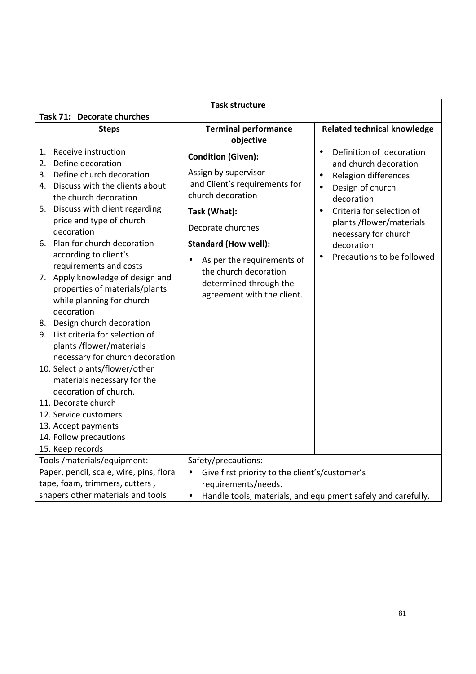| <b>Task structure</b>                                                                                                                                                                                                              |                                                                                                                                              |                                                                                                                                                                                                                                                  |
|------------------------------------------------------------------------------------------------------------------------------------------------------------------------------------------------------------------------------------|----------------------------------------------------------------------------------------------------------------------------------------------|--------------------------------------------------------------------------------------------------------------------------------------------------------------------------------------------------------------------------------------------------|
| Task 71: Decorate churches                                                                                                                                                                                                         |                                                                                                                                              |                                                                                                                                                                                                                                                  |
| <b>Steps</b>                                                                                                                                                                                                                       | <b>Terminal performance</b><br>objective                                                                                                     | <b>Related technical knowledge</b>                                                                                                                                                                                                               |
| Receive instruction<br>1.<br>Define decoration<br>2.<br>Define church decoration<br>3.<br>4. Discuss with the clients about<br>the church decoration<br>5. Discuss with client regarding<br>price and type of church<br>decoration | <b>Condition (Given):</b><br>Assign by supervisor<br>and Client's requirements for<br>church decoration<br>Task (What):<br>Decorate churches | Definition of decoration<br>$\bullet$<br>and church decoration<br>Relagion differences<br>$\bullet$<br>Design of church<br>$\bullet$<br>decoration<br>Criteria for selection of<br>$\bullet$<br>plants /flower/materials<br>necessary for church |
| 6. Plan for church decoration<br>according to client's<br>requirements and costs                                                                                                                                                   | <b>Standard (How well):</b><br>As per the requirements of<br>$\bullet$                                                                       | decoration<br>Precautions to be followed<br>$\bullet$                                                                                                                                                                                            |
| 7. Apply knowledge of design and<br>properties of materials/plants<br>while planning for church<br>decoration                                                                                                                      | the church decoration<br>determined through the<br>agreement with the client.                                                                |                                                                                                                                                                                                                                                  |
| 8. Design church decoration<br>9. List criteria for selection of<br>plants /flower/materials<br>necessary for church decoration                                                                                                    |                                                                                                                                              |                                                                                                                                                                                                                                                  |
| 10. Select plants/flower/other<br>materials necessary for the<br>decoration of church.                                                                                                                                             |                                                                                                                                              |                                                                                                                                                                                                                                                  |
| 11. Decorate church                                                                                                                                                                                                                |                                                                                                                                              |                                                                                                                                                                                                                                                  |
| 12. Service customers                                                                                                                                                                                                              |                                                                                                                                              |                                                                                                                                                                                                                                                  |
| 13. Accept payments                                                                                                                                                                                                                |                                                                                                                                              |                                                                                                                                                                                                                                                  |
| 14. Follow precautions                                                                                                                                                                                                             |                                                                                                                                              |                                                                                                                                                                                                                                                  |
| 15. Keep records                                                                                                                                                                                                                   |                                                                                                                                              |                                                                                                                                                                                                                                                  |
| Tools /materials/equipment:                                                                                                                                                                                                        | Safety/precautions:                                                                                                                          |                                                                                                                                                                                                                                                  |
| Paper, pencil, scale, wire, pins, floral                                                                                                                                                                                           | Give first priority to the client's/customer's<br>$\bullet$                                                                                  |                                                                                                                                                                                                                                                  |
| tape, foam, trimmers, cutters,                                                                                                                                                                                                     | requirements/needs.                                                                                                                          |                                                                                                                                                                                                                                                  |
| shapers other materials and tools                                                                                                                                                                                                  | $\bullet$                                                                                                                                    | Handle tools, materials, and equipment safely and carefully.                                                                                                                                                                                     |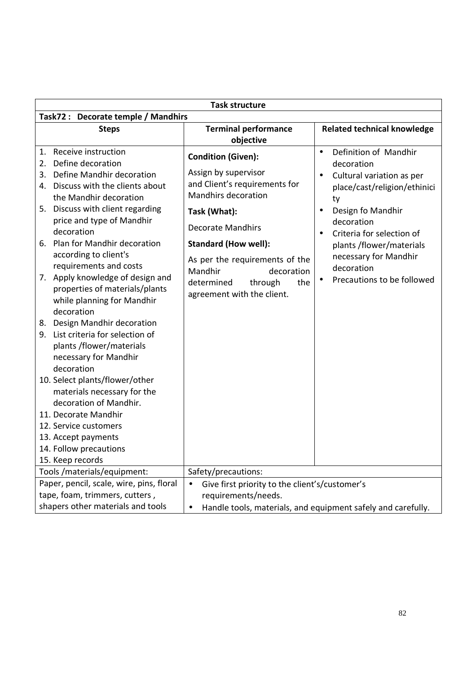| <b>Task structure</b>                                                                                                                                                                                                                                                                                                                                                                                                                                                                                                                                                                                               |                                                                                                                                                                                                                                                                                                                      |                                                                                                                                                                                                                                                                                                                                          |
|---------------------------------------------------------------------------------------------------------------------------------------------------------------------------------------------------------------------------------------------------------------------------------------------------------------------------------------------------------------------------------------------------------------------------------------------------------------------------------------------------------------------------------------------------------------------------------------------------------------------|----------------------------------------------------------------------------------------------------------------------------------------------------------------------------------------------------------------------------------------------------------------------------------------------------------------------|------------------------------------------------------------------------------------------------------------------------------------------------------------------------------------------------------------------------------------------------------------------------------------------------------------------------------------------|
| Task72 : Decorate temple / Mandhirs                                                                                                                                                                                                                                                                                                                                                                                                                                                                                                                                                                                 |                                                                                                                                                                                                                                                                                                                      |                                                                                                                                                                                                                                                                                                                                          |
| <b>Steps</b>                                                                                                                                                                                                                                                                                                                                                                                                                                                                                                                                                                                                        | <b>Terminal performance</b><br>objective                                                                                                                                                                                                                                                                             | <b>Related technical knowledge</b>                                                                                                                                                                                                                                                                                                       |
| Receive instruction<br>1.<br>Define decoration<br>2.<br>3. Define Mandhir decoration<br>4. Discuss with the clients about<br>the Mandhir decoration<br>5. Discuss with client regarding<br>price and type of Mandhir<br>decoration<br>6. Plan for Mandhir decoration<br>according to client's<br>requirements and costs<br>7. Apply knowledge of design and<br>properties of materials/plants<br>while planning for Mandhir<br>decoration<br>8. Design Mandhir decoration<br>9. List criteria for selection of<br>plants /flower/materials<br>necessary for Mandhir<br>decoration<br>10. Select plants/flower/other | <b>Condition (Given):</b><br>Assign by supervisor<br>and Client's requirements for<br><b>Mandhirs decoration</b><br>Task (What):<br><b>Decorate Mandhirs</b><br><b>Standard (How well):</b><br>As per the requirements of the<br>Mandhir<br>decoration<br>determined<br>through<br>the<br>agreement with the client. | Definition of Mandhir<br>$\bullet$<br>decoration<br>Cultural variation as per<br>$\bullet$<br>place/cast/religion/ethinici<br>ty<br>Design fo Mandhir<br>$\bullet$<br>decoration<br>Criteria for selection of<br>$\bullet$<br>plants /flower/materials<br>necessary for Mandhir<br>decoration<br>Precautions to be followed<br>$\bullet$ |
| materials necessary for the<br>decoration of Mandhir.<br>11. Decorate Mandhir<br>12. Service customers<br>13. Accept payments<br>14. Follow precautions<br>15. Keep records                                                                                                                                                                                                                                                                                                                                                                                                                                         |                                                                                                                                                                                                                                                                                                                      |                                                                                                                                                                                                                                                                                                                                          |
| Tools /materials/equipment:                                                                                                                                                                                                                                                                                                                                                                                                                                                                                                                                                                                         | Safety/precautions:                                                                                                                                                                                                                                                                                                  |                                                                                                                                                                                                                                                                                                                                          |
| Paper, pencil, scale, wire, pins, floral<br>tape, foam, trimmers, cutters,<br>shapers other materials and tools                                                                                                                                                                                                                                                                                                                                                                                                                                                                                                     | Give first priority to the client's/customer's<br>$\bullet$<br>requirements/needs.<br>$\bullet$                                                                                                                                                                                                                      | Handle tools, materials, and equipment safely and carefully.                                                                                                                                                                                                                                                                             |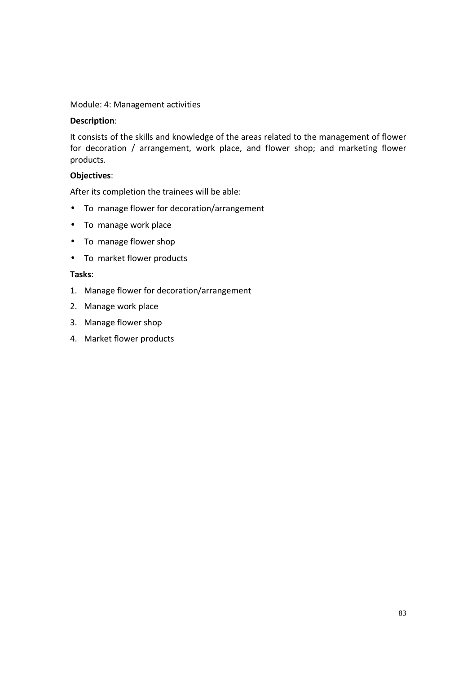#### Module: 4: Management activities

#### **Description**:

It consists of the skills and knowledge of the areas related to the management of flower for decoration / arrangement, work place, and flower shop; and marketing flower products.

#### **Objectives**:

After its completion the trainees will be able:

- To manage flower for decoration/arrangement
- To manage work place
- To manage flower shop
- To market flower products

#### **Tasks**:

- 1. Manage flower for decoration/arrangement
- 2. Manage work place
- 3. Manage flower shop
- 4. Market flower products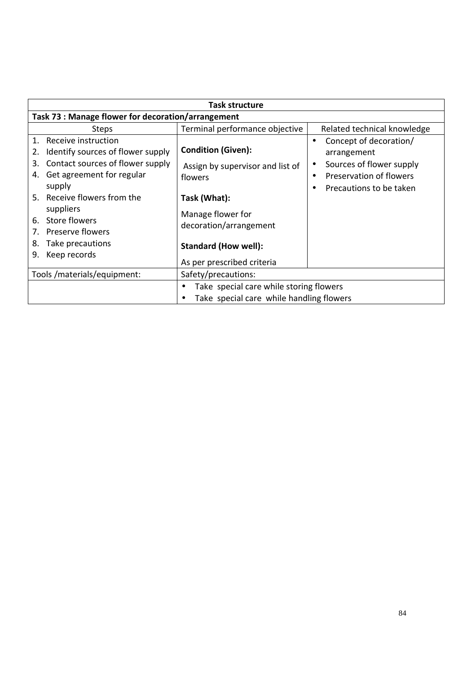| <b>Task structure</b>                                                                                                                                                                      |                                                                                                          |                                                                                                                         |
|--------------------------------------------------------------------------------------------------------------------------------------------------------------------------------------------|----------------------------------------------------------------------------------------------------------|-------------------------------------------------------------------------------------------------------------------------|
| Task 73 : Manage flower for decoration/arrangement                                                                                                                                         |                                                                                                          |                                                                                                                         |
| <b>Steps</b>                                                                                                                                                                               | Terminal performance objective                                                                           | Related technical knowledge                                                                                             |
| Receive instruction<br>1.<br>Identify sources of flower supply<br>2.<br>Contact sources of flower supply<br>3.<br>Get agreement for regular<br>4.<br>supply<br>5. Receive flowers from the | <b>Condition (Given):</b><br>Assign by supervisor and list of<br>flowers<br>Task (What):                 | Concept of decoration/<br>arrangement<br>Sources of flower supply<br>Preservation of flowers<br>Precautions to be taken |
| suppliers<br>Store flowers<br>6.<br>Preserve flowers<br>7.<br>Take precautions<br>8.<br>Keep records<br>9.                                                                                 | Manage flower for<br>decoration/arrangement<br><b>Standard (How well):</b><br>As per prescribed criteria |                                                                                                                         |
| Tools /materials/equipment:                                                                                                                                                                | Safety/precautions:                                                                                      |                                                                                                                         |
|                                                                                                                                                                                            | Take special care while storing flowers<br>$\bullet$<br>Take special care while handling flowers         |                                                                                                                         |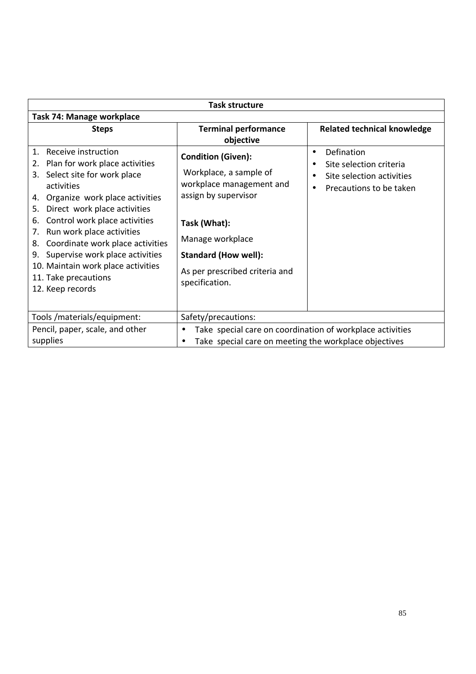|                                                                                                                                                                                                                                                                                                                                                                                                                                                              | <b>Task structure</b>                                                                                                                                                                                                          |                                                                                                                         |
|--------------------------------------------------------------------------------------------------------------------------------------------------------------------------------------------------------------------------------------------------------------------------------------------------------------------------------------------------------------------------------------------------------------------------------------------------------------|--------------------------------------------------------------------------------------------------------------------------------------------------------------------------------------------------------------------------------|-------------------------------------------------------------------------------------------------------------------------|
| Task 74: Manage workplace                                                                                                                                                                                                                                                                                                                                                                                                                                    |                                                                                                                                                                                                                                |                                                                                                                         |
| <b>Steps</b>                                                                                                                                                                                                                                                                                                                                                                                                                                                 | <b>Terminal performance</b><br>objective                                                                                                                                                                                       | <b>Related technical knowledge</b>                                                                                      |
| Receive instruction<br>$\mathbf{1}$ .<br>Plan for work place activities<br>2.<br>Select site for work place<br>3.<br>activities<br>Organize work place activities<br>4.<br>Direct work place activities<br>5.<br>Control work place activities<br>6.<br>Run work place activities<br>7.<br>Coordinate work place activities<br>8.<br>Supervise work place activities<br>9.<br>10. Maintain work place activities<br>11. Take precautions<br>12. Keep records | <b>Condition (Given):</b><br>Workplace, a sample of<br>workplace management and<br>assign by supervisor<br>Task (What):<br>Manage workplace<br><b>Standard (How well):</b><br>As per prescribed criteria and<br>specification. | Defination<br>$\bullet$<br>Site selection criteria<br>Site selection activities<br>Precautions to be taken<br>$\bullet$ |
| Tools /materials/equipment:                                                                                                                                                                                                                                                                                                                                                                                                                                  | Safety/precautions:                                                                                                                                                                                                            |                                                                                                                         |
| Pencil, paper, scale, and other                                                                                                                                                                                                                                                                                                                                                                                                                              | Take special care on coordination of workplace activities<br>$\bullet$                                                                                                                                                         |                                                                                                                         |
| supplies                                                                                                                                                                                                                                                                                                                                                                                                                                                     | Take special care on meeting the workplace objectives                                                                                                                                                                          |                                                                                                                         |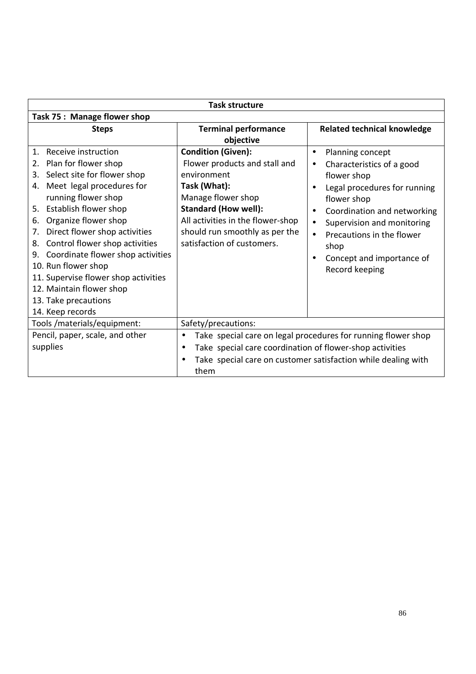| <b>Task structure</b>                                                                                                                                                                                                                                                                                                                          |                                                                                                                                                        |                                                                                                                                                                           |
|------------------------------------------------------------------------------------------------------------------------------------------------------------------------------------------------------------------------------------------------------------------------------------------------------------------------------------------------|--------------------------------------------------------------------------------------------------------------------------------------------------------|---------------------------------------------------------------------------------------------------------------------------------------------------------------------------|
| Task 75: Manage flower shop                                                                                                                                                                                                                                                                                                                    |                                                                                                                                                        |                                                                                                                                                                           |
| <b>Steps</b>                                                                                                                                                                                                                                                                                                                                   | <b>Terminal performance</b>                                                                                                                            | <b>Related technical knowledge</b>                                                                                                                                        |
|                                                                                                                                                                                                                                                                                                                                                | objective                                                                                                                                              |                                                                                                                                                                           |
| Receive instruction<br>$\mathbf{1}$ .<br>Plan for flower shop<br>2.<br>Select site for flower shop<br>3.<br>Meet legal procedures for<br>4.                                                                                                                                                                                                    | <b>Condition (Given):</b><br>Flower products and stall and<br>environment<br>Task (What):                                                              | Planning concept<br>$\bullet$<br>Characteristics of a good<br>$\bullet$<br>flower shop<br>Legal procedures for running                                                    |
| running flower shop<br>5. Establish flower shop<br>Organize flower shop<br>6.<br>Direct flower shop activities<br>7.<br>Control flower shop activities<br>8.<br>Coordinate flower shop activities<br>9.<br>10. Run flower shop<br>11. Supervise flower shop activities<br>12. Maintain flower shop<br>13. Take precautions<br>14. Keep records | Manage flower shop<br><b>Standard (How well):</b><br>All activities in the flower-shop<br>should run smoothly as per the<br>satisfaction of customers. | flower shop<br>Coordination and networking<br>$\bullet$<br>Supervision and monitoring<br>Precautions in the flower<br>shop<br>Concept and importance of<br>Record keeping |
| Tools /materials/equipment:                                                                                                                                                                                                                                                                                                                    | Safety/precautions:                                                                                                                                    |                                                                                                                                                                           |
| Pencil, paper, scale, and other<br>supplies                                                                                                                                                                                                                                                                                                    | $\bullet$<br>Take special care coordination of flower-shop activities<br>$\bullet$<br>$\bullet$<br>them                                                | Take special care on legal procedures for running flower shop<br>Take special care on customer satisfaction while dealing with                                            |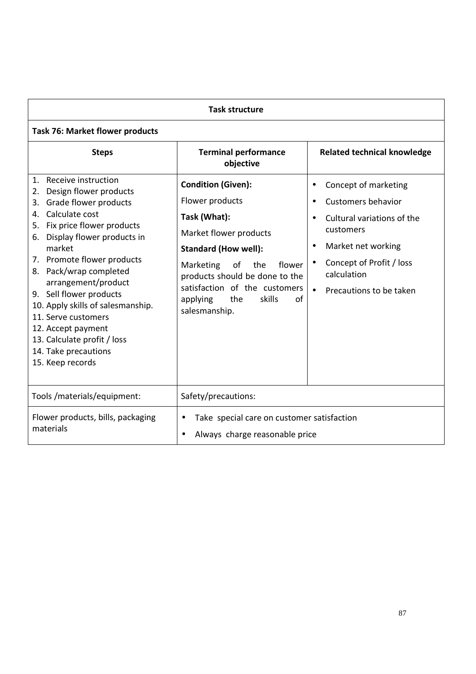| <b>Task structure</b>                                                                                                                                                                                                                                                                                                                                                                                                                                                   |                                                                                                                                                                                                                                                                                  |                                                                                                                                                                                                       |  |
|-------------------------------------------------------------------------------------------------------------------------------------------------------------------------------------------------------------------------------------------------------------------------------------------------------------------------------------------------------------------------------------------------------------------------------------------------------------------------|----------------------------------------------------------------------------------------------------------------------------------------------------------------------------------------------------------------------------------------------------------------------------------|-------------------------------------------------------------------------------------------------------------------------------------------------------------------------------------------------------|--|
| <b>Task 76: Market flower products</b>                                                                                                                                                                                                                                                                                                                                                                                                                                  |                                                                                                                                                                                                                                                                                  |                                                                                                                                                                                                       |  |
| <b>Steps</b>                                                                                                                                                                                                                                                                                                                                                                                                                                                            | <b>Terminal performance</b><br>objective                                                                                                                                                                                                                                         | <b>Related technical knowledge</b>                                                                                                                                                                    |  |
| Receive instruction<br>$1_{-}$<br>Design flower products<br>2.<br>Grade flower products<br>3.<br>Calculate cost<br>4.<br>5. Fix price flower products<br>6. Display flower products in<br>market<br>7. Promote flower products<br>8. Pack/wrap completed<br>arrangement/product<br>9. Sell flower products<br>10. Apply skills of salesmanship.<br>11. Serve customers<br>12. Accept payment<br>13. Calculate profit / loss<br>14. Take precautions<br>15. Keep records | <b>Condition (Given):</b><br>Flower products<br>Task (What):<br>Market flower products<br><b>Standard (How well):</b><br>Marketing<br>of<br>the<br>flower<br>products should be done to the<br>satisfaction of the customers<br>the<br>skills<br>of<br>applying<br>salesmanship. | Concept of marketing<br><b>Customers behavior</b><br>$\bullet$<br>Cultural variations of the<br>customers<br>Market net working<br>Concept of Profit / loss<br>calculation<br>Precautions to be taken |  |
| Tools/materials/equipment:                                                                                                                                                                                                                                                                                                                                                                                                                                              | Safety/precautions:                                                                                                                                                                                                                                                              |                                                                                                                                                                                                       |  |
| Flower products, bills, packaging<br>materials                                                                                                                                                                                                                                                                                                                                                                                                                          | Take special care on customer satisfaction<br>$\bullet$<br>Always charge reasonable price<br>$\bullet$                                                                                                                                                                           |                                                                                                                                                                                                       |  |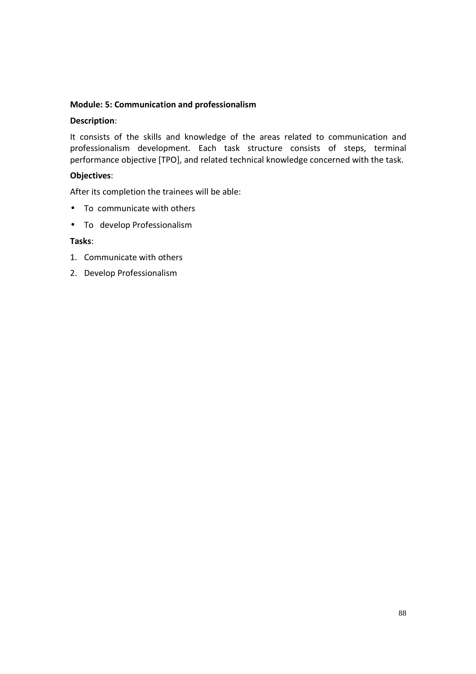#### **Module: 5: Communication and professionalism**

#### **Description**:

It consists of the skills and knowledge of the areas related to communication and professionalism development. Each task structure consists of steps, terminal performance objective [TPO], and related technical knowledge concerned with the task.

#### **Objectives**:

After its completion the trainees will be able:

- To communicate with others
- To develop Professionalism

#### **Tasks**:

- 1. Communicate with others
- 2. Develop Professionalism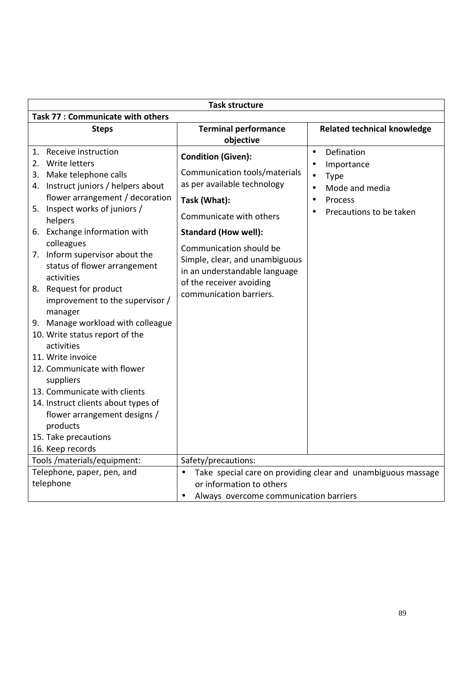| <b>Task structure</b>                                                                                                                                                                                                                                                                                                                                                                                                                                                                                                                                                                                                                                                                                                  |                                                                                                                                                                                                                                                                                                                          |                                                                                                                           |  |
|------------------------------------------------------------------------------------------------------------------------------------------------------------------------------------------------------------------------------------------------------------------------------------------------------------------------------------------------------------------------------------------------------------------------------------------------------------------------------------------------------------------------------------------------------------------------------------------------------------------------------------------------------------------------------------------------------------------------|--------------------------------------------------------------------------------------------------------------------------------------------------------------------------------------------------------------------------------------------------------------------------------------------------------------------------|---------------------------------------------------------------------------------------------------------------------------|--|
| <b>Task 77: Communicate with others</b>                                                                                                                                                                                                                                                                                                                                                                                                                                                                                                                                                                                                                                                                                |                                                                                                                                                                                                                                                                                                                          |                                                                                                                           |  |
| <b>Steps</b>                                                                                                                                                                                                                                                                                                                                                                                                                                                                                                                                                                                                                                                                                                           | <b>Terminal performance</b><br>objective                                                                                                                                                                                                                                                                                 | <b>Related technical knowledge</b>                                                                                        |  |
| 1. Receive instruction<br>2. Write letters<br>3. Make telephone calls<br>4. Instruct juniors / helpers about<br>flower arrangement / decoration<br>5. Inspect works of juniors /<br>helpers<br>6. Exchange information with<br>colleagues<br>7. Inform supervisor about the<br>status of flower arrangement<br>activities<br>8. Request for product<br>improvement to the supervisor /<br>manager<br>9. Manage workload with colleague<br>10. Write status report of the<br>activities<br>11. Write invoice<br>12. Communicate with flower<br>suppliers<br>13. Communicate with clients<br>14. Instruct clients about types of<br>flower arrangement designs /<br>products<br>15. Take precautions<br>16. Keep records | <b>Condition (Given):</b><br>Communication tools/materials<br>as per available technology<br>Task (What):<br>Communicate with others<br><b>Standard (How well):</b><br>Communication should be<br>Simple, clear, and unambiguous<br>in an understandable language<br>of the receiver avoiding<br>communication barriers. | Defination<br>$\bullet$<br>Importance<br><b>Type</b><br>Mode and media<br>Process<br>$\bullet$<br>Precautions to be taken |  |
| Tools /materials/equipment:                                                                                                                                                                                                                                                                                                                                                                                                                                                                                                                                                                                                                                                                                            | Safety/precautions:                                                                                                                                                                                                                                                                                                      |                                                                                                                           |  |
| Telephone, paper, pen, and<br>telephone                                                                                                                                                                                                                                                                                                                                                                                                                                                                                                                                                                                                                                                                                | $\bullet$<br>or information to others<br>Always overcome communication barriers                                                                                                                                                                                                                                          | Take special care on providing clear and unambiguous massage                                                              |  |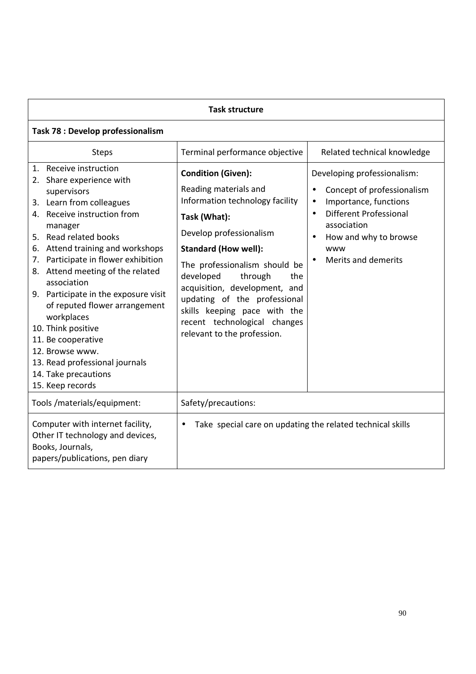| <b>Task structure</b>                                                                                                                                                                                                                                                                                                                                                                                                                                                                                                                    |                                                                                                                                                                                                                                                                                                                                                                                                 |                                                                                                                                                                                                                     |  |
|------------------------------------------------------------------------------------------------------------------------------------------------------------------------------------------------------------------------------------------------------------------------------------------------------------------------------------------------------------------------------------------------------------------------------------------------------------------------------------------------------------------------------------------|-------------------------------------------------------------------------------------------------------------------------------------------------------------------------------------------------------------------------------------------------------------------------------------------------------------------------------------------------------------------------------------------------|---------------------------------------------------------------------------------------------------------------------------------------------------------------------------------------------------------------------|--|
| Task 78 : Develop professionalism                                                                                                                                                                                                                                                                                                                                                                                                                                                                                                        |                                                                                                                                                                                                                                                                                                                                                                                                 |                                                                                                                                                                                                                     |  |
| <b>Steps</b>                                                                                                                                                                                                                                                                                                                                                                                                                                                                                                                             | Terminal performance objective                                                                                                                                                                                                                                                                                                                                                                  | Related technical knowledge                                                                                                                                                                                         |  |
| 1. Receive instruction<br>2. Share experience with<br>supervisors<br>3. Learn from colleagues<br>4. Receive instruction from<br>manager<br>5. Read related books<br>Attend training and workshops<br>6.<br>Participate in flower exhibition<br>7.<br>8. Attend meeting of the related<br>association<br>9. Participate in the exposure visit<br>of reputed flower arrangement<br>workplaces<br>10. Think positive<br>11. Be cooperative<br>12. Browse www.<br>13. Read professional journals<br>14. Take precautions<br>15. Keep records | <b>Condition (Given):</b><br>Reading materials and<br>Information technology facility<br>Task (What):<br>Develop professionalism<br><b>Standard (How well):</b><br>The professionalism should be<br>developed<br>through<br>the<br>acquisition, development, and<br>updating of the professional<br>skills keeping pace with the<br>recent technological changes<br>relevant to the profession. | Developing professionalism:<br>Concept of professionalism<br>$\bullet$<br>Importance, functions<br>Different Professional<br>$\bullet$<br>association<br>How and why to browse<br>www<br><b>Merits and demerits</b> |  |
| Tools /materials/equipment:                                                                                                                                                                                                                                                                                                                                                                                                                                                                                                              | Safety/precautions:                                                                                                                                                                                                                                                                                                                                                                             |                                                                                                                                                                                                                     |  |
| Computer with internet facility,<br>Take special care on updating the related technical skills<br>Other IT technology and devices,<br>Books, Journals,<br>papers/publications, pen diary                                                                                                                                                                                                                                                                                                                                                 |                                                                                                                                                                                                                                                                                                                                                                                                 |                                                                                                                                                                                                                     |  |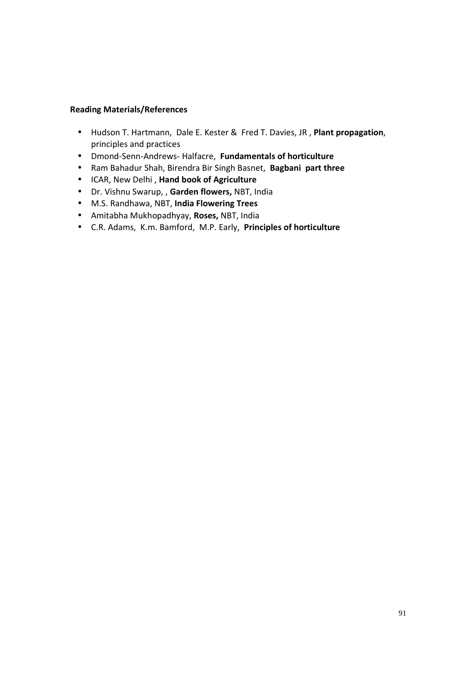#### **Reading Materials/References**

- Hudson T. Hartmann, Dale E. Kester & Fred T. Davies, JR , **Plant propagation**, principles and practices
- Dmond-Senn-Andrews- Halfacre, **Fundamentals of horticulture**
- Ram Bahadur Shah, Birendra Bir Singh Basnet, **Bagbani part three**
- ICAR, New Delhi , **Hand book of Agriculture**
- Dr. Vishnu Swarup, , **Garden flowers,** NBT, India
- M.S. Randhawa, NBT, **India Flowering Trees**
- Amitabha Mukhopadhyay, **Roses,** NBT, India
- C.R. Adams, K.m. Bamford, M.P. Early, **Principles of horticulture**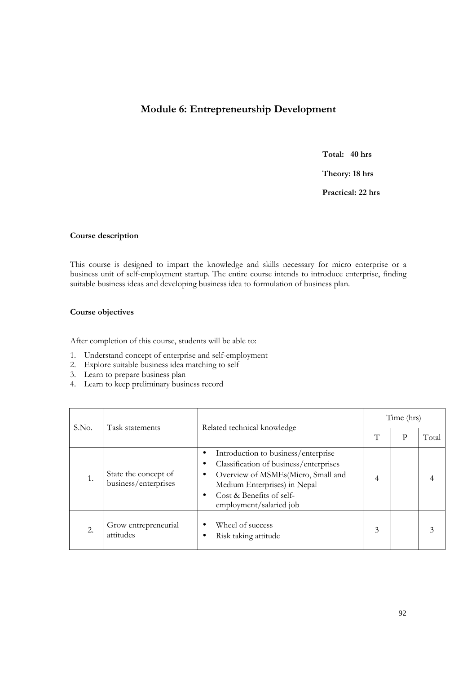## **Module 6: Entrepreneurship Development**

**Total: 40 hrs** 

**Theory: 18 hrs** 

**Practical: 22 hrs** 

#### **Course description**

This course is designed to impart the knowledge and skills necessary for micro enterprise or a business unit of self-employment startup. The entire course intends to introduce enterprise, finding suitable business ideas and developing business idea to formulation of business plan.

#### **Course objectives**

After completion of this course, students will be able to:

- 1. Understand concept of enterprise and self-employment
- 2. Explore suitable business idea matching to self
- 3. Learn to prepare business plan
- 4. Learn to keep preliminary business record

|                          |                                              |                                                                                                                                                                                                            |   | Time (hrs) |       |  |
|--------------------------|----------------------------------------------|------------------------------------------------------------------------------------------------------------------------------------------------------------------------------------------------------------|---|------------|-------|--|
| S.No.<br>Task statements |                                              | Related technical knowledge                                                                                                                                                                                |   | р          | Total |  |
| 1.                       | State the concept of<br>business/enterprises | Introduction to business/enterprise<br>Classification of business/enterprises<br>Overview of MSMEs(Micro, Small and<br>Medium Enterprises) in Nepal<br>Cost & Benefits of self-<br>employment/salaried job | 4 |            |       |  |
| 2.                       | Grow entrepreneurial<br>attitudes            | Wheel of success<br>Risk taking attitude                                                                                                                                                                   | 3 |            |       |  |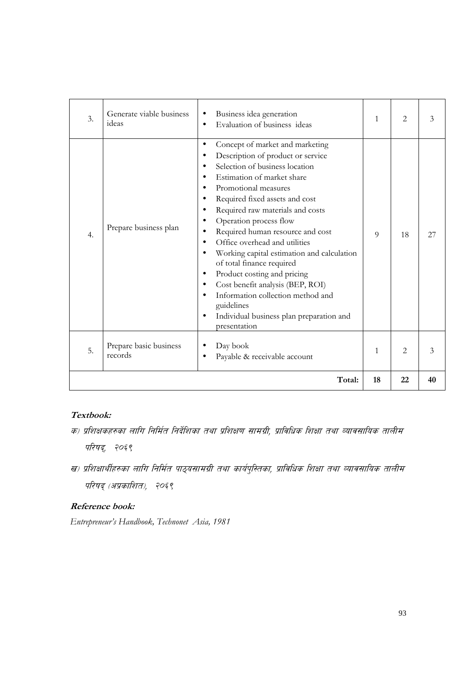| 5. | Prepare basic business<br>records | presentation<br>Day book<br>Payable & receivable account                                                                                                                                                                                                                                                                                                                                                                                                                                                                                                                                                                           | $\mathbf{1}$   | $\mathfrak{D}$ | 3  |
|----|-----------------------------------|------------------------------------------------------------------------------------------------------------------------------------------------------------------------------------------------------------------------------------------------------------------------------------------------------------------------------------------------------------------------------------------------------------------------------------------------------------------------------------------------------------------------------------------------------------------------------------------------------------------------------------|----------------|----------------|----|
|    |                                   |                                                                                                                                                                                                                                                                                                                                                                                                                                                                                                                                                                                                                                    |                |                |    |
| 4. | Prepare business plan             | Concept of market and marketing<br>$\bullet$<br>Description of product or service<br>Selection of business location<br>$\bullet$<br>Estimation of market share<br>$\bullet$<br>Promotional measures<br>Required fixed assets and cost<br>Required raw materials and costs<br>Operation process flow<br>Required human resource and cost<br>Office overhead and utilities<br>Working capital estimation and calculation<br>of total finance required<br>Product costing and pricing<br>Cost benefit analysis (BEP, ROI)<br>Information collection method and<br>guidelines<br>Individual business plan preparation and<br>$\bullet$ | $\overline{Q}$ | 18             | 27 |
| 3. | Generate viable business<br>ideas | Business idea generation<br>$\bullet$<br>Evaluation of business ideas                                                                                                                                                                                                                                                                                                                                                                                                                                                                                                                                                              | $\mathbf{1}$   | 2              | 3  |

#### **Textbook:**

- क) प्रशिक्षकहरुका लागि निर्मित निर्देशिका तथा प्रशिक्षण सामग्री, प्राविधिक शिक्षा तथा व्यावसायिक तालीम परिषद्, २०६९
- ख) प्रशिक्षार्थीहरुका लागि निर्मित पाठ्यसामग्री तथा कार्यपुस्तिका, प्राविधिक शिक्षा तथा व्यावसायिक तालीम परिषद् (अप्रकाशित), २०६९

## **Reference book:**

*Entrepreneur's Handbook, Technonet Asia, 1981*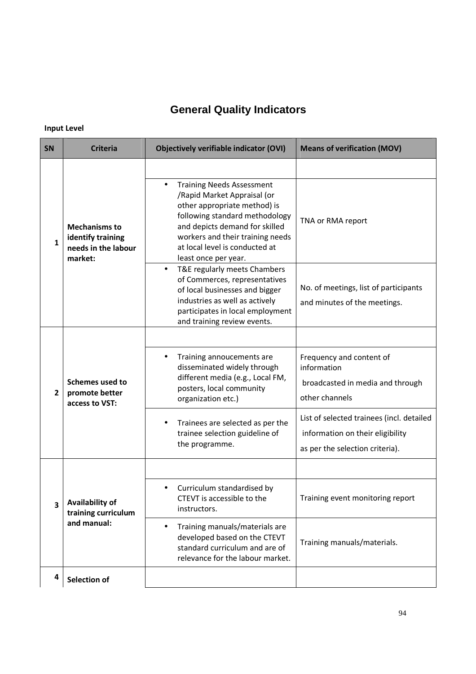# **General Quality Indicators**

# **Input Level**

| SΝ                      | <b>Criteria</b>                                                             | <b>Objectively verifiable indicator (OVI)</b>                                                                                                                                                                                                                                  | <b>Means of verification (MOV)</b>                                                                               |
|-------------------------|-----------------------------------------------------------------------------|--------------------------------------------------------------------------------------------------------------------------------------------------------------------------------------------------------------------------------------------------------------------------------|------------------------------------------------------------------------------------------------------------------|
|                         |                                                                             |                                                                                                                                                                                                                                                                                |                                                                                                                  |
| 1                       | <b>Mechanisms to</b><br>identify training<br>needs in the labour<br>market: | <b>Training Needs Assessment</b><br>$\bullet$<br>/Rapid Market Appraisal (or<br>other appropriate method) is<br>following standard methodology<br>and depicts demand for skilled<br>workers and their training needs<br>at local level is conducted at<br>least once per year. | TNA or RMA report                                                                                                |
|                         |                                                                             | T&E regularly meets Chambers<br>$\bullet$<br>of Commerces, representatives<br>of local businesses and bigger<br>industries as well as actively<br>participates in local employment<br>and training review events.                                                              | No. of meetings, list of participants<br>and minutes of the meetings.                                            |
|                         |                                                                             |                                                                                                                                                                                                                                                                                |                                                                                                                  |
| $\overline{2}$          | <b>Schemes used to</b><br>promote better<br>access to VST:                  | Training annoucements are<br>$\bullet$<br>disseminated widely through<br>different media (e.g., Local FM,<br>posters, local community<br>organization etc.)                                                                                                                    | Frequency and content of<br>information<br>broadcasted in media and through<br>other channels                    |
|                         |                                                                             | Trainees are selected as per the<br>$\bullet$<br>trainee selection guideline of<br>the programme.                                                                                                                                                                              | List of selected trainees (incl. detailed<br>information on their eligibility<br>as per the selection criteria). |
|                         |                                                                             |                                                                                                                                                                                                                                                                                |                                                                                                                  |
| $\overline{\mathbf{3}}$ | <b>Availability of</b><br>training curriculum<br>and manual:                | Curriculum standardised by<br>CTEVT is accessible to the<br>instructors.                                                                                                                                                                                                       | Training event monitoring report                                                                                 |
|                         |                                                                             | Training manuals/materials are<br>$\bullet$<br>developed based on the CTEVT<br>standard curriculum and are of<br>relevance for the labour market.                                                                                                                              | Training manuals/materials.                                                                                      |
| 4                       | Selection of                                                                |                                                                                                                                                                                                                                                                                |                                                                                                                  |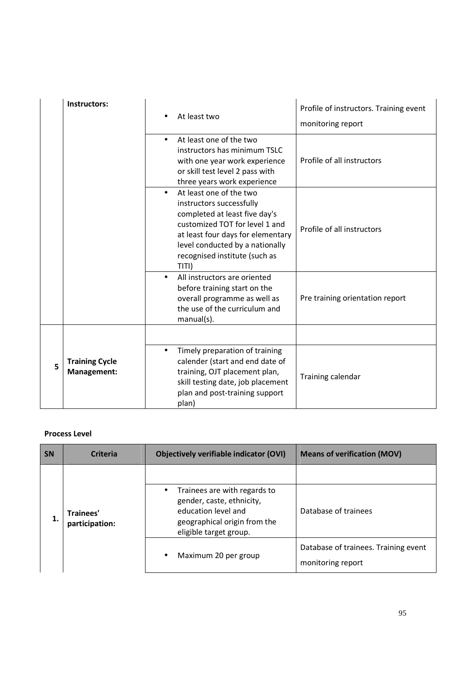|   | Instructors:                         |           | At least two                                                                                                                                                                                                                             | Profile of instructors. Training event<br>monitoring report |
|---|--------------------------------------|-----------|------------------------------------------------------------------------------------------------------------------------------------------------------------------------------------------------------------------------------------------|-------------------------------------------------------------|
|   |                                      |           | At least one of the two<br>instructors has minimum TSLC<br>with one year work experience<br>or skill test level 2 pass with<br>three years work experience                                                                               | Profile of all instructors                                  |
|   |                                      |           | At least one of the two<br>instructors successfully<br>completed at least five day's<br>customized TOT for level 1 and<br>at least four days for elementary<br>level conducted by a nationally<br>recognised institute (such as<br>TITI) | Profile of all instructors                                  |
|   |                                      |           | All instructors are oriented<br>before training start on the<br>overall programme as well as<br>the use of the curriculum and<br>manual(s).                                                                                              | Pre training orientation report                             |
| 5 | <b>Training Cycle</b><br>Management: | $\bullet$ | Timely preparation of training<br>calender (start and end date of<br>training, OJT placement plan,<br>skill testing date, job placement<br>plan and post-training support<br>plan)                                                       | Training calendar                                           |

### **Process Level**

| <b>SN</b> | <b>Criteria</b>                   | Objectively verifiable indicator (OVI)                                                                                                                  | <b>Means of verification (MOV)</b>                        |
|-----------|-----------------------------------|---------------------------------------------------------------------------------------------------------------------------------------------------------|-----------------------------------------------------------|
|           | Trainees'<br>1.<br>participation: |                                                                                                                                                         |                                                           |
|           |                                   | Trainees are with regards to<br>$\bullet$<br>gender, caste, ethnicity,<br>education level and<br>geographical origin from the<br>eligible target group. | Database of trainees                                      |
|           |                                   | Maximum 20 per group<br>$\bullet$                                                                                                                       | Database of trainees. Training event<br>monitoring report |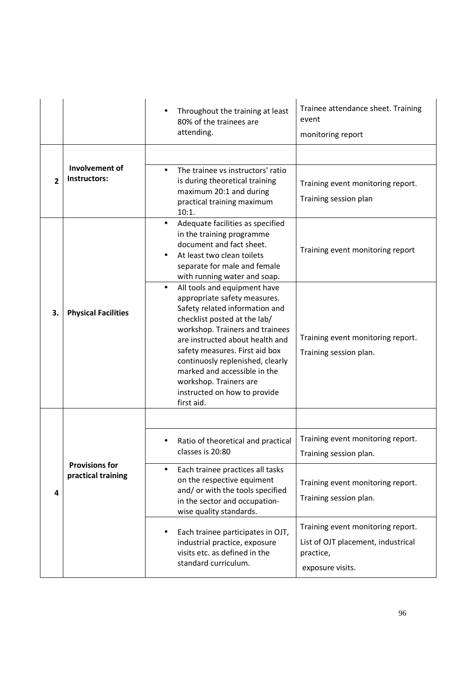|              |                                             | Throughout the training at least<br>80% of the trainees are<br>attending.                                                                                                                                                                                                                                                                                                                       | Trainee attendance sheet. Training<br>event<br>monitoring report                                         |
|--------------|---------------------------------------------|-------------------------------------------------------------------------------------------------------------------------------------------------------------------------------------------------------------------------------------------------------------------------------------------------------------------------------------------------------------------------------------------------|----------------------------------------------------------------------------------------------------------|
|              | Involvement of                              |                                                                                                                                                                                                                                                                                                                                                                                                 |                                                                                                          |
| $\mathbf{2}$ | Instructors:                                | The trainee vs instructors' ratio<br>$\bullet$<br>is during theoretical training<br>maximum 20:1 and during<br>practical training maximum<br>10:1.                                                                                                                                                                                                                                              | Training event monitoring report.<br>Training session plan                                               |
|              |                                             | Adequate facilities as specified<br>$\bullet$<br>in the training programme<br>document and fact sheet.<br>At least two clean toilets<br>separate for male and female<br>with running water and soap.                                                                                                                                                                                            | Training event monitoring report                                                                         |
| 3.           | <b>Physical Facilities</b>                  | All tools and equipment have<br>$\bullet$<br>appropriate safety measures.<br>Safety related information and<br>checklist posted at the lab/<br>workshop. Trainers and trainees<br>are instructed about health and<br>safety measures. First aid box<br>continuosly replenished, clearly<br>marked and accessible in the<br>workshop. Trainers are<br>instructed on how to provide<br>first aid. | Training event monitoring report.<br>Training session plan.                                              |
|              |                                             |                                                                                                                                                                                                                                                                                                                                                                                                 |                                                                                                          |
|              |                                             | Ratio of theoretical and practical<br>classes is 20:80                                                                                                                                                                                                                                                                                                                                          | Training event monitoring report.<br>Training session plan.                                              |
| 4            | <b>Provisions for</b><br>practical training | Each trainee practices all tasks<br>$\bullet$<br>on the respective equiment<br>and/ or with the tools specified<br>in the sector and occupation-<br>wise quality standards.                                                                                                                                                                                                                     | Training event monitoring report.<br>Training session plan.                                              |
|              |                                             | Each trainee participates in OJT,<br>$\bullet$<br>industrial practice, exposure<br>visits etc. as defined in the<br>standard curriculum.                                                                                                                                                                                                                                                        | Training event monitoring report.<br>List of OJT placement, industrical<br>practice,<br>exposure visits. |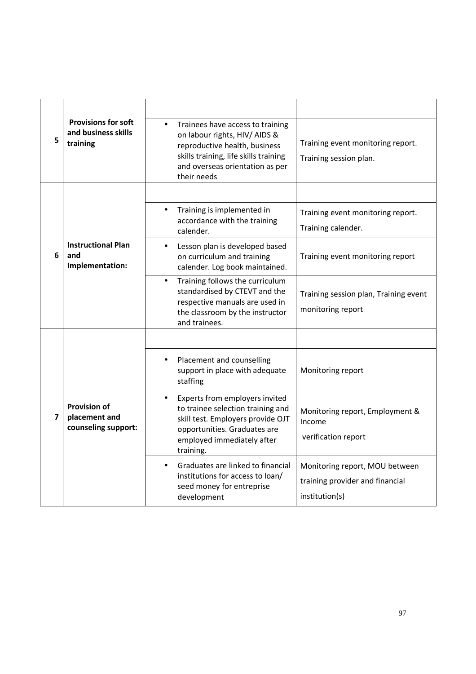| 5 | <b>Provisions for soft</b><br>and business skills<br>training | Trainees have access to training<br>$\bullet$<br>on labour rights, HIV/ AIDS &<br>reproductive health, business<br>skills training, life skills training<br>and overseas orientation as per<br>their needs | Training event monitoring report.<br>Training session plan.                         |
|---|---------------------------------------------------------------|------------------------------------------------------------------------------------------------------------------------------------------------------------------------------------------------------------|-------------------------------------------------------------------------------------|
|   |                                                               |                                                                                                                                                                                                            |                                                                                     |
|   |                                                               | Training is implemented in<br>$\bullet$<br>accordance with the training<br>calender.                                                                                                                       | Training event monitoring report.<br>Training calender.                             |
| 6 | <b>Instructional Plan</b><br>and<br>Implementation:           | Lesson plan is developed based<br>$\bullet$<br>on curriculum and training<br>calender. Log book maintained.                                                                                                | Training event monitoring report                                                    |
|   |                                                               | Training follows the curriculum<br>$\bullet$<br>standardised by CTEVT and the<br>respective manuals are used in<br>the classroom by the instructor<br>and trainees.                                        | Training session plan, Training event<br>monitoring report                          |
|   |                                                               |                                                                                                                                                                                                            |                                                                                     |
|   |                                                               | Placement and counselling<br>$\bullet$<br>support in place with adequate<br>staffing                                                                                                                       | Monitoring report                                                                   |
| 7 | <b>Provision of</b><br>placement and<br>counseling support:   | Experts from employers invited<br>$\bullet$<br>to trainee selection training and<br>skill test. Employers provide OJT<br>opportunities. Graduates are<br>employed immediately after<br>training.           | Monitoring report, Employment &<br>Income<br>verification report                    |
|   |                                                               | Graduates are linked to financial<br>$\bullet$<br>institutions for access to loan/<br>seed money for entreprise<br>development                                                                             | Monitoring report, MOU between<br>training provider and financial<br>institution(s) |